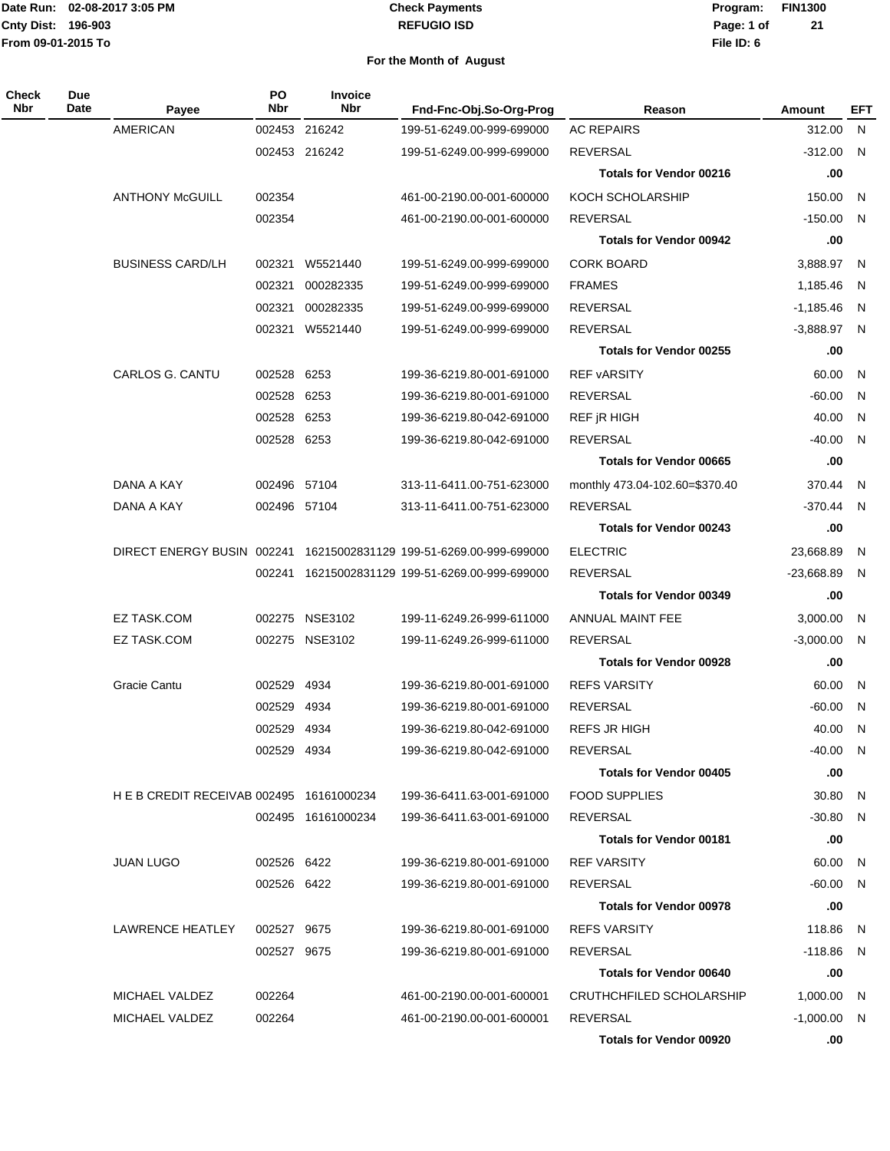#### **REFUGIO ISD Check Payments**

**02-08-2017 3:05 PM Program: FIN1300 File ID: 6 Page: 1 of 21**

| Check<br>Nbr | <b>Due</b><br>Date | Payee                                    | <b>PO</b><br>Nbr | <b>Invoice</b><br><b>Nbr</b> | Fnd-Fnc-Obj.So-Org-Prog                                             | Reason                         | Amount         | EFT |
|--------------|--------------------|------------------------------------------|------------------|------------------------------|---------------------------------------------------------------------|--------------------------------|----------------|-----|
|              |                    | <b>AMERICAN</b>                          |                  | 002453 216242                | 199-51-6249.00-999-699000                                           | <b>AC REPAIRS</b>              | 312.00 N       |     |
|              |                    |                                          |                  | 002453 216242                | 199-51-6249.00-999-699000                                           | <b>REVERSAL</b>                | $-312.00$ N    |     |
|              |                    |                                          |                  |                              |                                                                     | <b>Totals for Vendor 00216</b> | .00            |     |
|              |                    | <b>ANTHONY McGUILL</b>                   | 002354           |                              | 461-00-2190.00-001-600000                                           | KOCH SCHOLARSHIP               | 150.00 N       |     |
|              |                    |                                          | 002354           |                              | 461-00-2190.00-001-600000                                           | <b>REVERSAL</b>                | $-150.00$ N    |     |
|              |                    |                                          |                  |                              |                                                                     | <b>Totals for Vendor 00942</b> | .00            |     |
|              |                    | <b>BUSINESS CARD/LH</b>                  | 002321           | W5521440                     | 199-51-6249.00-999-699000                                           | <b>CORK BOARD</b>              | 3,888.97 N     |     |
|              |                    |                                          | 002321           | 000282335                    | 199-51-6249.00-999-699000                                           | <b>FRAMES</b>                  | 1,185.46 N     |     |
|              |                    |                                          | 002321           | 000282335                    | 199-51-6249.00-999-699000                                           | <b>REVERSAL</b>                | $-1,185.46$ N  |     |
|              |                    |                                          |                  | 002321 W5521440              | 199-51-6249.00-999-699000                                           | <b>REVERSAL</b>                | $-3,888.97$ N  |     |
|              |                    |                                          |                  |                              |                                                                     | <b>Totals for Vendor 00255</b> | .00            |     |
|              |                    | <b>CARLOS G. CANTU</b>                   | 002528 6253      |                              | 199-36-6219.80-001-691000                                           | <b>REF vARSITY</b>             | 60.00 N        |     |
|              |                    |                                          | 002528 6253      |                              | 199-36-6219.80-001-691000                                           | <b>REVERSAL</b>                | $-60.00$ N     |     |
|              |                    |                                          | 002528 6253      |                              | 199-36-6219.80-042-691000                                           | REF jR HIGH                    | 40.00 N        |     |
|              |                    |                                          | 002528 6253      |                              | 199-36-6219.80-042-691000                                           | <b>REVERSAL</b>                | $-40.00$ N     |     |
|              |                    |                                          |                  |                              |                                                                     | <b>Totals for Vendor 00665</b> | .00            |     |
|              |                    | DANA A KAY                               | 002496 57104     |                              | 313-11-6411.00-751-623000                                           | monthly 473.04-102.60=\$370.40 | 370.44 N       |     |
|              |                    | DANA A KAY                               | 002496 57104     |                              | 313-11-6411.00-751-623000                                           | <b>REVERSAL</b>                | $-370.44$ N    |     |
|              |                    |                                          |                  |                              |                                                                     | <b>Totals for Vendor 00243</b> | .00            |     |
|              |                    |                                          |                  |                              | DIRECT ENERGY BUSIN 002241 16215002831129 199-51-6269.00-999-699000 | <b>ELECTRIC</b>                | 23,668.89      | N.  |
|              |                    |                                          |                  |                              | 002241 16215002831129 199-51-6269.00-999-699000                     | <b>REVERSAL</b>                | $-23,668.89$ N |     |
|              |                    |                                          |                  |                              |                                                                     | <b>Totals for Vendor 00349</b> | .00            |     |
|              |                    | <b>EZ TASK.COM</b>                       |                  | 002275 NSE3102               | 199-11-6249.26-999-611000                                           | ANNUAL MAINT FEE               | 3,000.00 N     |     |
|              |                    | EZ TASK.COM                              |                  | 002275 NSE3102               | 199-11-6249.26-999-611000                                           | <b>REVERSAL</b>                | $-3,000.00$ N  |     |
|              |                    |                                          |                  |                              |                                                                     | <b>Totals for Vendor 00928</b> | .00            |     |
|              |                    | <b>Gracie Cantu</b>                      | 002529 4934      |                              | 199-36-6219.80-001-691000                                           | <b>REFS VARSITY</b>            | 60.00          | N   |
|              |                    |                                          | 002529           | 4934                         | 199-36-6219.80-001-691000                                           | <b>REVERSAL</b>                | $-60.00$ N     |     |
|              |                    |                                          | 002529 4934      |                              | 199-36-6219.80-042-691000                                           | <b>REFS JR HIGH</b>            | 40.00 N        |     |
|              |                    |                                          | 002529 4934      |                              | 199-36-6219.80-042-691000                                           | <b>REVERSAL</b>                | -40.00 N       |     |
|              |                    |                                          |                  |                              |                                                                     | <b>Totals for Vendor 00405</b> | .00            |     |
|              |                    | H E B CREDIT RECEIVAB 002495 16161000234 |                  |                              | 199-36-6411.63-001-691000                                           | <b>FOOD SUPPLIES</b>           | 30.80 N        |     |
|              |                    |                                          |                  | 002495 16161000234           | 199-36-6411.63-001-691000                                           | <b>REVERSAL</b>                | $-30.80$ N     |     |
|              |                    |                                          |                  |                              |                                                                     | <b>Totals for Vendor 00181</b> | .00            |     |
|              |                    | <b>JUAN LUGO</b>                         | 002526 6422      |                              | 199-36-6219.80-001-691000                                           | <b>REF VARSITY</b>             | 60.00 N        |     |
|              |                    |                                          | 002526 6422      |                              | 199-36-6219.80-001-691000                                           | REVERSAL                       | $-60.00$ N     |     |
|              |                    |                                          |                  |                              |                                                                     | <b>Totals for Vendor 00978</b> | .00            |     |
|              |                    | LAWRENCE HEATLEY                         | 002527 9675      |                              | 199-36-6219.80-001-691000                                           | <b>REFS VARSITY</b>            | 118.86 N       |     |
|              |                    |                                          | 002527 9675      |                              | 199-36-6219.80-001-691000                                           | REVERSAL                       | $-118.86$ N    |     |
|              |                    |                                          |                  |                              |                                                                     | <b>Totals for Vendor 00640</b> | .00            |     |
|              |                    | MICHAEL VALDEZ                           | 002264           |                              | 461-00-2190.00-001-600001                                           | CRUTHCHFILED SCHOLARSHIP       | 1,000.00 N     |     |
|              |                    | MICHAEL VALDEZ                           | 002264           |                              | 461-00-2190.00-001-600001                                           | REVERSAL                       | $-1,000.00$ N  |     |
|              |                    |                                          |                  |                              |                                                                     | <b>Totals for Vendor 00920</b> | .00            |     |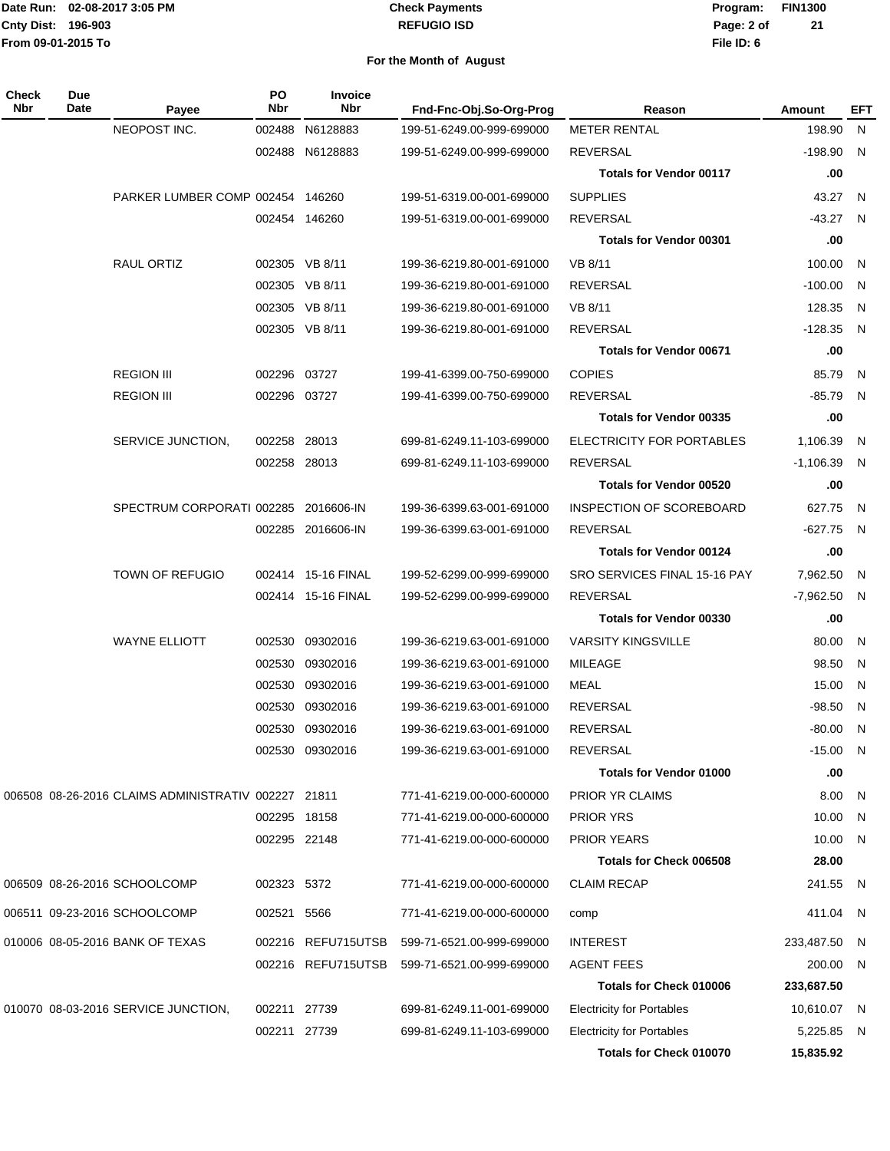#### **REFUGIO ISD Check Payments**

**02-08-2017 3:05 PM Program: FIN1300 File ID: 6 Page: 2 of 21**

| Check<br>Nbr | Due<br>Date | Payee                                               | PO<br>Nbr    | Invoice<br>Nbr     | Fnd-Fnc-Obj.So-Org-Prog   | Reason                           | Amount        | EFT                     |
|--------------|-------------|-----------------------------------------------------|--------------|--------------------|---------------------------|----------------------------------|---------------|-------------------------|
|              |             | NEOPOST INC.                                        | 002488       | N6128883           | 199-51-6249.00-999-699000 | <b>METER RENTAL</b>              | 198.90        | N                       |
|              |             |                                                     |              | 002488 N6128883    | 199-51-6249.00-999-699000 | REVERSAL                         | $-198.90$ N   |                         |
|              |             |                                                     |              |                    |                           | <b>Totals for Vendor 00117</b>   | .00           |                         |
|              |             | PARKER LUMBER COMP 002454 146260                    |              |                    | 199-51-6319.00-001-699000 | <b>SUPPLIES</b>                  | 43.27         | N                       |
|              |             |                                                     |              | 002454 146260      | 199-51-6319.00-001-699000 | <b>REVERSAL</b>                  | $-43.27$ N    |                         |
|              |             |                                                     |              |                    |                           | <b>Totals for Vendor 00301</b>   | .00           |                         |
|              |             | RAUL ORTIZ                                          |              | 002305 VB 8/11     | 199-36-6219.80-001-691000 | VB 8/11                          | 100.00        | N                       |
|              |             |                                                     |              | 002305 VB 8/11     | 199-36-6219.80-001-691000 | <b>REVERSAL</b>                  | $-100.00$     | - N                     |
|              |             |                                                     |              | 002305 VB 8/11     | 199-36-6219.80-001-691000 | VB 8/11                          | 128.35        | N                       |
|              |             |                                                     |              | 002305 VB 8/11     | 199-36-6219.80-001-691000 | <b>REVERSAL</b>                  | $-128.35$ N   |                         |
|              |             |                                                     |              |                    |                           | <b>Totals for Vendor 00671</b>   | .00           |                         |
|              |             | <b>REGION III</b>                                   | 002296 03727 |                    | 199-41-6399.00-750-699000 | <b>COPIES</b>                    | 85.79         | N.                      |
|              |             | <b>REGION III</b>                                   | 002296 03727 |                    | 199-41-6399.00-750-699000 | REVERSAL                         | $-85.79$ N    |                         |
|              |             |                                                     |              |                    |                           | <b>Totals for Vendor 00335</b>   | .00           |                         |
|              |             | SERVICE JUNCTION,                                   | 002258 28013 |                    | 699-81-6249.11-103-699000 | ELECTRICITY FOR PORTABLES        | 1,106.39      | N.                      |
|              |             |                                                     | 002258 28013 |                    | 699-81-6249.11-103-699000 | <b>REVERSAL</b>                  | $-1,106.39$   | $\mathsf{N}$            |
|              |             |                                                     |              |                    |                           | <b>Totals for Vendor 00520</b>   | .00           |                         |
|              |             | SPECTRUM CORPORATI 002285                           |              | 2016606-IN         | 199-36-6399.63-001-691000 | INSPECTION OF SCOREBOARD         | 627.75        | N                       |
|              |             |                                                     |              | 002285 2016606-IN  | 199-36-6399.63-001-691000 | <b>REVERSAL</b>                  | -627.75 N     |                         |
|              |             |                                                     |              |                    |                           | <b>Totals for Vendor 00124</b>   | .00           |                         |
|              |             | <b>TOWN OF REFUGIO</b>                              |              | 002414 15-16 FINAL | 199-52-6299.00-999-699000 | SRO SERVICES FINAL 15-16 PAY     | 7,962.50      | $\overline{N}$          |
|              |             |                                                     |              | 002414 15-16 FINAL | 199-52-6299.00-999-699000 | REVERSAL                         | $-7,962.50$ N |                         |
|              |             |                                                     |              |                    |                           | <b>Totals for Vendor 00330</b>   | .00           |                         |
|              |             | <b>WAYNE ELLIOTT</b>                                | 002530       | 09302016           | 199-36-6219.63-001-691000 | <b>VARSITY KINGSVILLE</b>        | 80.00         | N.                      |
|              |             |                                                     | 002530       | 09302016           | 199-36-6219.63-001-691000 | <b>MILEAGE</b>                   | 98.50         | N                       |
|              |             |                                                     | 002530       | 09302016           | 199-36-6219.63-001-691000 | <b>MEAL</b>                      | 15.00         | $\overline{\mathsf{N}}$ |
|              |             |                                                     | 002530       | 09302016           | 199-36-6219.63-001-691000 | <b>REVERSAL</b>                  | $-98.50$      | N                       |
|              |             |                                                     | 002530       | 09302016           | 199-36-6219.63-001-691000 | REVERSAL                         | $-80.00$      | N.                      |
|              |             |                                                     |              | 002530 09302016    | 199-36-6219.63-001-691000 | <b>REVERSAL</b>                  | $-15.00$ N    |                         |
|              |             |                                                     |              |                    |                           | <b>Totals for Vendor 01000</b>   | .00           |                         |
|              |             | 006508 08-26-2016 CLAIMS ADMINISTRATIV 002227 21811 |              |                    | 771-41-6219.00-000-600000 | PRIOR YR CLAIMS                  | 8.00          | $\overline{N}$          |
|              |             |                                                     | 002295 18158 |                    | 771-41-6219.00-000-600000 | <b>PRIOR YRS</b>                 | 10.00 N       |                         |
|              |             |                                                     | 002295 22148 |                    | 771-41-6219.00-000-600000 | <b>PRIOR YEARS</b>               | 10.00 N       |                         |
|              |             |                                                     |              |                    |                           | Totals for Check 006508          | 28.00         |                         |
|              |             | 006509 08-26-2016 SCHOOLCOMP                        | 002323 5372  |                    | 771-41-6219.00-000-600000 | <b>CLAIM RECAP</b>               | 241.55 N      |                         |
|              |             |                                                     |              |                    |                           |                                  |               |                         |
|              |             | 006511 09-23-2016 SCHOOLCOMP                        | 002521       | 5566               | 771-41-6219.00-000-600000 | comp                             | 411.04 N      |                         |
|              |             | 010006 08-05-2016 BANK OF TEXAS                     |              | 002216 REFU715UTSB | 599-71-6521.00-999-699000 | <b>INTEREST</b>                  | 233,487.50 N  |                         |
|              |             |                                                     |              | 002216 REFU715UTSB | 599-71-6521.00-999-699000 | <b>AGENT FEES</b>                | 200.00 N      |                         |
|              |             |                                                     |              |                    |                           | Totals for Check 010006          | 233,687.50    |                         |
|              |             | 010070 08-03-2016 SERVICE JUNCTION,                 | 002211 27739 |                    | 699-81-6249.11-001-699000 | <b>Electricity for Portables</b> | 10,610.07 N   |                         |
|              |             |                                                     | 002211 27739 |                    | 699-81-6249.11-103-699000 | <b>Electricity for Portables</b> | 5,225.85 N    |                         |
|              |             |                                                     |              |                    |                           | <b>Totals for Check 010070</b>   | 15,835.92     |                         |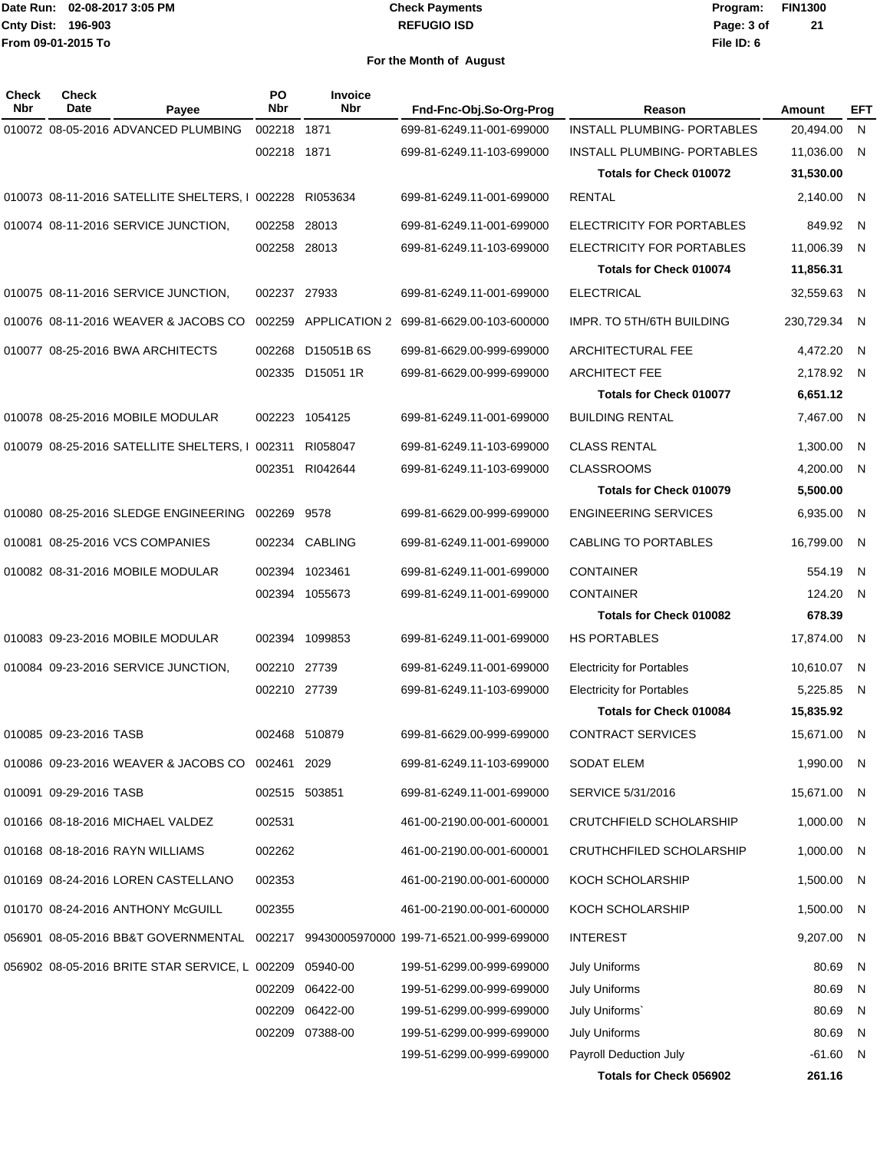#### **REFUGIO ISD Check Payments**

**02-08-2017 3:05 PM Program: FIN1300 File ID: 6 Page: 3 of 21**

| Check<br><b>Nbr</b> | <b>Check</b><br>Date   | Payee                                            | PO<br>Nbr    | <b>Invoice</b><br><b>Nbr</b> | Fnd-Fnc-Obj.So-Org-Prog                                                             | Reason                             | Amount     | EFT          |
|---------------------|------------------------|--------------------------------------------------|--------------|------------------------------|-------------------------------------------------------------------------------------|------------------------------------|------------|--------------|
|                     |                        | 010072 08-05-2016 ADVANCED PLUMBING              | 002218       | 1871                         | 699-81-6249.11-001-699000                                                           | <b>INSTALL PLUMBING- PORTABLES</b> | 20,494.00  | $\mathsf{N}$ |
|                     |                        |                                                  | 002218 1871  |                              | 699-81-6249.11-103-699000                                                           | INSTALL PLUMBING- PORTABLES        | 11,036.00  | N            |
|                     |                        |                                                  |              |                              |                                                                                     | <b>Totals for Check 010072</b>     | 31,530.00  |              |
|                     |                        | 010073 08-11-2016 SATELLITE SHELTERS, I 002228   |              | RI053634                     | 699-81-6249.11-001-699000                                                           | <b>RENTAL</b>                      | 2,140.00   | N            |
|                     |                        | 010074 08-11-2016 SERVICE JUNCTION,              | 002258 28013 |                              | 699-81-6249.11-001-699000                                                           | ELECTRICITY FOR PORTABLES          | 849.92     | N.           |
|                     |                        |                                                  | 002258 28013 |                              | 699-81-6249.11-103-699000                                                           | ELECTRICITY FOR PORTABLES          | 11,006.39  | N            |
|                     |                        |                                                  |              |                              |                                                                                     | <b>Totals for Check 010074</b>     | 11,856.31  |              |
|                     |                        | 010075 08-11-2016 SERVICE JUNCTION,              | 002237 27933 |                              | 699-81-6249.11-001-699000                                                           | <b>ELECTRICAL</b>                  | 32,559.63  | - N          |
|                     |                        | 010076 08-11-2016 WEAVER & JACOBS CO             | 002259       | <b>APPLICATION 2</b>         | 699-81-6629.00-103-600000                                                           | IMPR. TO 5TH/6TH BUILDING          | 230,729.34 | N            |
|                     |                        | 010077 08-25-2016 BWA ARCHITECTS                 | 002268       | D15051B 6S                   | 699-81-6629.00-999-699000                                                           | <b>ARCHITECTURAL FEE</b>           | 4,472.20   | -N           |
|                     |                        |                                                  |              | 002335 D15051 1R             | 699-81-6629.00-999-699000                                                           | <b>ARCHITECT FEE</b>               | 2,178.92   | - N          |
|                     |                        |                                                  |              |                              |                                                                                     | <b>Totals for Check 010077</b>     | 6,651.12   |              |
|                     |                        | 010078 08-25-2016 MOBILE MODULAR                 |              | 002223 1054125               | 699-81-6249.11-001-699000                                                           | <b>BUILDING RENTAL</b>             | 7,467.00   | N.           |
|                     |                        | 010079 08-25-2016 SATELLITE SHELTERS, I 002311   |              | RI058047                     | 699-81-6249.11-103-699000                                                           | <b>CLASS RENTAL</b>                | 1,300.00   | N            |
|                     |                        |                                                  | 002351       | RI042644                     | 699-81-6249.11-103-699000                                                           | <b>CLASSROOMS</b>                  | 4,200.00   | N            |
|                     |                        |                                                  |              |                              |                                                                                     | <b>Totals for Check 010079</b>     | 5,500.00   |              |
|                     |                        | 010080 08-25-2016 SLEDGE ENGINEERING             | 002269       | 9578                         | 699-81-6629.00-999-699000                                                           | <b>ENGINEERING SERVICES</b>        | 6,935.00   | N            |
|                     |                        | 010081 08-25-2016 VCS COMPANIES                  | 002234       | <b>CABLING</b>               | 699-81-6249.11-001-699000                                                           | CABLING TO PORTABLES               | 16,799.00  | N            |
|                     |                        | 010082 08-31-2016 MOBILE MODULAR                 |              | 002394 1023461               | 699-81-6249.11-001-699000                                                           | <b>CONTAINER</b>                   | 554.19     | - N          |
|                     |                        |                                                  |              | 002394 1055673               | 699-81-6249.11-001-699000                                                           | <b>CONTAINER</b>                   | 124.20     | -N           |
|                     |                        |                                                  |              |                              |                                                                                     | <b>Totals for Check 010082</b>     | 678.39     |              |
|                     |                        | 010083 09-23-2016 MOBILE MODULAR                 |              | 002394 1099853               | 699-81-6249.11-001-699000                                                           | HS PORTABLES                       | 17,874.00  | -N           |
|                     |                        | 010084 09-23-2016 SERVICE JUNCTION,              | 002210 27739 |                              | 699-81-6249.11-001-699000                                                           | <b>Electricity for Portables</b>   | 10,610.07  | - N          |
|                     |                        |                                                  | 002210 27739 |                              | 699-81-6249.11-103-699000                                                           | <b>Electricity for Portables</b>   | 5,225.85   | - N          |
|                     |                        |                                                  |              |                              |                                                                                     | <b>Totals for Check 010084</b>     | 15,835.92  |              |
|                     | 010085 09-23-2016 TASB |                                                  |              | 002468 510879                | 699-81-6629.00-999-699000                                                           | <b>CONTRACT SERVICES</b>           | 15,671.00  | N            |
|                     |                        | 010086 09-23-2016 WEAVER & JACOBS CO 002461 2029 |              |                              | 699-81-6249.11-103-699000                                                           | SODAT ELEM                         | 1,990.00 N |              |
|                     | 010091 09-29-2016 TASB |                                                  |              | 002515 503851                | 699-81-6249.11-001-699000                                                           | SERVICE 5/31/2016                  | 15,671.00  | - N          |
|                     |                        | 010166 08-18-2016 MICHAEL VALDEZ                 | 002531       |                              | 461-00-2190.00-001-600001                                                           | CRUTCHFIELD SCHOLARSHIP            | 1,000.00   | - N          |
|                     |                        | 010168 08-18-2016 RAYN WILLIAMS                  | 002262       |                              | 461-00-2190.00-001-600001                                                           | CRUTHCHFILED SCHOLARSHIP           | 1,000.00   | - N          |
|                     |                        | 010169 08-24-2016 LOREN CASTELLANO               | 002353       |                              | 461-00-2190.00-001-600000                                                           | KOCH SCHOLARSHIP                   | 1,500.00   | - N          |
|                     |                        | 010170 08-24-2016 ANTHONY McGUILL                | 002355       |                              | 461-00-2190.00-001-600000                                                           | KOCH SCHOLARSHIP                   | 1,500.00   | -N           |
|                     |                        |                                                  |              |                              | 056901 08-05-2016 BB&T GOVERNMENTAL 002217 99430005970000 199-71-6521.00-999-699000 | <b>INTEREST</b>                    | 9,207.00   | - N          |
|                     |                        | 056902 08-05-2016 BRITE STAR SERVICE, L 002209   |              | 05940-00                     | 199-51-6299.00-999-699000                                                           | <b>July Uniforms</b>               | 80.69      | N            |
|                     |                        |                                                  | 002209       | 06422-00                     | 199-51-6299.00-999-699000                                                           | <b>July Uniforms</b>               | 80.69      | N            |
|                     |                        |                                                  |              | 002209 06422-00              | 199-51-6299.00-999-699000                                                           | July Uniforms'                     | 80.69      | N            |
|                     |                        |                                                  |              | 002209 07388-00              | 199-51-6299.00-999-699000                                                           | <b>July Uniforms</b>               | 80.69      | N            |
|                     |                        |                                                  |              |                              | 199-51-6299.00-999-699000                                                           | Payroll Deduction July             | $-61.60$   | N            |
|                     |                        |                                                  |              |                              |                                                                                     | Totals for Check 056902            | 261.16     |              |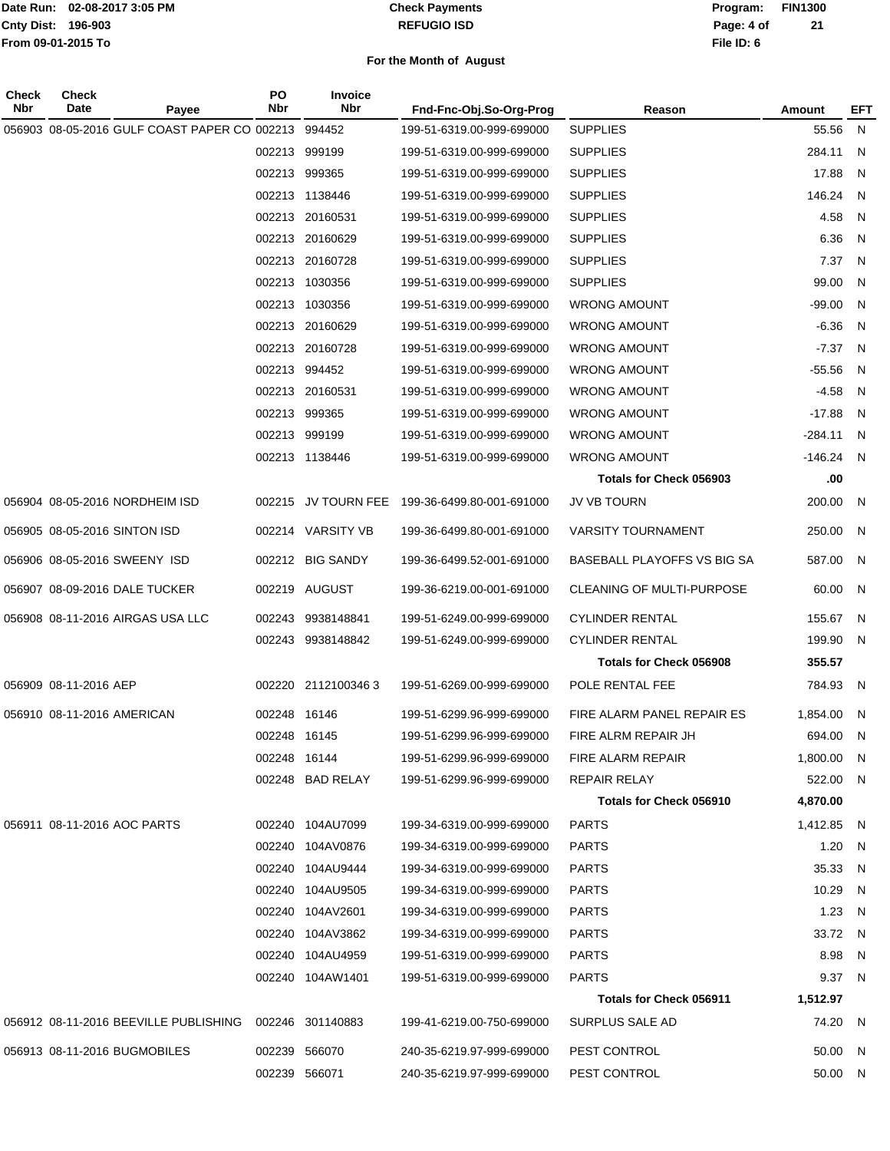#### **REFUGIO ISD Check Payments**

**02-08-2017 3:05 PM Program: FIN1300 File ID: 6 Page: 4 of 21**

| Check<br>Nbr | Check<br>Date                                          | PO<br>Nbr<br>Payee | <b>Invoice</b><br><b>Nbr</b> | Fnd-Fnc-Obj.So-Org-Prog   | Reason                         | Amount     | EFT          |
|--------------|--------------------------------------------------------|--------------------|------------------------------|---------------------------|--------------------------------|------------|--------------|
|              | 056903 08-05-2016 GULF COAST PAPER CO 002213           |                    | 994452                       | 199-51-6319.00-999-699000 | <b>SUPPLIES</b>                | 55.56      | N            |
|              |                                                        | 002213             | 999199                       | 199-51-6319.00-999-699000 | <b>SUPPLIES</b>                | 284.11     | N            |
|              |                                                        |                    | 002213 999365                | 199-51-6319.00-999-699000 | <b>SUPPLIES</b>                | 17.88      | N            |
|              |                                                        |                    | 002213 1138446               | 199-51-6319.00-999-699000 | <b>SUPPLIES</b>                | 146.24     | N            |
|              |                                                        |                    | 002213 20160531              | 199-51-6319.00-999-699000 | <b>SUPPLIES</b>                | 4.58       | N            |
|              |                                                        |                    | 002213 20160629              | 199-51-6319.00-999-699000 | <b>SUPPLIES</b>                | 6.36       | N            |
|              |                                                        |                    | 002213 20160728              | 199-51-6319.00-999-699000 | <b>SUPPLIES</b>                | 7.37       | N            |
|              |                                                        |                    | 002213 1030356               | 199-51-6319.00-999-699000 | <b>SUPPLIES</b>                | 99.00      | N            |
|              |                                                        |                    | 002213 1030356               | 199-51-6319.00-999-699000 | <b>WRONG AMOUNT</b>            | -99.00     | N            |
|              |                                                        |                    | 002213 20160629              | 199-51-6319.00-999-699000 | <b>WRONG AMOUNT</b>            | $-6.36$    | N            |
|              |                                                        |                    | 002213 20160728              | 199-51-6319.00-999-699000 | <b>WRONG AMOUNT</b>            | $-7.37$    | N            |
|              |                                                        | 002213             | 994452                       | 199-51-6319.00-999-699000 | <b>WRONG AMOUNT</b>            | $-55.56$   | N            |
|              |                                                        |                    | 002213 20160531              | 199-51-6319.00-999-699000 | <b>WRONG AMOUNT</b>            | $-4.58$    | N            |
|              |                                                        |                    | 002213 999365                | 199-51-6319.00-999-699000 | <b>WRONG AMOUNT</b>            | $-17.88$   | N            |
|              |                                                        |                    | 002213 999199                | 199-51-6319.00-999-699000 | <b>WRONG AMOUNT</b>            | $-284.11$  | N            |
|              |                                                        |                    | 002213 1138446               | 199-51-6319.00-999-699000 | <b>WRONG AMOUNT</b>            | $-146.24$  | N.           |
|              |                                                        |                    |                              |                           | <b>Totals for Check 056903</b> | .00        |              |
|              | 056904 08-05-2016 NORDHEIM ISD                         |                    | 002215 JV TOURN FEE          | 199-36-6499.80-001-691000 | JV VB TOURN                    | 200.00     | -N           |
|              | 056905 08-05-2016 SINTON ISD                           |                    | 002214 VARSITY VB            | 199-36-6499.80-001-691000 | <b>VARSITY TOURNAMENT</b>      | 250.00     | N.           |
|              | 056906 08-05-2016 SWEENY ISD                           |                    | 002212 BIG SANDY             | 199-36-6499.52-001-691000 | BASEBALL PLAYOFFS VS BIG SA    | 587.00     | -N           |
|              | 056907 08-09-2016 DALE TUCKER                          |                    | 002219 AUGUST                | 199-36-6219.00-001-691000 | CLEANING OF MULTI-PURPOSE      | 60.00      | N.           |
|              | 056908 08-11-2016 AIRGAS USA LLC                       | 002243             | 9938148841                   | 199-51-6249.00-999-699000 | <b>CYLINDER RENTAL</b>         | 155.67     | N.           |
|              |                                                        |                    | 002243 9938148842            | 199-51-6249.00-999-699000 | <b>CYLINDER RENTAL</b>         | 199.90     | N            |
|              |                                                        |                    |                              |                           | <b>Totals for Check 056908</b> | 355.57     |              |
|              | 056909 08-11-2016 AEP                                  | 002220             | 21121003463                  | 199-51-6269.00-999-699000 | POLE RENTAL FEE                | 784.93     | N.           |
|              | 056910 08-11-2016 AMERICAN                             |                    | 002248 16146                 | 199-51-6299.96-999-699000 | FIRE ALARM PANEL REPAIR ES     | 1,854.00   | N            |
|              |                                                        |                    | 002248 16145                 | 199-51-6299.96-999-699000 | FIRE ALRM REPAIR JH            | 694.00     | <sub>N</sub> |
|              |                                                        |                    | 002248 16144                 | 199-51-6299.96-999-699000 | FIRE ALARM REPAIR              | 1,800.00 N |              |
|              |                                                        |                    | 002248 BAD RELAY             | 199-51-6299.96-999-699000 | REPAIR RELAY                   | 522.00 N   |              |
|              |                                                        |                    |                              |                           | Totals for Check 056910        | 4,870.00   |              |
|              | 056911 08-11-2016 AOC PARTS                            |                    | 002240 104AU7099             | 199-34-6319.00-999-699000 | <b>PARTS</b>                   | 1,412.85 N |              |
|              |                                                        |                    | 002240 104AV0876             | 199-34-6319.00-999-699000 | <b>PARTS</b>                   | 1.20 $N$   |              |
|              |                                                        |                    | 002240 104AU9444             | 199-34-6319.00-999-699000 | <b>PARTS</b>                   | 35.33 N    |              |
|              |                                                        |                    | 002240 104AU9505             | 199-34-6319.00-999-699000 | <b>PARTS</b>                   | 10.29 N    |              |
|              |                                                        |                    | 002240 104AV2601             | 199-34-6319.00-999-699000 | <b>PARTS</b>                   | 1.23 N     |              |
|              |                                                        |                    | 002240 104AV3862             | 199-34-6319.00-999-699000 | <b>PARTS</b>                   | 33.72 N    |              |
|              |                                                        |                    | 002240 104AU4959             | 199-51-6319.00-999-699000 | <b>PARTS</b>                   | 8.98 N     |              |
|              |                                                        |                    | 002240 104AW1401             | 199-51-6319.00-999-699000 | <b>PARTS</b>                   | 9.37 N     |              |
|              |                                                        |                    |                              |                           | Totals for Check 056911        | 1,512.97   |              |
|              | 056912 08-11-2016 BEEVILLE PUBLISHING 002246 301140883 |                    |                              | 199-41-6219.00-750-699000 | SURPLUS SALE AD                | 74.20 N    |              |
|              | 056913 08-11-2016 BUGMOBILES                           |                    | 002239 566070                | 240-35-6219.97-999-699000 | PEST CONTROL                   | 50.00 N    |              |
|              |                                                        |                    | 002239 566071                | 240-35-6219.97-999-699000 | PEST CONTROL                   | 50.00 N    |              |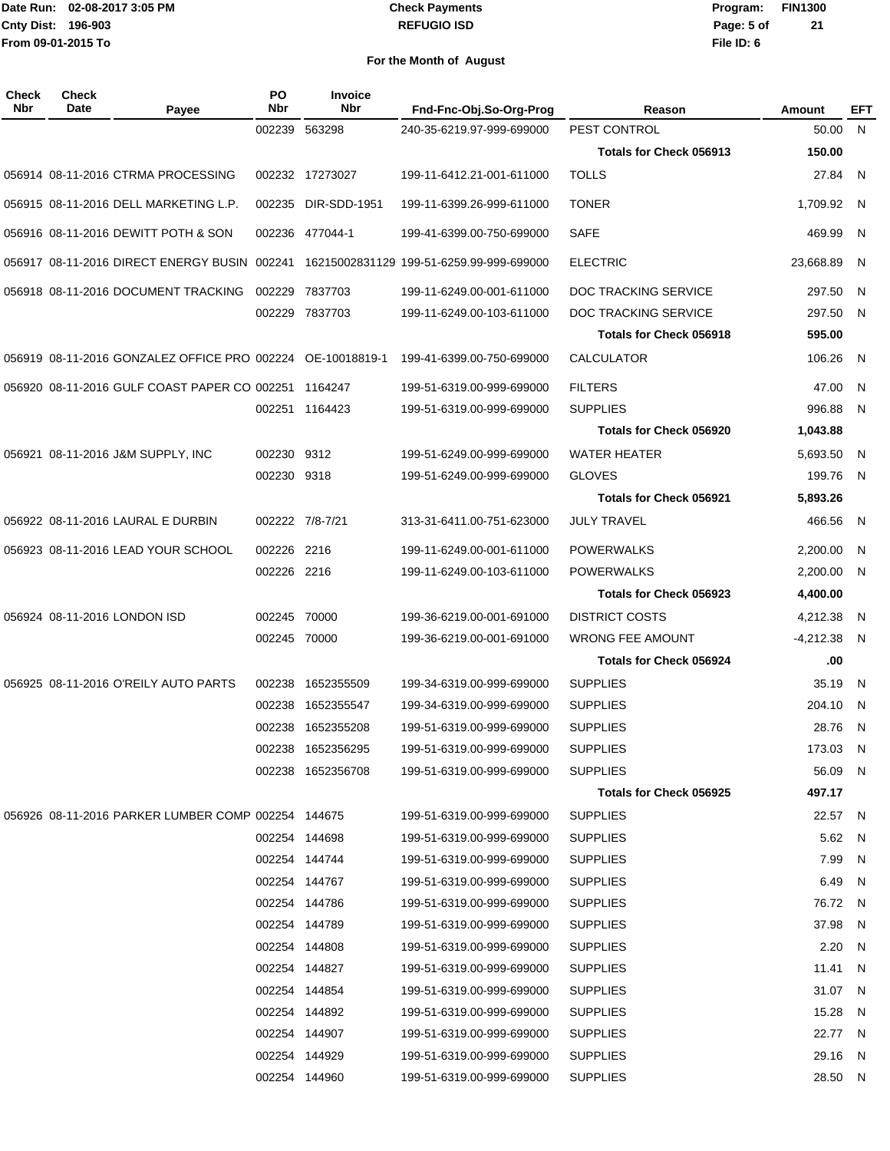#### **REFUGIO ISD Check Payments**

**02-08-2017 3:05 PM Program: FIN1300 File ID: 6 Page: 5 of 21**

| Check<br>Nbr | <b>Check</b><br>Date | Payee                                                      | PO<br>Nbr    | <b>Invoice</b><br><b>Nbr</b> | Fnd-Fnc-Obj.So-Org-Prog                  | Reason                         | Amount    | EFT          |
|--------------|----------------------|------------------------------------------------------------|--------------|------------------------------|------------------------------------------|--------------------------------|-----------|--------------|
|              |                      |                                                            | 002239       | 563298                       | 240-35-6219.97-999-699000                | PEST CONTROL                   | 50.00     | N.           |
|              |                      |                                                            |              |                              |                                          | <b>Totals for Check 056913</b> | 150.00    |              |
|              |                      | 056914 08-11-2016 CTRMA PROCESSING                         |              | 002232 17273027              | 199-11-6412.21-001-611000                | <b>TOLLS</b>                   | 27.84     | N            |
|              |                      | 056915 08-11-2016 DELL MARKETING L.P.                      | 002235       | DIR-SDD-1951                 | 199-11-6399.26-999-611000                | <b>TONER</b>                   | 1,709.92  | -N           |
|              |                      | 056916 08-11-2016 DEWITT POTH & SON                        |              | 002236 477044-1              | 199-41-6399.00-750-699000                | <b>SAFE</b>                    | 469.99    | N            |
|              |                      | 056917 08-11-2016 DIRECT ENERGY BUSIN 002241               |              |                              | 16215002831129 199-51-6259.99-999-699000 | <b>ELECTRIC</b>                | 23,668.89 | N            |
|              |                      | 056918 08-11-2016 DOCUMENT TRACKING                        | 002229       | 7837703                      | 199-11-6249.00-001-611000                | DOC TRACKING SERVICE           | 297.50    | N            |
|              |                      |                                                            |              | 002229 7837703               | 199-11-6249.00-103-611000                | DOC TRACKING SERVICE           | 297.50    | N            |
|              |                      |                                                            |              |                              |                                          | <b>Totals for Check 056918</b> | 595.00    |              |
|              |                      | 056919 08-11-2016 GONZALEZ OFFICE PRO 002224 OE-10018819-1 |              |                              | 199-41-6399.00-750-699000                | <b>CALCULATOR</b>              | 106.26    | N            |
|              |                      | 056920 08-11-2016 GULF COAST PAPER CO 002251               |              | 1164247                      | 199-51-6319.00-999-699000                | <b>FILTERS</b>                 | 47.00     | N            |
|              |                      |                                                            |              | 002251 1164423               | 199-51-6319.00-999-699000                | <b>SUPPLIES</b>                | 996.88    | N            |
|              |                      |                                                            |              |                              |                                          | <b>Totals for Check 056920</b> | 1,043.88  |              |
|              |                      | 056921 08-11-2016 J&M SUPPLY, INC                          | 002230       | 9312                         | 199-51-6249.00-999-699000                | <b>WATER HEATER</b>            | 5,693.50  | N            |
|              |                      |                                                            | 002230       | 9318                         | 199-51-6249.00-999-699000                | <b>GLOVES</b>                  | 199.76    | N            |
|              |                      |                                                            |              |                              |                                          | <b>Totals for Check 056921</b> | 5,893.26  |              |
|              |                      | 056922 08-11-2016 LAURAL E DURBIN                          |              | 002222 7/8-7/21              | 313-31-6411.00-751-623000                | <b>JULY TRAVEL</b>             | 466.56    | N            |
|              |                      | 056923 08-11-2016 LEAD YOUR SCHOOL                         | 002226       | 2216                         | 199-11-6249.00-001-611000                | <b>POWERWALKS</b>              | 2,200.00  | N            |
|              |                      |                                                            | 002226 2216  |                              | 199-11-6249.00-103-611000                | <b>POWERWALKS</b>              | 2,200.00  | N            |
|              |                      |                                                            |              |                              |                                          | <b>Totals for Check 056923</b> | 4,400.00  |              |
|              |                      | 056924 08-11-2016 LONDON ISD                               | 002245 70000 |                              | 199-36-6219.00-001-691000                | <b>DISTRICT COSTS</b>          | 4,212.38  | N            |
|              |                      |                                                            | 002245 70000 |                              | 199-36-6219.00-001-691000                | <b>WRONG FEE AMOUNT</b>        | -4,212.38 | <sub>N</sub> |
|              |                      |                                                            |              |                              |                                          | Totals for Check 056924        | .00       |              |
|              |                      | 056925 08-11-2016 O'REILY AUTO PARTS                       | 002238       | 1652355509                   | 199-34-6319.00-999-699000                | <b>SUPPLIES</b>                | 35.19     | N            |
|              |                      |                                                            | 002238       | 1652355547                   | 199-34-6319.00-999-699000                | <b>SUPPLIES</b>                | 204.10    | N            |
|              |                      |                                                            | 002238       | 1652355208                   | 199-51-6319.00-999-699000                | <b>SUPPLIES</b>                | 28.76     | N            |
|              |                      |                                                            |              | 002238 1652356295            | 199-51-6319.00-999-699000                | <b>SUPPLIES</b>                | 173.03    | -N           |
|              |                      |                                                            |              | 002238 1652356708            | 199-51-6319.00-999-699000                | <b>SUPPLIES</b>                | 56.09     | N            |
|              |                      |                                                            |              |                              |                                          | Totals for Check 056925        | 497.17    |              |
|              |                      | 056926 08-11-2016 PARKER LUMBER COMP 002254 144675         |              |                              | 199-51-6319.00-999-699000                | <b>SUPPLIES</b>                | 22.57 N   |              |
|              |                      |                                                            |              | 002254 144698                | 199-51-6319.00-999-699000                | <b>SUPPLIES</b>                | 5.62      | N.           |
|              |                      |                                                            |              | 002254 144744                | 199-51-6319.00-999-699000                | <b>SUPPLIES</b>                | 7.99      | -N           |
|              |                      |                                                            |              | 002254 144767                | 199-51-6319.00-999-699000                | <b>SUPPLIES</b>                | 6.49      | N            |
|              |                      |                                                            |              | 002254 144786                | 199-51-6319.00-999-699000                | <b>SUPPLIES</b>                | 76.72 N   |              |
|              |                      |                                                            |              | 002254 144789                | 199-51-6319.00-999-699000                | <b>SUPPLIES</b>                | 37.98     | N            |
|              |                      |                                                            |              | 002254 144808                | 199-51-6319.00-999-699000                | <b>SUPPLIES</b>                | 2.20      | - N          |
|              |                      |                                                            |              | 002254 144827                | 199-51-6319.00-999-699000                | <b>SUPPLIES</b>                | 11.41     | N            |
|              |                      |                                                            |              | 002254 144854                | 199-51-6319.00-999-699000                | <b>SUPPLIES</b>                | 31.07 N   |              |
|              |                      |                                                            |              | 002254 144892                | 199-51-6319.00-999-699000                | <b>SUPPLIES</b>                | 15.28     | N            |
|              |                      |                                                            |              | 002254 144907                | 199-51-6319.00-999-699000                | <b>SUPPLIES</b>                | 22.77 N   |              |
|              |                      |                                                            |              | 002254 144929                | 199-51-6319.00-999-699000                | <b>SUPPLIES</b>                | 29.16     | N            |
|              |                      |                                                            |              | 002254 144960                | 199-51-6319.00-999-699000                | <b>SUPPLIES</b>                | 28.50 N   |              |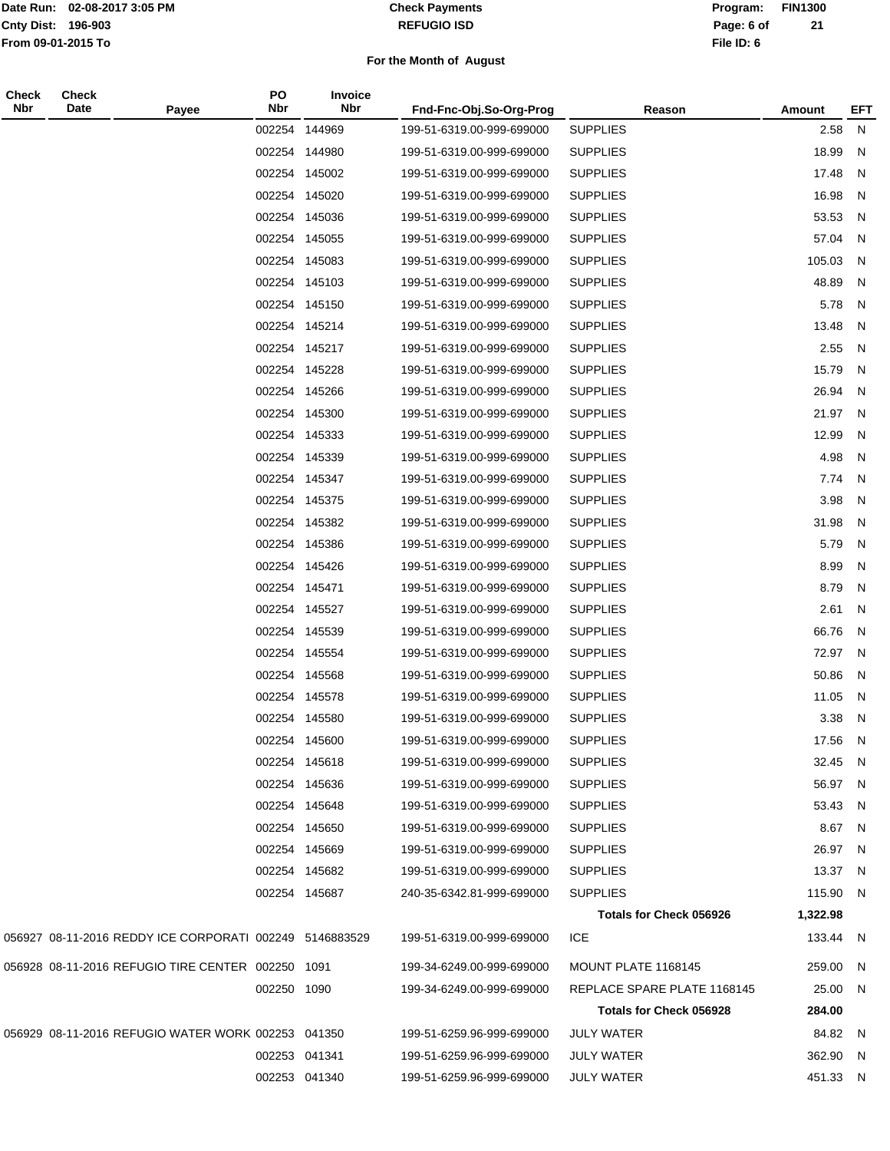#### **REFUGIO ISD Check Payments**

**02-08-2017 3:05 PM Program: FIN1300 File ID: 6 Page: 6 of 21**

| <b>Check</b><br>Nbr | <b>Check</b><br>Date | Payee                                                   | PO<br>Nbr     | Invoice<br>Nbr | Fnd-Fnc-Obj.So-Org-Prog   | Reason                         | Amount   | <b>EFT</b>     |
|---------------------|----------------------|---------------------------------------------------------|---------------|----------------|---------------------------|--------------------------------|----------|----------------|
|                     |                      |                                                         | 002254        | 144969         | 199-51-6319.00-999-699000 | <b>SUPPLIES</b>                | 2.58     | ${\sf N}$      |
|                     |                      |                                                         |               | 002254 144980  | 199-51-6319.00-999-699000 | <b>SUPPLIES</b>                | 18.99    | N              |
|                     |                      |                                                         |               | 002254 145002  | 199-51-6319.00-999-699000 | <b>SUPPLIES</b>                | 17.48    | $\mathsf{N}$   |
|                     |                      |                                                         |               | 002254 145020  | 199-51-6319.00-999-699000 | <b>SUPPLIES</b>                | 16.98    | N              |
|                     |                      |                                                         |               | 002254 145036  | 199-51-6319.00-999-699000 | <b>SUPPLIES</b>                | 53.53    | N              |
|                     |                      |                                                         |               | 002254 145055  | 199-51-6319.00-999-699000 | <b>SUPPLIES</b>                | 57.04    | N              |
|                     |                      |                                                         |               | 002254 145083  | 199-51-6319.00-999-699000 | <b>SUPPLIES</b>                | 105.03   | N              |
|                     |                      |                                                         |               | 002254 145103  | 199-51-6319.00-999-699000 | <b>SUPPLIES</b>                | 48.89    | N              |
|                     |                      |                                                         |               | 002254 145150  | 199-51-6319.00-999-699000 | <b>SUPPLIES</b>                | 5.78     | N              |
|                     |                      |                                                         |               | 002254 145214  | 199-51-6319.00-999-699000 | <b>SUPPLIES</b>                | 13.48    | N              |
|                     |                      |                                                         |               | 002254 145217  | 199-51-6319.00-999-699000 | <b>SUPPLIES</b>                | 2.55     | N              |
|                     |                      |                                                         |               | 002254 145228  | 199-51-6319.00-999-699000 | <b>SUPPLIES</b>                | 15.79    | N              |
|                     |                      |                                                         |               | 002254 145266  | 199-51-6319.00-999-699000 | <b>SUPPLIES</b>                | 26.94    | $\mathsf{N}$   |
|                     |                      |                                                         |               | 002254 145300  | 199-51-6319.00-999-699000 | <b>SUPPLIES</b>                | 21.97    | N              |
|                     |                      |                                                         |               | 002254 145333  | 199-51-6319.00-999-699000 | <b>SUPPLIES</b>                | 12.99    | N              |
|                     |                      |                                                         |               | 002254 145339  | 199-51-6319.00-999-699000 | <b>SUPPLIES</b>                | 4.98     | N              |
|                     |                      |                                                         |               | 002254 145347  | 199-51-6319.00-999-699000 | <b>SUPPLIES</b>                | 7.74     | N              |
|                     |                      |                                                         |               | 002254 145375  | 199-51-6319.00-999-699000 | <b>SUPPLIES</b>                | 3.98     | N              |
|                     |                      |                                                         |               | 002254 145382  | 199-51-6319.00-999-699000 | <b>SUPPLIES</b>                | 31.98    | $\mathsf{N}$   |
|                     |                      |                                                         |               | 002254 145386  | 199-51-6319.00-999-699000 | <b>SUPPLIES</b>                | 5.79     | N              |
|                     |                      |                                                         |               | 002254 145426  | 199-51-6319.00-999-699000 | <b>SUPPLIES</b>                | 8.99     | $\mathsf{N}$   |
|                     |                      |                                                         | 002254 145471 |                | 199-51-6319.00-999-699000 | <b>SUPPLIES</b>                | 8.79     | N              |
|                     |                      |                                                         |               | 002254 145527  | 199-51-6319.00-999-699000 | <b>SUPPLIES</b>                | 2.61     | N              |
|                     |                      |                                                         |               | 002254 145539  | 199-51-6319.00-999-699000 | <b>SUPPLIES</b>                | 66.76    | $\overline{N}$ |
|                     |                      |                                                         |               | 002254 145554  | 199-51-6319.00-999-699000 | <b>SUPPLIES</b>                | 72.97    | N              |
|                     |                      |                                                         |               | 002254 145568  | 199-51-6319.00-999-699000 | <b>SUPPLIES</b>                | 50.86    | N              |
|                     |                      |                                                         |               | 002254 145578  | 199-51-6319.00-999-699000 | <b>SUPPLIES</b>                | 11.05    | N              |
|                     |                      |                                                         |               | 002254 145580  | 199-51-6319.00-999-699000 | <b>SUPPLIES</b>                | 3.38     | N              |
|                     |                      |                                                         |               | 002254 145600  | 199-51-6319.00-999-699000 | <b>SUPPLIES</b>                | 17.56    | - N            |
|                     |                      |                                                         |               | 002254 145618  | 199-51-6319.00-999-699000 | <b>SUPPLIES</b>                | 32.45 N  |                |
|                     |                      |                                                         |               | 002254 145636  | 199-51-6319.00-999-699000 | <b>SUPPLIES</b>                | 56.97 N  |                |
|                     |                      |                                                         |               | 002254 145648  | 199-51-6319.00-999-699000 | <b>SUPPLIES</b>                | 53.43 N  |                |
|                     |                      |                                                         |               | 002254 145650  | 199-51-6319.00-999-699000 | <b>SUPPLIES</b>                | 8.67 N   |                |
|                     |                      |                                                         |               | 002254 145669  | 199-51-6319.00-999-699000 | <b>SUPPLIES</b>                | 26.97 N  |                |
|                     |                      |                                                         |               | 002254 145682  | 199-51-6319.00-999-699000 | <b>SUPPLIES</b>                | 13.37 N  |                |
|                     |                      |                                                         |               | 002254 145687  | 240-35-6342.81-999-699000 | <b>SUPPLIES</b>                | 115.90 N |                |
|                     |                      |                                                         |               |                |                           | <b>Totals for Check 056926</b> | 1,322.98 |                |
|                     |                      | 056927 08-11-2016 REDDY ICE CORPORATI 002249 5146883529 |               |                | 199-51-6319.00-999-699000 | <b>ICE</b>                     | 133.44 N |                |
|                     |                      | 056928 08-11-2016 REFUGIO TIRE CENTER 002250 1091       |               |                | 199-34-6249.00-999-699000 | MOUNT PLATE 1168145            | 259.00   | N              |
|                     |                      |                                                         | 002250 1090   |                | 199-34-6249.00-999-699000 | REPLACE SPARE PLATE 1168145    | 25.00 N  |                |
|                     |                      |                                                         |               |                |                           | Totals for Check 056928        | 284.00   |                |
|                     |                      | 056929 08-11-2016 REFUGIO WATER WORK 002253 041350      |               |                | 199-51-6259.96-999-699000 | <b>JULY WATER</b>              | 84.82 N  |                |
|                     |                      |                                                         |               | 002253 041341  | 199-51-6259.96-999-699000 | JULY WATER                     | 362.90 N |                |
|                     |                      |                                                         |               | 002253 041340  | 199-51-6259.96-999-699000 | <b>JULY WATER</b>              | 451.33 N |                |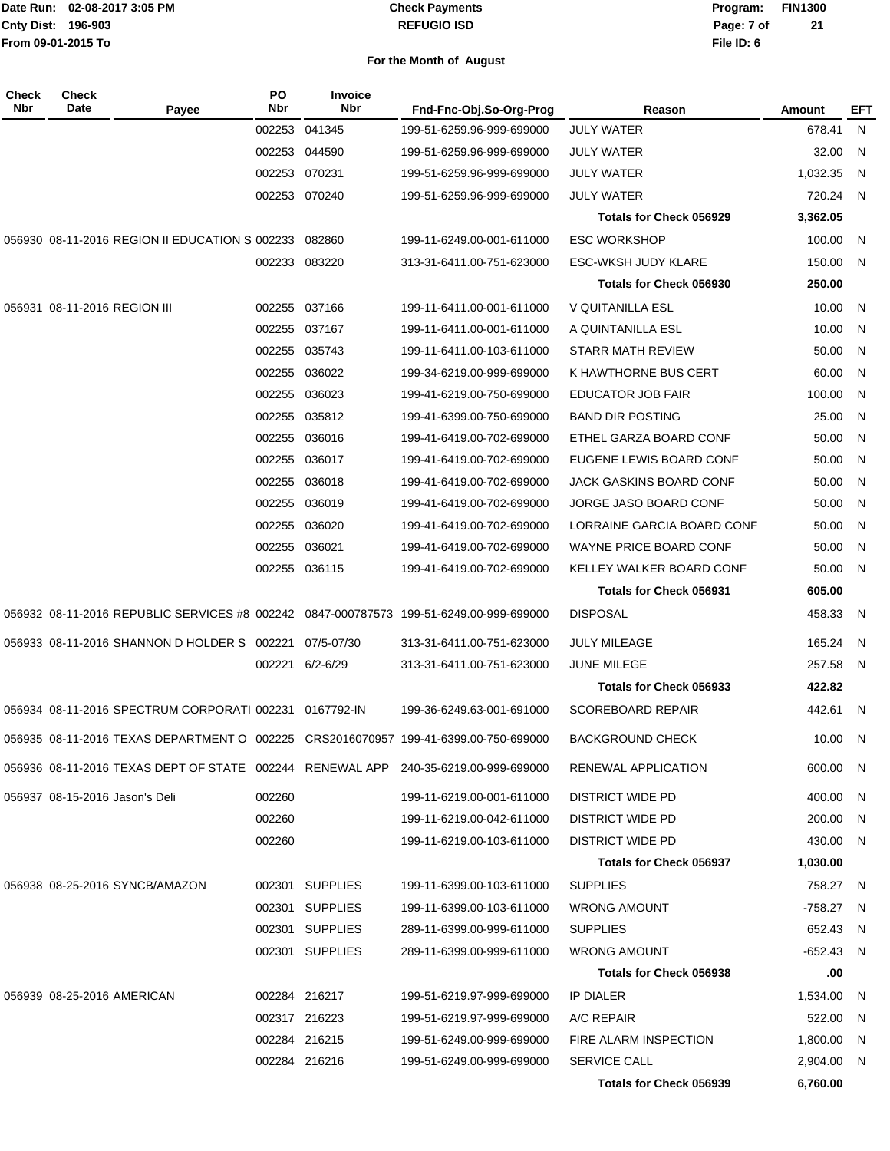#### **REFUGIO ISD Check Payments**

**02-08-2017 3:05 PM Program: FIN1300 File ID: 6 Page: 7 of 21**

| Check<br><b>Nbr</b> | <b>Check</b><br>Date           | Payee                                                  | PO<br><b>Nbr</b> | <b>Invoice</b><br><b>Nbr</b> | Fnd-Fnc-Obj.So-Org-Prog                                                                | Reason                         | Amount      | <b>EFT</b> |
|---------------------|--------------------------------|--------------------------------------------------------|------------------|------------------------------|----------------------------------------------------------------------------------------|--------------------------------|-------------|------------|
|                     |                                |                                                        |                  | 002253 041345                | 199-51-6259.96-999-699000                                                              | <b>JULY WATER</b>              | 678.41      | N          |
|                     |                                |                                                        |                  | 002253 044590                | 199-51-6259.96-999-699000                                                              | JULY WATER                     | 32.00       | - N        |
|                     |                                |                                                        |                  | 002253 070231                | 199-51-6259.96-999-699000                                                              | <b>JULY WATER</b>              | 1,032.35    | - N        |
|                     |                                |                                                        |                  | 002253 070240                | 199-51-6259.96-999-699000                                                              | JULY WATER                     | 720.24      | - N        |
|                     |                                |                                                        |                  |                              |                                                                                        | <b>Totals for Check 056929</b> | 3,362.05    |            |
|                     |                                | 056930 08-11-2016 REGION II EDUCATION S 002233 082860  |                  |                              | 199-11-6249.00-001-611000                                                              | <b>ESC WORKSHOP</b>            | 100.00      | - N        |
|                     |                                |                                                        |                  | 002233 083220                | 313-31-6411.00-751-623000                                                              | ESC-WKSH JUDY KLARE            | 150.00      | - N        |
|                     |                                |                                                        |                  |                              |                                                                                        | Totals for Check 056930        | 250.00      |            |
|                     | 056931 08-11-2016 REGION III   |                                                        |                  | 002255 037166                | 199-11-6411.00-001-611000                                                              | V QUITANILLA ESL               | 10.00       | - N        |
|                     |                                |                                                        |                  | 002255 037167                | 199-11-6411.00-001-611000                                                              | A QUINTANILLA ESL              | 10.00       | N          |
|                     |                                |                                                        |                  | 002255 035743                | 199-11-6411.00-103-611000                                                              | <b>STARR MATH REVIEW</b>       | 50.00       | -N         |
|                     |                                |                                                        |                  | 002255 036022                | 199-34-6219.00-999-699000                                                              | K HAWTHORNE BUS CERT           | 60.00       | - N        |
|                     |                                |                                                        |                  | 002255 036023                | 199-41-6219.00-750-699000                                                              | <b>EDUCATOR JOB FAIR</b>       | 100.00      | -N         |
|                     |                                |                                                        |                  | 002255 035812                | 199-41-6399.00-750-699000                                                              | <b>BAND DIR POSTING</b>        | 25.00       | -N         |
|                     |                                |                                                        |                  | 002255 036016                | 199-41-6419.00-702-699000                                                              | ETHEL GARZA BOARD CONF         | 50.00       | - N        |
|                     |                                |                                                        |                  | 002255 036017                | 199-41-6419.00-702-699000                                                              | EUGENE LEWIS BOARD CONF        | 50.00       | - N        |
|                     |                                |                                                        |                  | 002255 036018                | 199-41-6419.00-702-699000                                                              | JACK GASKINS BOARD CONF        | 50.00       | -N         |
|                     |                                |                                                        |                  | 002255 036019                | 199-41-6419.00-702-699000                                                              | JORGE JASO BOARD CONF          | 50.00       | N          |
|                     |                                |                                                        |                  | 002255 036020                | 199-41-6419.00-702-699000                                                              | LORRAINE GARCIA BOARD CONF     | 50.00       | -N         |
|                     |                                |                                                        |                  | 002255 036021                | 199-41-6419.00-702-699000                                                              | WAYNE PRICE BOARD CONF         | 50.00       | - N        |
|                     |                                |                                                        |                  | 002255 036115                | 199-41-6419.00-702-699000                                                              | KELLEY WALKER BOARD CONF       | 50.00       | - N        |
|                     |                                |                                                        |                  |                              |                                                                                        | <b>Totals for Check 056931</b> | 605.00      |            |
|                     |                                |                                                        |                  |                              | 056932 08-11-2016 REPUBLIC SERVICES #8 002242 0847-000787573 199-51-6249.00-999-699000 | <b>DISPOSAL</b>                | 458.33      | - N        |
|                     |                                | 056933 08-11-2016 SHANNON D HOLDER S 002221            |                  | 07/5-07/30                   | 313-31-6411.00-751-623000                                                              | <b>JULY MILEAGE</b>            | 165.24      | -N         |
|                     |                                |                                                        |                  | 002221 6/2-6/29              | 313-31-6411.00-751-623000                                                              | <b>JUNE MILEGE</b>             | 257.58      | N          |
|                     |                                |                                                        |                  |                              |                                                                                        | Totals for Check 056933        | 422.82      |            |
|                     |                                | 056934 08-11-2016 SPECTRUM CORPORATI 002231 0167792-IN |                  |                              | 199-36-6249.63-001-691000                                                              | <b>SCOREBOARD REPAIR</b>       | 442.61 N    |            |
|                     |                                |                                                        |                  |                              | 056935 08-11-2016 TEXAS DEPARTMENT O 002225 CRS2016070957 199-41-6399.00-750-699000    | <b>BACKGROUND CHECK</b>        | 10.00 N     |            |
|                     |                                |                                                        |                  |                              | 056936_08-11-2016_TEXAS_DEPT_OF_STATE__002244__RENEWAL_APP__240-35-6219.00-999-699000  | RENEWAL APPLICATION            | 600.00 N    |            |
|                     | 056937 08-15-2016 Jason's Deli |                                                        | 002260           |                              | 199-11-6219.00-001-611000                                                              | <b>DISTRICT WIDE PD</b>        | 400.00 N    |            |
|                     |                                |                                                        | 002260           |                              | 199-11-6219.00-042-611000                                                              | <b>DISTRICT WIDE PD</b>        | 200.00 N    |            |
|                     |                                |                                                        | 002260           |                              | 199-11-6219.00-103-611000                                                              | DISTRICT WIDE PD               | 430.00 N    |            |
|                     |                                |                                                        |                  |                              |                                                                                        | Totals for Check 056937        | 1,030.00    |            |
|                     |                                | 056938 08-25-2016 SYNCB/AMAZON                         |                  | 002301 SUPPLIES              | 199-11-6399.00-103-611000                                                              | <b>SUPPLIES</b>                | 758.27 N    |            |
|                     |                                |                                                        |                  | 002301 SUPPLIES              | 199-11-6399.00-103-611000                                                              | <b>WRONG AMOUNT</b>            | -758.27 N   |            |
|                     |                                |                                                        |                  | 002301 SUPPLIES              | 289-11-6399.00-999-611000                                                              | <b>SUPPLIES</b>                | 652.43 N    |            |
|                     |                                |                                                        |                  | 002301 SUPPLIES              | 289-11-6399.00-999-611000                                                              | <b>WRONG AMOUNT</b>            | $-652.43$ N |            |
|                     |                                |                                                        |                  |                              |                                                                                        | Totals for Check 056938        | .00         |            |
|                     | 056939 08-25-2016 AMERICAN     |                                                        |                  | 002284 216217                | 199-51-6219.97-999-699000                                                              | <b>IP DIALER</b>               | 1,534.00 N  |            |
|                     |                                |                                                        |                  | 002317 216223                | 199-51-6219.97-999-699000                                                              | A/C REPAIR                     | 522.00 N    |            |
|                     |                                |                                                        |                  | 002284 216215                | 199-51-6249.00-999-699000                                                              | FIRE ALARM INSPECTION          | 1,800.00 N  |            |
|                     |                                |                                                        |                  | 002284 216216                | 199-51-6249.00-999-699000                                                              | <b>SERVICE CALL</b>            | 2,904.00 N  |            |
|                     |                                |                                                        |                  |                              |                                                                                        | Totals for Check 056939        | 6,760.00    |            |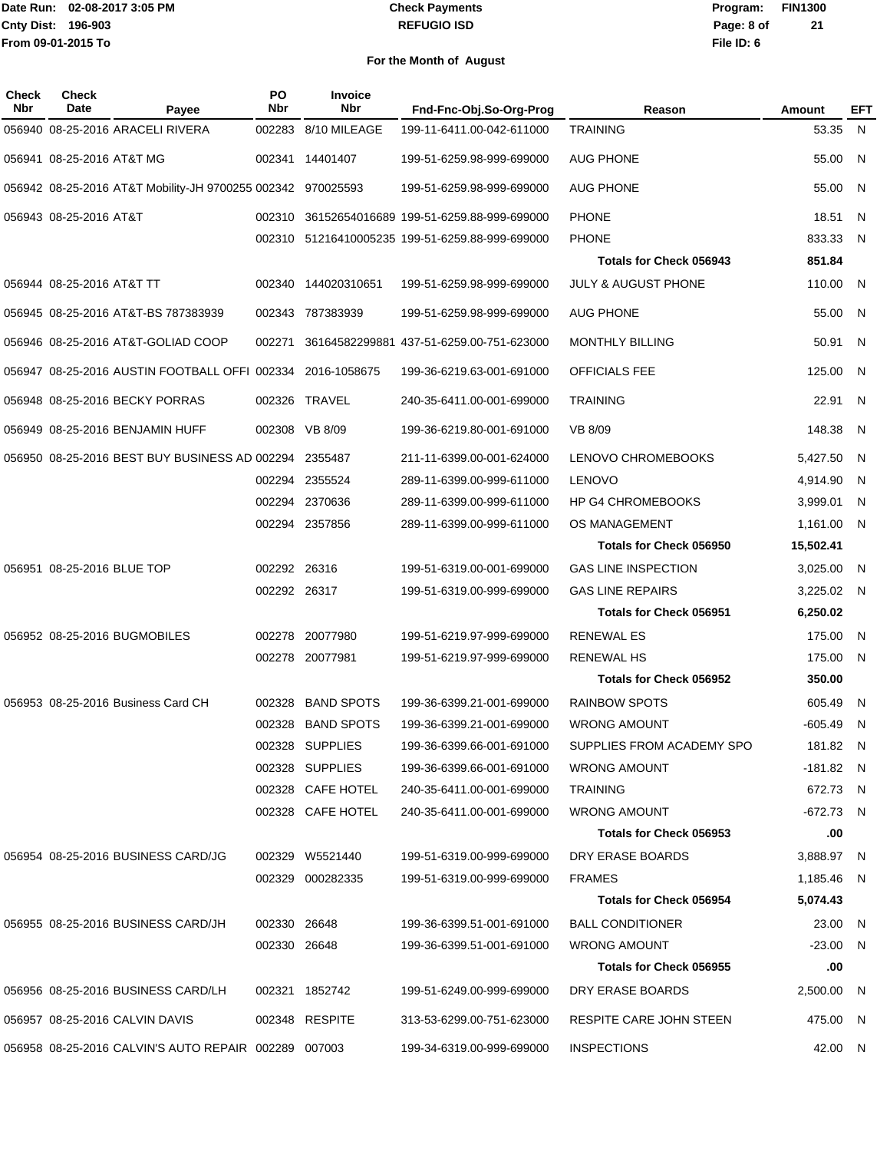#### **REFUGIO ISD Check Payments**

**02-08-2017 3:05 PM Program: FIN1300 File ID: 6 Page: 8 of 21**

| Check<br><b>Nbr</b> | <b>Check</b><br>Date       | Payee                                                       | PO<br>Nbr    | Invoice<br><b>Nbr</b> | Fnd-Fnc-Obj.So-Org-Prog                         | Reason                         | Amount      | EFT |
|---------------------|----------------------------|-------------------------------------------------------------|--------------|-----------------------|-------------------------------------------------|--------------------------------|-------------|-----|
|                     |                            | 056940 08-25-2016 ARACELI RIVERA                            | 002283       | 8/10 MILEAGE          | 199-11-6411.00-042-611000                       | <b>TRAINING</b>                | 53.35       | N   |
|                     | 056941 08-25-2016 AT&T MG  |                                                             | 002341       | 14401407              | 199-51-6259.98-999-699000                       | <b>AUG PHONE</b>               | 55.00       | -N  |
|                     |                            | 056942 08-25-2016 AT&T Mobility-JH 9700255 002342 970025593 |              |                       | 199-51-6259.98-999-699000                       | <b>AUG PHONE</b>               | 55.00       | - N |
|                     | 056943 08-25-2016 AT&T     |                                                             | 002310       |                       | 36152654016689 199-51-6259.88-999-699000        | <b>PHONE</b>                   | 18.51       | N   |
|                     |                            |                                                             |              |                       | 002310 51216410005235 199-51-6259.88-999-699000 | <b>PHONE</b>                   | 833.33      | -N  |
|                     |                            |                                                             |              |                       |                                                 | Totals for Check 056943        | 851.84      |     |
|                     | 056944 08-25-2016 AT&T TT  |                                                             | 002340       | 144020310651          | 199-51-6259.98-999-699000                       | <b>JULY &amp; AUGUST PHONE</b> | 110.00      | - N |
|                     |                            | 056945 08-25-2016 AT&T-BS 787383939                         | 002343       | 787383939             | 199-51-6259.98-999-699000                       | <b>AUG PHONE</b>               | 55.00       | N   |
|                     |                            | 056946 08-25-2016 AT&T-GOLIAD COOP                          | 002271       |                       | 36164582299881 437-51-6259.00-751-623000        | <b>MONTHLY BILLING</b>         | 50.91       | - N |
|                     |                            | 056947 08-25-2016 AUSTIN FOOTBALL OFFI 002334               |              | 2016-1058675          | 199-36-6219.63-001-691000                       | <b>OFFICIALS FEE</b>           | 125.00      | - N |
|                     |                            | 056948 08-25-2016 BECKY PORRAS                              |              | 002326 TRAVEL         | 240-35-6411.00-001-699000                       | <b>TRAINING</b>                | 22.91       | -N  |
|                     |                            | 056949 08-25-2016 BENJAMIN HUFF                             |              | 002308 VB 8/09        | 199-36-6219.80-001-691000                       | VB 8/09                        | 148.38      | -N  |
|                     |                            | 056950 08-25-2016 BEST BUY BUSINESS AD 002294 2355487       |              |                       | 211-11-6399.00-001-624000                       | <b>LENOVO CHROMEBOOKS</b>      | 5,427.50    | - N |
|                     |                            |                                                             | 002294       | 2355524               | 289-11-6399.00-999-611000                       | <b>LENOVO</b>                  | 4,914.90    | -N  |
|                     |                            |                                                             |              | 002294 2370636        | 289-11-6399.00-999-611000                       | <b>HP G4 CHROMEBOOKS</b>       | 3,999.01    | -N  |
|                     |                            |                                                             |              | 002294 2357856        | 289-11-6399.00-999-611000                       | OS MANAGEMENT                  | 1,161.00    | -N  |
|                     |                            |                                                             |              |                       |                                                 | Totals for Check 056950        | 15,502.41   |     |
|                     | 056951 08-25-2016 BLUE TOP |                                                             | 002292 26316 |                       | 199-51-6319.00-001-699000                       | <b>GAS LINE INSPECTION</b>     | 3,025.00    | - N |
|                     |                            |                                                             | 002292 26317 |                       | 199-51-6319.00-999-699000                       | <b>GAS LINE REPAIRS</b>        | 3,225.02    | - N |
|                     |                            |                                                             |              |                       |                                                 | <b>Totals for Check 056951</b> | 6,250.02    |     |
|                     |                            | 056952 08-25-2016 BUGMOBILES                                | 002278       | 20077980              | 199-51-6219.97-999-699000                       | <b>RENEWAL ES</b>              | 175.00      | N   |
|                     |                            |                                                             |              | 002278 20077981       | 199-51-6219.97-999-699000                       | <b>RENEWAL HS</b>              | 175.00      | -N  |
|                     |                            |                                                             |              |                       |                                                 | Totals for Check 056952        | 350.00      |     |
|                     |                            | 056953 08-25-2016 Business Card CH                          | 002328       | <b>BAND SPOTS</b>     | 199-36-6399.21-001-699000                       | <b>RAINBOW SPOTS</b>           | 605.49      | N   |
|                     |                            |                                                             | 002328       | <b>BAND SPOTS</b>     | 199-36-6399.21-001-699000                       | <b>WRONG AMOUNT</b>            | -605.49     | -N  |
|                     |                            |                                                             |              | 002328 SUPPLIES       | 199-36-6399.66-001-691000                       | SUPPLIES FROM ACADEMY SPO      | 181.82 N    |     |
|                     |                            |                                                             |              | 002328 SUPPLIES       | 199-36-6399.66-001-691000                       | <b>WRONG AMOUNT</b>            | $-181.82$ N |     |
|                     |                            |                                                             |              | 002328 CAFE HOTEL     | 240-35-6411.00-001-699000                       | <b>TRAINING</b>                | 672.73 N    |     |
|                     |                            |                                                             |              | 002328 CAFE HOTEL     | 240-35-6411.00-001-699000                       | <b>WRONG AMOUNT</b>            | -672.73 N   |     |
|                     |                            |                                                             |              |                       |                                                 | Totals for Check 056953        | .00         |     |
|                     |                            | 056954 08-25-2016 BUSINESS CARD/JG                          |              | 002329 W5521440       | 199-51-6319.00-999-699000                       | DRY ERASE BOARDS               | 3,888.97 N  |     |
|                     |                            |                                                             |              | 002329 000282335      | 199-51-6319.00-999-699000                       | <b>FRAMES</b>                  | 1,185.46 N  |     |
|                     |                            |                                                             |              |                       |                                                 | Totals for Check 056954        | 5,074.43    |     |
|                     |                            | 056955 08-25-2016 BUSINESS CARD/JH                          | 002330 26648 |                       | 199-36-6399.51-001-691000                       | <b>BALL CONDITIONER</b>        | 23.00 N     |     |
|                     |                            |                                                             | 002330 26648 |                       | 199-36-6399.51-001-691000                       | <b>WRONG AMOUNT</b>            | $-23.00$ N  |     |
|                     |                            |                                                             |              |                       |                                                 | Totals for Check 056955        | .00         |     |
|                     |                            | 056956 08-25-2016 BUSINESS CARD/LH                          |              | 002321 1852742        | 199-51-6249.00-999-699000                       | DRY ERASE BOARDS               | 2,500.00 N  |     |
|                     |                            | 056957 08-25-2016 CALVIN DAVIS                              |              | 002348 RESPITE        | 313-53-6299.00-751-623000                       | RESPITE CARE JOHN STEEN        | 475.00 N    |     |
|                     |                            | 056958 08-25-2016 CALVIN'S AUTO REPAIR 002289 007003        |              |                       | 199-34-6319.00-999-699000                       | <b>INSPECTIONS</b>             | 42.00 N     |     |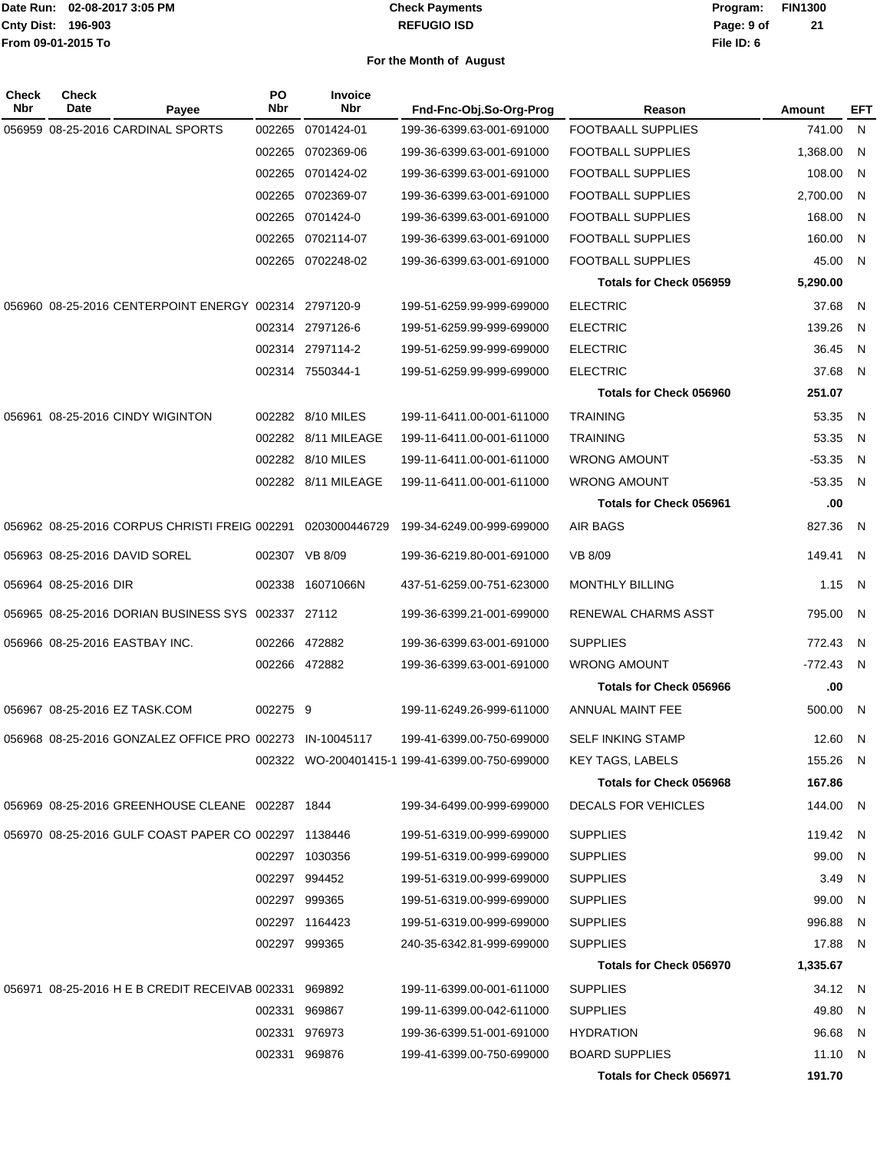#### **REFUGIO ISD Check Payments**

**02-08-2017 3:05 PM Program: FIN1300 File ID: 6 Page: 9 of 21**

| Check<br>Nbr | <b>Check</b><br>Date<br>Payee                               | PO<br>Nbr | <b>Invoice</b><br><b>Nbr</b> | Fnd-Fnc-Obj.So-Org-Prog                         | Reason                         | Amount   | EFT |
|--------------|-------------------------------------------------------------|-----------|------------------------------|-------------------------------------------------|--------------------------------|----------|-----|
|              | 056959 08-25-2016 CARDINAL SPORTS                           | 002265    | 0701424-01                   | 199-36-6399.63-001-691000                       | FOOTBAALL SUPPLIES             | 741.00   | N,  |
|              |                                                             | 002265    | 0702369-06                   | 199-36-6399.63-001-691000                       | <b>FOOTBALL SUPPLIES</b>       | 1,368.00 | N   |
|              |                                                             | 002265    | 0701424-02                   | 199-36-6399.63-001-691000                       | <b>FOOTBALL SUPPLIES</b>       | 108.00   | N   |
|              |                                                             | 002265    | 0702369-07                   | 199-36-6399.63-001-691000                       | <b>FOOTBALL SUPPLIES</b>       | 2,700.00 | N   |
|              |                                                             |           | 002265 0701424-0             | 199-36-6399.63-001-691000                       | <b>FOOTBALL SUPPLIES</b>       | 168.00   | N   |
|              |                                                             |           | 002265 0702114-07            | 199-36-6399.63-001-691000                       | <b>FOOTBALL SUPPLIES</b>       | 160.00   | N   |
|              |                                                             |           | 002265 0702248-02            | 199-36-6399.63-001-691000                       | FOOTBALL SUPPLIES              | 45.00    | N   |
|              |                                                             |           |                              |                                                 | <b>Totals for Check 056959</b> | 5,290.00 |     |
|              | 056960 08-25-2016 CENTERPOINT ENERGY 002314 2797120-9       |           |                              | 199-51-6259.99-999-699000                       | <b>ELECTRIC</b>                | 37.68    | N   |
|              |                                                             |           | 002314 2797126-6             | 199-51-6259.99-999-699000                       | <b>ELECTRIC</b>                | 139.26   | N   |
|              |                                                             |           | 002314 2797114-2             | 199-51-6259.99-999-699000                       | <b>ELECTRIC</b>                | 36.45    | N   |
|              |                                                             |           | 002314 7550344-1             | 199-51-6259.99-999-699000                       | <b>ELECTRIC</b>                | 37.68    | N.  |
|              |                                                             |           |                              |                                                 | <b>Totals for Check 056960</b> | 251.07   |     |
|              | 056961 08-25-2016 CINDY WIGINTON                            |           | 002282 8/10 MILES            | 199-11-6411.00-001-611000                       | <b>TRAINING</b>                | 53.35    | - N |
|              |                                                             |           | 002282 8/11 MILEAGE          | 199-11-6411.00-001-611000                       | <b>TRAINING</b>                | 53.35    | -N  |
|              |                                                             |           | 002282 8/10 MILES            | 199-11-6411.00-001-611000                       | <b>WRONG AMOUNT</b>            | $-53.35$ | - N |
|              |                                                             |           | 002282 8/11 MILEAGE          | 199-11-6411.00-001-611000                       | <b>WRONG AMOUNT</b>            | $-53.35$ | - N |
|              |                                                             |           |                              |                                                 | Totals for Check 056961        | .00      |     |
|              | 056962 08-25-2016 CORPUS CHRISTI FREIG 002291 0203000446729 |           |                              | 199-34-6249.00-999-699000                       | AIR BAGS                       | 827.36   | -N  |
|              | 056963 08-25-2016 DAVID SOREL                               |           | 002307 VB 8/09               | 199-36-6219.80-001-691000                       | VB 8/09                        | 149.41   | - N |
|              | 056964 08-25-2016 DIR                                       |           | 002338 16071066N             | 437-51-6259.00-751-623000                       | <b>MONTHLY BILLING</b>         | 1.15     | N   |
|              | 056965 08-25-2016 DORIAN BUSINESS SYS 002337 27112          |           |                              | 199-36-6399.21-001-699000                       | RENEWAL CHARMS ASST            | 795.00   | N   |
|              | 056966 08-25-2016 EASTBAY INC.                              |           | 002266 472882                | 199-36-6399.63-001-691000                       | <b>SUPPLIES</b>                | 772.43   | - N |
|              |                                                             |           | 002266 472882                | 199-36-6399.63-001-691000                       | <b>WRONG AMOUNT</b>            | -772.43  | -N  |
|              |                                                             |           |                              |                                                 | <b>Totals for Check 056966</b> | .00      |     |
|              | 056967 08-25-2016 EZ TASK.COM                               | 002275 9  |                              | 199-11-6249.26-999-611000                       | ANNUAL MAINT FEE               | 500.00   | -N  |
|              | 056968 08-25-2016 GONZALEZ OFFICE PRO 002273 IN-10045117    |           |                              | 199-41-6399.00-750-699000                       | <b>SELF INKING STAMP</b>       | 12.60    | -N  |
|              |                                                             |           |                              | 002322 WO-200401415-1 199-41-6399.00-750-699000 | <b>KEY TAGS, LABELS</b>        | 155.26 N |     |
|              |                                                             |           |                              |                                                 | Totals for Check 056968        | 167.86   |     |
|              | 056969 08-25-2016 GREENHOUSE CLEANE 002287 1844             |           |                              | 199-34-6499.00-999-699000                       | DECALS FOR VEHICLES            | 144.00 N |     |
|              | 056970 08-25-2016 GULF COAST PAPER CO 002297 1138446        |           |                              | 199-51-6319.00-999-699000                       | <b>SUPPLIES</b>                | 119.42 N |     |
|              |                                                             |           | 002297 1030356               | 199-51-6319.00-999-699000                       | <b>SUPPLIES</b>                | 99.00    | - N |
|              |                                                             |           | 002297 994452                | 199-51-6319.00-999-699000                       | <b>SUPPLIES</b>                | 3.49     | - N |
|              |                                                             |           | 002297 999365                | 199-51-6319.00-999-699000                       | <b>SUPPLIES</b>                | 99.00    | N.  |
|              |                                                             |           | 002297 1164423               | 199-51-6319.00-999-699000                       | <b>SUPPLIES</b>                | 996.88   | - N |
|              |                                                             |           | 002297 999365                | 240-35-6342.81-999-699000                       | <b>SUPPLIES</b>                | 17.88 N  |     |
|              |                                                             |           |                              |                                                 | <b>Totals for Check 056970</b> | 1,335.67 |     |
|              | 056971 08-25-2016 H E B CREDIT RECEIVAB 002331 969892       |           |                              | 199-11-6399.00-001-611000                       | <b>SUPPLIES</b>                | 34.12 N  |     |
|              |                                                             |           | 002331 969867                | 199-11-6399.00-042-611000                       | <b>SUPPLIES</b>                | 49.80 N  |     |
|              |                                                             |           | 002331 976973                | 199-36-6399.51-001-691000                       | <b>HYDRATION</b>               | 96.68    | - N |
|              |                                                             |           | 002331 969876                | 199-41-6399.00-750-699000                       | <b>BOARD SUPPLIES</b>          | 11.10 N  |     |
|              |                                                             |           |                              |                                                 | Totals for Check 056971        | 191.70   |     |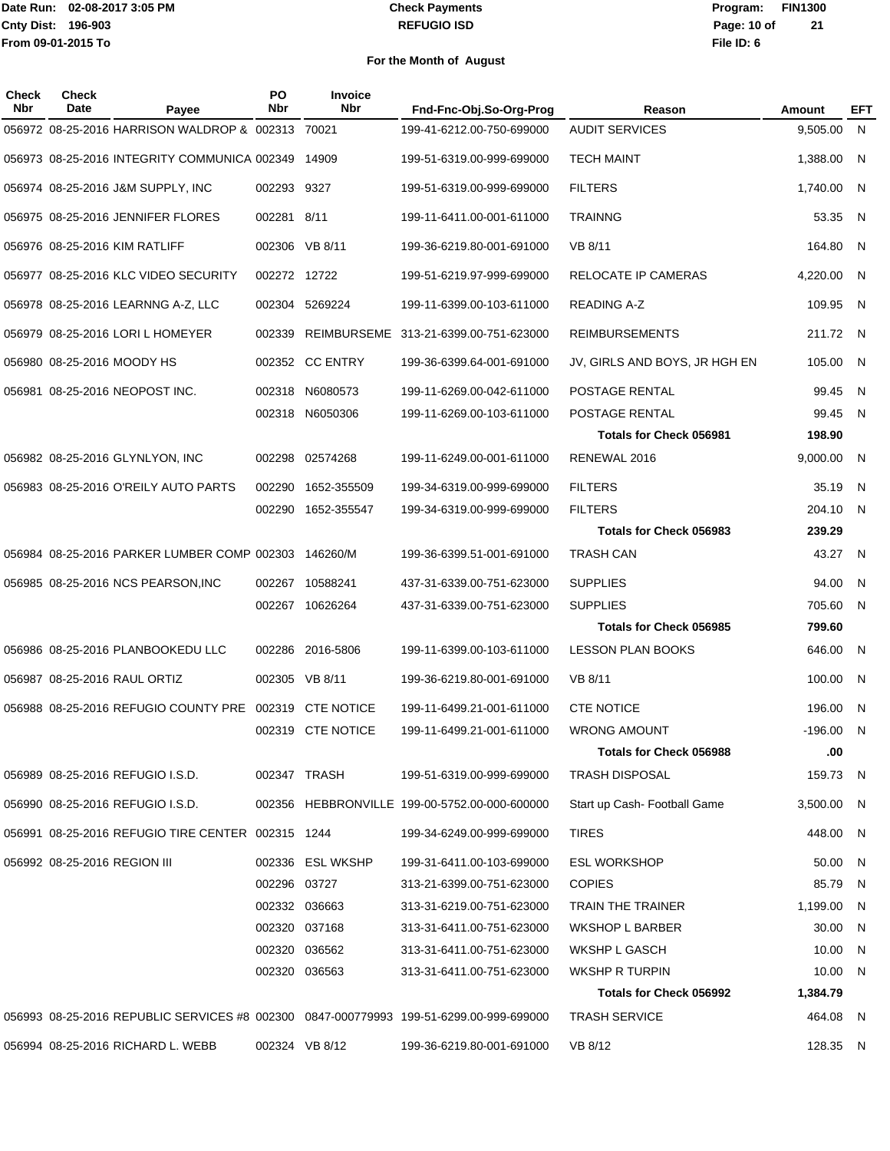#### **REFUGIO ISD Check Payments**

### **02-08-2017 3:05 PM Program: FIN1300 File ID: 6 Page: 10 of 21**

| <b>Check</b><br><b>Nbr</b> | <b>Check</b><br>Date         | Payee                                                  | PO<br>Nbr    | <b>Invoice</b><br>Nbr | Fnd-Fnc-Obj.So-Org-Prog                                                                | Reason                         | Amount     | EFT |
|----------------------------|------------------------------|--------------------------------------------------------|--------------|-----------------------|----------------------------------------------------------------------------------------|--------------------------------|------------|-----|
|                            |                              | 056972 08-25-2016 HARRISON WALDROP & 002313 70021      |              |                       | 199-41-6212.00-750-699000                                                              | <b>AUDIT SERVICES</b>          | 9,505.00   | N   |
|                            |                              | 056973 08-25-2016 INTEGRITY COMMUNICA 002349           |              | 14909                 | 199-51-6319.00-999-699000                                                              | <b>TECH MAINT</b>              | 1,388.00   | N.  |
|                            |                              | 056974 08-25-2016 J&M SUPPLY, INC                      | 002293 9327  |                       | 199-51-6319.00-999-699000                                                              | <b>FILTERS</b>                 | 1,740.00   | - N |
|                            |                              | 056975 08-25-2016 JENNIFER FLORES                      | 002281 8/11  |                       | 199-11-6411.00-001-611000                                                              | <b>TRAINNG</b>                 | 53.35      | - N |
|                            |                              | 056976 08-25-2016 KIM RATLIFF                          | 002306       | VB 8/11               | 199-36-6219.80-001-691000                                                              | VB 8/11                        | 164.80     | - N |
|                            |                              | 056977 08-25-2016 KLC VIDEO SECURITY                   | 002272 12722 |                       | 199-51-6219.97-999-699000                                                              | RELOCATE IP CAMERAS            | 4,220.00   | - N |
|                            |                              | 056978 08-25-2016 LEARNNG A-Z, LLC                     |              | 002304 5269224        | 199-11-6399.00-103-611000                                                              | <b>READING A-Z</b>             | 109.95     | - N |
|                            |                              | 056979 08-25-2016 LORI L HOMEYER                       | 002339       |                       | REIMBURSEME 313-21-6399.00-751-623000                                                  | <b>REIMBURSEMENTS</b>          | 211.72 N   |     |
|                            | 056980 08-25-2016 MOODY HS   |                                                        |              | 002352 CC ENTRY       | 199-36-6399.64-001-691000                                                              | JV, GIRLS AND BOYS, JR HGH EN  | 105.00     | - N |
|                            |                              | 056981 08-25-2016 NEOPOST INC.                         |              | 002318 N6080573       | 199-11-6269.00-042-611000                                                              | POSTAGE RENTAL                 | 99.45      | - N |
|                            |                              |                                                        |              | 002318 N6050306       | 199-11-6269.00-103-611000                                                              | POSTAGE RENTAL                 | 99.45      | N   |
|                            |                              |                                                        |              |                       |                                                                                        | <b>Totals for Check 056981</b> | 198.90     |     |
|                            |                              | 056982 08-25-2016 GLYNLYON, INC                        | 002298       | 02574268              | 199-11-6249.00-001-611000                                                              | RENEWAL 2016                   | 9,000.00   | - N |
|                            |                              | 056983 08-25-2016 O'REILY AUTO PARTS                   | 002290       | 1652-355509           | 199-34-6319.00-999-699000                                                              | <b>FILTERS</b>                 | 35.19      | -N  |
|                            |                              |                                                        |              | 002290 1652-355547    | 199-34-6319.00-999-699000                                                              | <b>FILTERS</b>                 | 204.10     | - N |
|                            |                              |                                                        |              |                       |                                                                                        | Totals for Check 056983        | 239.29     |     |
|                            |                              | 056984 08-25-2016 PARKER LUMBER COMP 002303 146260/M   |              |                       | 199-36-6399.51-001-691000                                                              | <b>TRASH CAN</b>               | 43.27      | - N |
|                            |                              | 056985 08-25-2016 NCS PEARSON, INC                     | 002267       | 10588241              | 437-31-6339.00-751-623000                                                              | <b>SUPPLIES</b>                | 94.00      | - N |
|                            |                              |                                                        |              | 002267 10626264       | 437-31-6339.00-751-623000                                                              | <b>SUPPLIES</b>                | 705.60     | N   |
|                            |                              |                                                        |              |                       |                                                                                        | Totals for Check 056985        | 799.60     |     |
|                            |                              | 056986 08-25-2016 PLANBOOKEDU LLC                      |              | 002286 2016-5806      | 199-11-6399.00-103-611000                                                              | <b>LESSON PLAN BOOKS</b>       | 646.00     | - N |
|                            |                              | 056987 08-25-2016 RAUL ORTIZ                           |              | 002305 VB 8/11        | 199-36-6219.80-001-691000                                                              | VB 8/11                        | 100.00     | -N  |
|                            |                              | 056988 08-25-2016 REFUGIO COUNTY PRE 002319 CTE NOTICE |              |                       | 199-11-6499.21-001-611000                                                              | <b>CTE NOTICE</b>              | 196.00     | -N  |
|                            |                              |                                                        |              | 002319 CTE NOTICE     | 199-11-6499.21-001-611000                                                              | <b>WRONG AMOUNT</b>            | $-196.00$  | N   |
|                            |                              |                                                        |              |                       |                                                                                        | <b>Totals for Check 056988</b> | .00        |     |
|                            |                              | 056989 08-25-2016 REFUGIO I.S.D.                       |              | 002347 TRASH          | 199-51-6319.00-999-699000                                                              | <b>TRASH DISPOSAL</b>          | 159.73 N   |     |
|                            |                              | 056990 08-25-2016 REFUGIO I.S.D.                       |              |                       | 002356 HEBBRONVILLE 199-00-5752.00-000-600000                                          | Start up Cash-Football Game    | 3,500.00 N |     |
|                            |                              | 056991 08-25-2016 REFUGIO TIRE CENTER 002315 1244      |              |                       | 199-34-6249.00-999-699000                                                              | <b>TIRES</b>                   | 448.00 N   |     |
|                            | 056992 08-25-2016 REGION III |                                                        |              | 002336 ESL WKSHP      | 199-31-6411.00-103-699000                                                              | <b>ESL WORKSHOP</b>            | 50.00 N    |     |
|                            |                              |                                                        | 002296 03727 |                       | 313-21-6399.00-751-623000                                                              | <b>COPIES</b>                  | 85.79      | N.  |
|                            |                              |                                                        |              | 002332 036663         | 313-31-6219.00-751-623000                                                              | TRAIN THE TRAINER              | 1,199.00 N |     |
|                            |                              |                                                        |              | 002320 037168         | 313-31-6411.00-751-623000                                                              | <b>WKSHOP L BARBER</b>         | 30.00      | - N |
|                            |                              |                                                        |              | 002320 036562         | 313-31-6411.00-751-623000                                                              | WKSHP L GASCH                  | 10.00 N    |     |
|                            |                              |                                                        |              | 002320 036563         | 313-31-6411.00-751-623000                                                              | WKSHP R TURPIN                 | 10.00 N    |     |
|                            |                              |                                                        |              |                       |                                                                                        | Totals for Check 056992        | 1,384.79   |     |
|                            |                              |                                                        |              |                       | 056993 08-25-2016 REPUBLIC SERVICES #8 002300 0847-000779993 199-51-6299.00-999-699000 | <b>TRASH SERVICE</b>           | 464.08 N   |     |
|                            |                              | 056994 08-25-2016 RICHARD L. WEBB                      |              | 002324 VB 8/12        | 199-36-6219.80-001-691000                                                              | VB 8/12                        | 128.35 N   |     |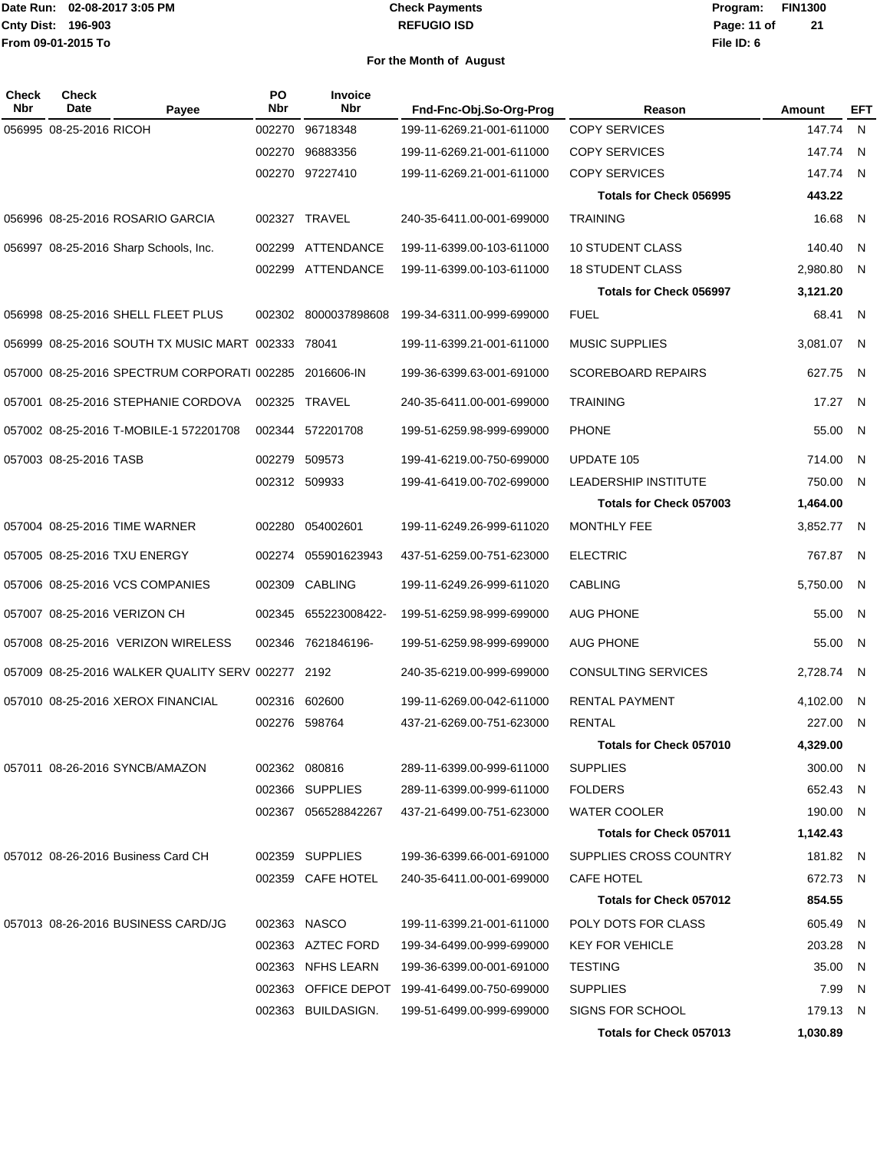#### **REFUGIO ISD Check Payments**

**02-08-2017 3:05 PM Program: FIN1300 File ID: 6 Page: 11 of 21**

| Check<br>Nbr | Check<br>Date           | Payee                                                  | PO<br>Nbr | <b>Invoice</b><br>Nbr | Fnd-Fnc-Obj.So-Org-Prog                       | Reason                         | Amount     | EFT            |
|--------------|-------------------------|--------------------------------------------------------|-----------|-----------------------|-----------------------------------------------|--------------------------------|------------|----------------|
|              | 056995 08-25-2016 RICOH |                                                        | 002270    | 96718348              | 199-11-6269.21-001-611000                     | <b>COPY SERVICES</b>           | 147.74 N   |                |
|              |                         |                                                        | 002270    | 96883356              | 199-11-6269.21-001-611000                     | <b>COPY SERVICES</b>           | 147.74     | $\overline{N}$ |
|              |                         |                                                        |           | 002270 97227410       | 199-11-6269.21-001-611000                     | <b>COPY SERVICES</b>           | 147.74 N   |                |
|              |                         |                                                        |           |                       |                                               | <b>Totals for Check 056995</b> | 443.22     |                |
|              |                         | 056996 08-25-2016 ROSARIO GARCIA                       |           | 002327 TRAVEL         | 240-35-6411.00-001-699000                     | <b>TRAINING</b>                | 16.68      | - N            |
|              |                         | 056997 08-25-2016 Sharp Schools, Inc.                  | 002299    | ATTENDANCE            | 199-11-6399.00-103-611000                     | <b>10 STUDENT CLASS</b>        | 140.40     | N              |
|              |                         |                                                        | 002299    | ATTENDANCE            | 199-11-6399.00-103-611000                     | <b>18 STUDENT CLASS</b>        | 2,980.80   | - N            |
|              |                         |                                                        |           |                       |                                               | <b>Totals for Check 056997</b> | 3,121.20   |                |
|              |                         | 056998 08-25-2016 SHELL FLEET PLUS                     |           | 002302 8000037898608  | 199-34-6311.00-999-699000                     | <b>FUEL</b>                    | 68.41      | $\overline{N}$ |
|              |                         | 056999 08-25-2016 SOUTH TX MUSIC MART 002333 78041     |           |                       | 199-11-6399.21-001-611000                     | <b>MUSIC SUPPLIES</b>          | 3,081.07 N |                |
|              |                         | 057000 08-25-2016 SPECTRUM CORPORATI 002285 2016606-IN |           |                       | 199-36-6399.63-001-691000                     | <b>SCOREBOARD REPAIRS</b>      | 627.75 N   |                |
|              |                         | 057001 08-25-2016 STEPHANIE CORDOVA                    |           | 002325 TRAVEL         | 240-35-6411.00-001-699000                     | <b>TRAINING</b>                | 17.27      | $\mathsf{N}$   |
|              |                         | 057002 08-25-2016 T-MOBILE-1 572201708                 |           | 002344 572201708      | 199-51-6259.98-999-699000                     | <b>PHONE</b>                   | 55.00      | - N            |
|              | 057003 08-25-2016 TASB  |                                                        | 002279    | 509573                | 199-41-6219.00-750-699000                     | UPDATE 105                     | 714.00     | - N            |
|              |                         |                                                        |           | 002312 509933         | 199-41-6419.00-702-699000                     | LEADERSHIP INSTITUTE           | 750.00     | N              |
|              |                         |                                                        |           |                       |                                               | Totals for Check 057003        | 1,464.00   |                |
|              |                         | 057004 08-25-2016 TIME WARNER                          | 002280    | 054002601             | 199-11-6249.26-999-611020                     | <b>MONTHLY FEE</b>             | 3,852.77   | - N            |
|              |                         | 057005 08-25-2016 TXU ENERGY                           |           | 002274 055901623943   | 437-51-6259.00-751-623000                     | <b>ELECTRIC</b>                | 767.87 N   |                |
|              |                         | 057006 08-25-2016 VCS COMPANIES                        | 002309    | <b>CABLING</b>        | 199-11-6249.26-999-611020                     | <b>CABLING</b>                 | 5,750.00   | - N            |
|              |                         | 057007 08-25-2016 VERIZON CH                           | 002345    | 655223008422-         | 199-51-6259.98-999-699000                     | <b>AUG PHONE</b>               | 55.00      | - N            |
|              |                         | 057008 08-25-2016 VERIZON WIRELESS                     |           | 002346 7621846196-    | 199-51-6259.98-999-699000                     | <b>AUG PHONE</b>               | 55.00      | N              |
|              |                         | 057009 08-25-2016 WALKER QUALITY SERV 002277 2192      |           |                       | 240-35-6219.00-999-699000                     | <b>CONSULTING SERVICES</b>     | 2,728.74   | - N            |
|              |                         | 057010 08-25-2016 XEROX FINANCIAL                      |           | 002316 602600         | 199-11-6269.00-042-611000                     | RENTAL PAYMENT                 | 4,102.00   | - N            |
|              |                         |                                                        |           | 002276 598764         | 437-21-6269.00-751-623000                     | <b>RENTAL</b>                  | 227.00 N   |                |
|              |                         |                                                        |           |                       |                                               | Totals for Check 057010        | 4,329.00   |                |
|              |                         | 057011 08-26-2016 SYNCB/AMAZON                         |           | 002362 080816         | 289-11-6399.00-999-611000                     | <b>SUPPLIES</b>                | 300.00 N   |                |
|              |                         |                                                        |           | 002366 SUPPLIES       | 289-11-6399.00-999-611000                     | <b>FOLDERS</b>                 | 652.43 N   |                |
|              |                         |                                                        |           | 002367 056528842267   | 437-21-6499.00-751-623000                     | <b>WATER COOLER</b>            | 190.00 N   |                |
|              |                         |                                                        |           |                       |                                               | <b>Totals for Check 057011</b> | 1,142.43   |                |
|              |                         | 057012 08-26-2016 Business Card CH                     |           | 002359 SUPPLIES       | 199-36-6399.66-001-691000                     | SUPPLIES CROSS COUNTRY         | 181.82 N   |                |
|              |                         |                                                        |           | 002359 CAFE HOTEL     | 240-35-6411.00-001-699000                     | <b>CAFE HOTEL</b>              | 672.73 N   |                |
|              |                         |                                                        |           |                       |                                               | <b>Totals for Check 057012</b> | 854.55     |                |
|              |                         | 057013 08-26-2016 BUSINESS CARD/JG                     |           | 002363 NASCO          | 199-11-6399.21-001-611000                     | POLY DOTS FOR CLASS            | 605.49 N   |                |
|              |                         |                                                        |           | 002363 AZTEC FORD     | 199-34-6499.00-999-699000                     | <b>KEY FOR VEHICLE</b>         | 203.28 N   |                |
|              |                         |                                                        |           | 002363 NFHS LEARN     | 199-36-6399.00-001-691000                     | <b>TESTING</b>                 | 35.00      | N              |
|              |                         |                                                        |           |                       | 002363 OFFICE DEPOT 199-41-6499.00-750-699000 | <b>SUPPLIES</b>                | 7.99       | N              |
|              |                         |                                                        |           | 002363 BUILDASIGN.    | 199-51-6499.00-999-699000                     | SIGNS FOR SCHOOL               | 179.13 N   |                |
|              |                         |                                                        |           |                       |                                               | <b>Totals for Check 057013</b> | 1,030.89   |                |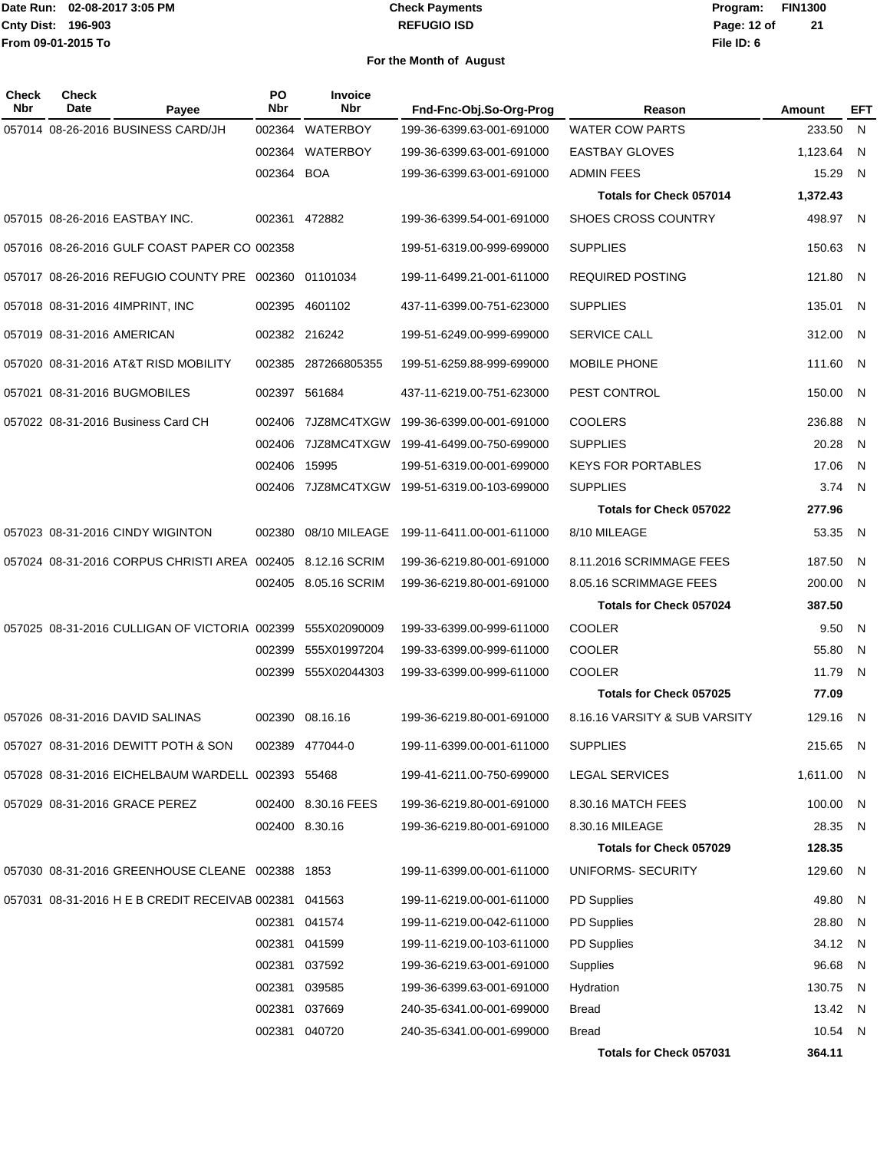#### **REFUGIO ISD Check Payments**

| Check<br>Nbr | <b>Check</b><br>Date                 | Payee                                                 | PO<br>Nbr    | <b>Invoice</b><br><b>Nbr</b> | Fnd-Fnc-Obj.So-Org-Prog   | Reason                         | Amount     | EFT                     |
|--------------|--------------------------------------|-------------------------------------------------------|--------------|------------------------------|---------------------------|--------------------------------|------------|-------------------------|
|              | 057014 08-26-2016 BUSINESS CARD/JH   |                                                       | 002364       | <b>WATERBOY</b>              | 199-36-6399.63-001-691000 | <b>WATER COW PARTS</b>         | 233.50     | N                       |
|              |                                      |                                                       | 002364       | WATERBOY                     | 199-36-6399.63-001-691000 | <b>EASTBAY GLOVES</b>          | 1,123.64   | - N                     |
|              |                                      |                                                       | 002364 BOA   |                              | 199-36-6399.63-001-691000 | <b>ADMIN FEES</b>              | 15.29      | N                       |
|              |                                      |                                                       |              |                              |                           | Totals for Check 057014        | 1,372.43   |                         |
|              | 057015 08-26-2016 EASTBAY INC.       |                                                       |              | 002361 472882                | 199-36-6399.54-001-691000 | SHOES CROSS COUNTRY            | 498.97     | $\overline{N}$          |
|              |                                      | 057016 08-26-2016 GULF COAST PAPER CO 002358          |              |                              | 199-51-6319.00-999-699000 | <b>SUPPLIES</b>                | 150.63     | - N                     |
|              |                                      | 057017 08-26-2016 REFUGIO COUNTY PRE 002360 01101034  |              |                              | 199-11-6499.21-001-611000 | <b>REQUIRED POSTING</b>        | 121.80 N   |                         |
|              | 057018 08-31-2016 4IMPRINT, INC      |                                                       |              | 002395 4601102               | 437-11-6399.00-751-623000 | <b>SUPPLIES</b>                | 135.01     | N                       |
|              | 057019 08-31-2016 AMERICAN           |                                                       |              | 002382 216242                | 199-51-6249.00-999-699000 | SERVICE CALL                   | 312.00     | -N                      |
|              | 057020 08-31-2016 AT&T RISD MOBILITY |                                                       |              | 002385 287266805355          | 199-51-6259.88-999-699000 | MOBILE PHONE                   | 111.60 N   |                         |
|              | 057021 08-31-2016 BUGMOBILES         |                                                       |              | 002397 561684                | 437-11-6219.00-751-623000 | PEST CONTROL                   | 150.00     | -N                      |
|              | 057022 08-31-2016 Business Card CH   |                                                       | 002406       | 7JZ8MC4TXGW                  | 199-36-6399.00-001-691000 | <b>COOLERS</b>                 | 236.88     | -N                      |
|              |                                      |                                                       |              | 002406 7JZ8MC4TXGW           | 199-41-6499.00-750-699000 | <b>SUPPLIES</b>                | 20.28      | N                       |
|              |                                      |                                                       | 002406 15995 |                              | 199-51-6319.00-001-699000 | <b>KEYS FOR PORTABLES</b>      | 17.06      | N.                      |
|              |                                      |                                                       |              | 002406 7JZ8MC4TXGW           | 199-51-6319.00-103-699000 | <b>SUPPLIES</b>                | 3.74 N     |                         |
|              |                                      |                                                       |              |                              |                           | Totals for Check 057022        | 277.96     |                         |
|              | 057023 08-31-2016 CINDY WIGINTON     |                                                       | 002380       | 08/10 MILEAGE                | 199-11-6411.00-001-611000 | 8/10 MILEAGE                   | 53.35      | N                       |
|              |                                      | 057024 08-31-2016 CORPUS CHRISTI AREA 002405          |              | 8.12.16 SCRIM                | 199-36-6219.80-001-691000 | 8.11.2016 SCRIMMAGE FEES       | 187.50     | -N                      |
|              |                                      |                                                       |              | 002405 8.05.16 SCRIM         | 199-36-6219.80-001-691000 | 8.05.16 SCRIMMAGE FEES         | 200.00     | - N                     |
|              |                                      |                                                       |              |                              |                           | <b>Totals for Check 057024</b> | 387.50     |                         |
|              |                                      | 057025 08-31-2016 CULLIGAN OF VICTORIA 002399         |              | 555X02090009                 | 199-33-6399.00-999-611000 | COOLER                         | 9.50       | N                       |
|              |                                      |                                                       | 002399       | 555X01997204                 | 199-33-6399.00-999-611000 | <b>COOLER</b>                  | 55.80      | N                       |
|              |                                      |                                                       |              | 002399 555X02044303          | 199-33-6399.00-999-611000 | COOLER                         | 11.79      | -N                      |
|              |                                      |                                                       |              |                              |                           | Totals for Check 057025        | 77.09      |                         |
|              | 057026 08-31-2016 DAVID SALINAS      |                                                       |              | 002390 08.16.16              | 199-36-6219.80-001-691000 | 8.16.16 VARSITY & SUB VARSITY  | 129.16     | N                       |
|              | 057027 08-31-2016 DEWITT POTH & SON  |                                                       |              | 002389 477044-0              | 199-11-6399.00-001-611000 | <b>SUPPLIES</b>                | 215.65     | $\overline{\mathsf{N}}$ |
|              |                                      | 057028 08-31-2016 EICHELBAUM WARDELL 002393 55468     |              |                              | 199-41-6211.00-750-699000 | <b>LEGAL SERVICES</b>          | 1,611.00 N |                         |
|              | 057029 08-31-2016 GRACE PEREZ        |                                                       |              | 002400 8.30.16 FEES          | 199-36-6219.80-001-691000 | 8.30.16 MATCH FEES             | 100.00     | N.                      |
|              |                                      |                                                       |              | 002400 8.30.16               | 199-36-6219.80-001-691000 | 8.30.16 MILEAGE                | 28.35 N    |                         |
|              |                                      |                                                       |              |                              |                           | <b>Totals for Check 057029</b> | 128.35     |                         |
|              |                                      | 057030 08-31-2016 GREENHOUSE CLEANE 002388 1853       |              |                              | 199-11-6399.00-001-611000 | UNIFORMS- SECURITY             | 129.60 N   |                         |
|              |                                      | 057031 08-31-2016 H E B CREDIT RECEIVAB 002381 041563 |              |                              | 199-11-6219.00-001-611000 | <b>PD Supplies</b>             | 49.80      | - N                     |
|              |                                      |                                                       |              | 002381 041574                | 199-11-6219.00-042-611000 | <b>PD Supplies</b>             | 28.80      | N.                      |
|              |                                      |                                                       |              | 002381 041599                | 199-11-6219.00-103-611000 | <b>PD Supplies</b>             | 34.12 N    |                         |
|              |                                      |                                                       |              | 002381 037592                | 199-36-6219.63-001-691000 | Supplies                       | 96.68      | N                       |
|              |                                      |                                                       |              | 002381 039585                | 199-36-6399.63-001-691000 | Hydration                      | 130.75     | N.                      |
|              |                                      |                                                       |              | 002381 037669                | 240-35-6341.00-001-699000 | <b>Bread</b>                   | 13.42 N    |                         |
|              |                                      |                                                       |              | 002381 040720                | 240-35-6341.00-001-699000 | <b>Bread</b>                   | 10.54 N    |                         |
|              |                                      |                                                       |              |                              |                           | Totals for Check 057031        | 364.11     |                         |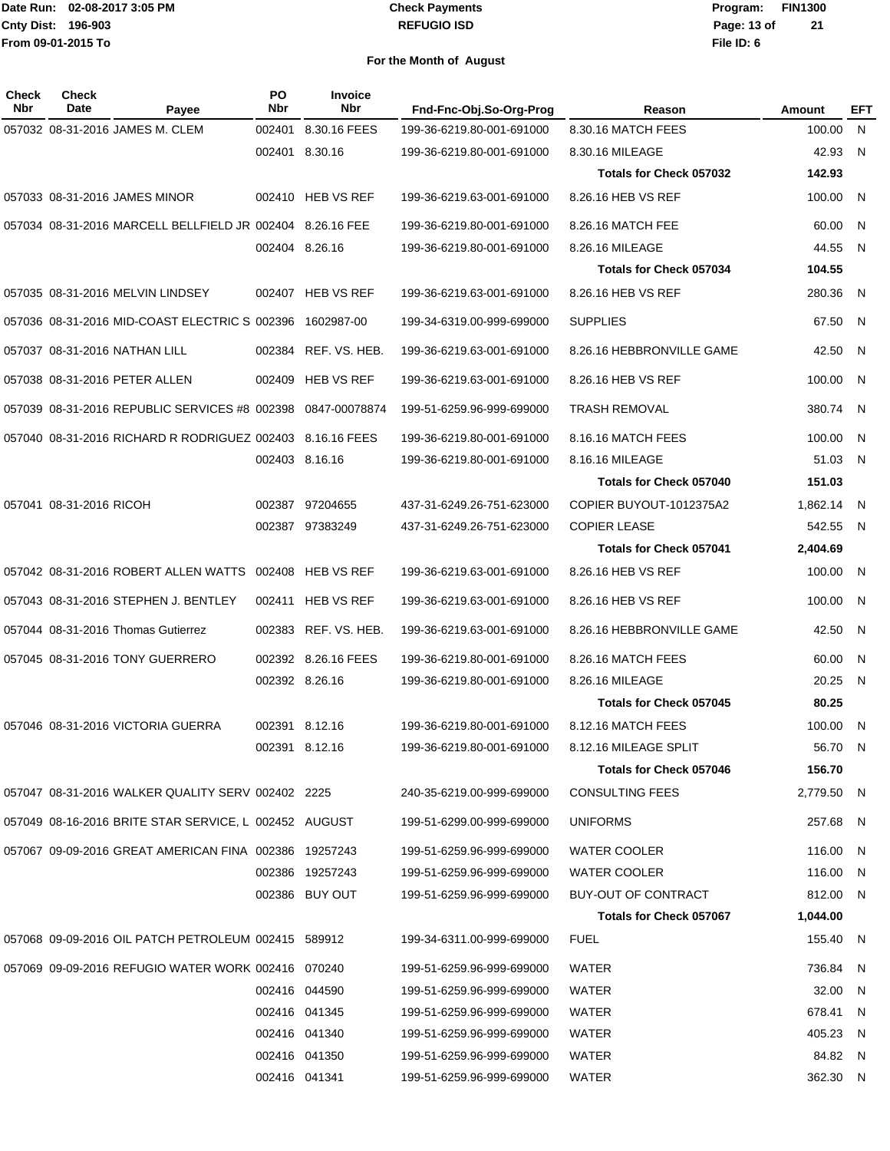#### **REFUGIO ISD Check Payments**

**02-08-2017 3:05 PM Program: FIN1300 File ID: 6 Page: 13 of 21**

| Check<br><b>Date</b> | Payee | Nbr                                                                                                                                                                                                                                                                                                                                                                                             | <b>Invoice</b><br><b>Nbr</b>                                                                                                                         | Fnd-Fnc-Obj.So-Org-Prog                                                                                                                                                                                                                                                                                                                                                                                                                                                                                                                                                                                                                                                                                         | Reason                         | Amount     | EFT |
|----------------------|-------|-------------------------------------------------------------------------------------------------------------------------------------------------------------------------------------------------------------------------------------------------------------------------------------------------------------------------------------------------------------------------------------------------|------------------------------------------------------------------------------------------------------------------------------------------------------|-----------------------------------------------------------------------------------------------------------------------------------------------------------------------------------------------------------------------------------------------------------------------------------------------------------------------------------------------------------------------------------------------------------------------------------------------------------------------------------------------------------------------------------------------------------------------------------------------------------------------------------------------------------------------------------------------------------------|--------------------------------|------------|-----|
|                      |       | 002401                                                                                                                                                                                                                                                                                                                                                                                          | 8.30.16 FEES                                                                                                                                         | 199-36-6219.80-001-691000                                                                                                                                                                                                                                                                                                                                                                                                                                                                                                                                                                                                                                                                                       | 8.30.16 MATCH FEES             | 100.00     | N   |
|                      |       |                                                                                                                                                                                                                                                                                                                                                                                                 |                                                                                                                                                      | 199-36-6219.80-001-691000                                                                                                                                                                                                                                                                                                                                                                                                                                                                                                                                                                                                                                                                                       | 8.30.16 MILEAGE                | 42.93      | N   |
|                      |       |                                                                                                                                                                                                                                                                                                                                                                                                 |                                                                                                                                                      |                                                                                                                                                                                                                                                                                                                                                                                                                                                                                                                                                                                                                                                                                                                 | Totals for Check 057032        | 142.93     |     |
|                      |       |                                                                                                                                                                                                                                                                                                                                                                                                 |                                                                                                                                                      | 199-36-6219.63-001-691000                                                                                                                                                                                                                                                                                                                                                                                                                                                                                                                                                                                                                                                                                       | 8.26.16 HEB VS REF             | 100.00     | N   |
|                      |       |                                                                                                                                                                                                                                                                                                                                                                                                 |                                                                                                                                                      | 199-36-6219.80-001-691000                                                                                                                                                                                                                                                                                                                                                                                                                                                                                                                                                                                                                                                                                       | 8.26.16 MATCH FEE              | 60.00      | N   |
|                      |       |                                                                                                                                                                                                                                                                                                                                                                                                 |                                                                                                                                                      | 199-36-6219.80-001-691000                                                                                                                                                                                                                                                                                                                                                                                                                                                                                                                                                                                                                                                                                       | 8.26.16 MILEAGE                | 44.55      | N   |
|                      |       |                                                                                                                                                                                                                                                                                                                                                                                                 |                                                                                                                                                      |                                                                                                                                                                                                                                                                                                                                                                                                                                                                                                                                                                                                                                                                                                                 | <b>Totals for Check 057034</b> | 104.55     |     |
|                      |       |                                                                                                                                                                                                                                                                                                                                                                                                 |                                                                                                                                                      | 199-36-6219.63-001-691000                                                                                                                                                                                                                                                                                                                                                                                                                                                                                                                                                                                                                                                                                       | 8.26.16 HEB VS REF             | 280.36     | N   |
|                      |       |                                                                                                                                                                                                                                                                                                                                                                                                 | 1602987-00                                                                                                                                           | 199-34-6319.00-999-699000                                                                                                                                                                                                                                                                                                                                                                                                                                                                                                                                                                                                                                                                                       | <b>SUPPLIES</b>                | 67.50      | N   |
|                      |       | 002384                                                                                                                                                                                                                                                                                                                                                                                          | REF. VS. HEB.                                                                                                                                        | 199-36-6219.63-001-691000                                                                                                                                                                                                                                                                                                                                                                                                                                                                                                                                                                                                                                                                                       | 8.26.16 HEBBRONVILLE GAME      | 42.50      | N   |
|                      |       | 002409                                                                                                                                                                                                                                                                                                                                                                                          | <b>HEB VS REF</b>                                                                                                                                    | 199-36-6219.63-001-691000                                                                                                                                                                                                                                                                                                                                                                                                                                                                                                                                                                                                                                                                                       | 8.26.16 HEB VS REF             | 100.00     | N   |
|                      |       |                                                                                                                                                                                                                                                                                                                                                                                                 | 0847-00078874                                                                                                                                        | 199-51-6259.96-999-699000                                                                                                                                                                                                                                                                                                                                                                                                                                                                                                                                                                                                                                                                                       | TRASH REMOVAL                  | 380.74     | N   |
|                      |       |                                                                                                                                                                                                                                                                                                                                                                                                 | 8.16.16 FEES                                                                                                                                         | 199-36-6219.80-001-691000                                                                                                                                                                                                                                                                                                                                                                                                                                                                                                                                                                                                                                                                                       | 8.16.16 MATCH FEES             | 100.00     | N   |
|                      |       |                                                                                                                                                                                                                                                                                                                                                                                                 |                                                                                                                                                      | 199-36-6219.80-001-691000                                                                                                                                                                                                                                                                                                                                                                                                                                                                                                                                                                                                                                                                                       | 8.16.16 MILEAGE                | 51.03      | N   |
|                      |       |                                                                                                                                                                                                                                                                                                                                                                                                 |                                                                                                                                                      |                                                                                                                                                                                                                                                                                                                                                                                                                                                                                                                                                                                                                                                                                                                 | Totals for Check 057040        | 151.03     |     |
|                      |       |                                                                                                                                                                                                                                                                                                                                                                                                 |                                                                                                                                                      | 437-31-6249.26-751-623000                                                                                                                                                                                                                                                                                                                                                                                                                                                                                                                                                                                                                                                                                       | COPIER BUYOUT-1012375A2        | 1,862.14   | N   |
|                      |       |                                                                                                                                                                                                                                                                                                                                                                                                 |                                                                                                                                                      | 437-31-6249.26-751-623000                                                                                                                                                                                                                                                                                                                                                                                                                                                                                                                                                                                                                                                                                       | <b>COPIER LEASE</b>            | 542.55     | N   |
|                      |       |                                                                                                                                                                                                                                                                                                                                                                                                 |                                                                                                                                                      |                                                                                                                                                                                                                                                                                                                                                                                                                                                                                                                                                                                                                                                                                                                 | <b>Totals for Check 057041</b> | 2,404.69   |     |
|                      |       |                                                                                                                                                                                                                                                                                                                                                                                                 |                                                                                                                                                      | 199-36-6219.63-001-691000                                                                                                                                                                                                                                                                                                                                                                                                                                                                                                                                                                                                                                                                                       | 8.26.16 HEB VS REF             | 100.00     | N   |
|                      |       | 002411                                                                                                                                                                                                                                                                                                                                                                                          | <b>HEB VS REF</b>                                                                                                                                    | 199-36-6219.63-001-691000                                                                                                                                                                                                                                                                                                                                                                                                                                                                                                                                                                                                                                                                                       | 8.26.16 HEB VS REF             | 100.00     | N   |
|                      |       | 002383                                                                                                                                                                                                                                                                                                                                                                                          | REF. VS. HEB.                                                                                                                                        | 199-36-6219.63-001-691000                                                                                                                                                                                                                                                                                                                                                                                                                                                                                                                                                                                                                                                                                       | 8.26.16 HEBBRONVILLE GAME      | 42.50      | N   |
|                      |       |                                                                                                                                                                                                                                                                                                                                                                                                 |                                                                                                                                                      | 199-36-6219.80-001-691000                                                                                                                                                                                                                                                                                                                                                                                                                                                                                                                                                                                                                                                                                       | 8.26.16 MATCH FEES             | 60.00      | N   |
|                      |       |                                                                                                                                                                                                                                                                                                                                                                                                 |                                                                                                                                                      | 199-36-6219.80-001-691000                                                                                                                                                                                                                                                                                                                                                                                                                                                                                                                                                                                                                                                                                       | 8.26.16 MILEAGE                | 20.25      | N   |
|                      |       |                                                                                                                                                                                                                                                                                                                                                                                                 |                                                                                                                                                      |                                                                                                                                                                                                                                                                                                                                                                                                                                                                                                                                                                                                                                                                                                                 | <b>Totals for Check 057045</b> | 80.25      |     |
|                      |       |                                                                                                                                                                                                                                                                                                                                                                                                 |                                                                                                                                                      | 199-36-6219.80-001-691000                                                                                                                                                                                                                                                                                                                                                                                                                                                                                                                                                                                                                                                                                       | 8.12.16 MATCH FEES             | 100.00     | N   |
|                      |       |                                                                                                                                                                                                                                                                                                                                                                                                 |                                                                                                                                                      | 199-36-6219.80-001-691000                                                                                                                                                                                                                                                                                                                                                                                                                                                                                                                                                                                                                                                                                       | 8.12.16 MILEAGE SPLIT          | 56.70 N    |     |
|                      |       |                                                                                                                                                                                                                                                                                                                                                                                                 |                                                                                                                                                      |                                                                                                                                                                                                                                                                                                                                                                                                                                                                                                                                                                                                                                                                                                                 | Totals for Check 057046        | 156.70     |     |
|                      |       |                                                                                                                                                                                                                                                                                                                                                                                                 |                                                                                                                                                      | 240-35-6219.00-999-699000                                                                                                                                                                                                                                                                                                                                                                                                                                                                                                                                                                                                                                                                                       | <b>CONSULTING FEES</b>         | 2,779.50 N |     |
|                      |       |                                                                                                                                                                                                                                                                                                                                                                                                 |                                                                                                                                                      | 199-51-6299.00-999-699000                                                                                                                                                                                                                                                                                                                                                                                                                                                                                                                                                                                                                                                                                       | <b>UNIFORMS</b>                | 257.68     | N,  |
|                      |       |                                                                                                                                                                                                                                                                                                                                                                                                 |                                                                                                                                                      | 199-51-6259.96-999-699000                                                                                                                                                                                                                                                                                                                                                                                                                                                                                                                                                                                                                                                                                       | <b>WATER COOLER</b>            | 116.00     | N   |
|                      |       |                                                                                                                                                                                                                                                                                                                                                                                                 |                                                                                                                                                      | 199-51-6259.96-999-699000                                                                                                                                                                                                                                                                                                                                                                                                                                                                                                                                                                                                                                                                                       | <b>WATER COOLER</b>            | 116.00     | N   |
|                      |       |                                                                                                                                                                                                                                                                                                                                                                                                 |                                                                                                                                                      | 199-51-6259.96-999-699000                                                                                                                                                                                                                                                                                                                                                                                                                                                                                                                                                                                                                                                                                       | BUY-OUT OF CONTRACT            | 812.00 N   |     |
|                      |       |                                                                                                                                                                                                                                                                                                                                                                                                 |                                                                                                                                                      |                                                                                                                                                                                                                                                                                                                                                                                                                                                                                                                                                                                                                                                                                                                 | Totals for Check 057067        | 1,044.00   |     |
|                      |       |                                                                                                                                                                                                                                                                                                                                                                                                 |                                                                                                                                                      | 199-34-6311.00-999-699000                                                                                                                                                                                                                                                                                                                                                                                                                                                                                                                                                                                                                                                                                       | <b>FUEL</b>                    | 155.40 N   |     |
|                      |       |                                                                                                                                                                                                                                                                                                                                                                                                 |                                                                                                                                                      | 199-51-6259.96-999-699000                                                                                                                                                                                                                                                                                                                                                                                                                                                                                                                                                                                                                                                                                       | WATER                          | 736.84     | N   |
|                      |       |                                                                                                                                                                                                                                                                                                                                                                                                 |                                                                                                                                                      | 199-51-6259.96-999-699000                                                                                                                                                                                                                                                                                                                                                                                                                                                                                                                                                                                                                                                                                       | WATER                          | 32.00      | N   |
|                      |       |                                                                                                                                                                                                                                                                                                                                                                                                 |                                                                                                                                                      | 199-51-6259.96-999-699000                                                                                                                                                                                                                                                                                                                                                                                                                                                                                                                                                                                                                                                                                       | WATER                          | 678.41     | N   |
|                      |       |                                                                                                                                                                                                                                                                                                                                                                                                 |                                                                                                                                                      | 199-51-6259.96-999-699000                                                                                                                                                                                                                                                                                                                                                                                                                                                                                                                                                                                                                                                                                       | WATER                          | 405.23     | N   |
|                      |       |                                                                                                                                                                                                                                                                                                                                                                                                 |                                                                                                                                                      | 199-51-6259.96-999-699000                                                                                                                                                                                                                                                                                                                                                                                                                                                                                                                                                                                                                                                                                       | WATER                          | 84.82      | N   |
|                      |       |                                                                                                                                                                                                                                                                                                                                                                                                 |                                                                                                                                                      | 199-51-6259.96-999-699000                                                                                                                                                                                                                                                                                                                                                                                                                                                                                                                                                                                                                                                                                       | WATER                          | 362.30 N   |     |
|                      |       | 057032 08-31-2016 JAMES M. CLEM<br>057033 08-31-2016 JAMES MINOR<br>057035 08-31-2016 MELVIN LINDSEY<br>057037 08-31-2016 NATHAN LILL<br>057038 08-31-2016 PETER ALLEN<br>057041 08-31-2016 RICOH<br>057042 08-31-2016 ROBERT ALLEN WATTS<br>057043 08-31-2016 STEPHEN J. BENTLEY<br>057044 08-31-2016 Thomas Gutierrez<br>057045 08-31-2016 TONY GUERRERO<br>057046 08-31-2016 VICTORIA GUERRA | PO<br>057036 08-31-2016 MID-COAST ELECTRIC S 002396<br>057039 08-31-2016 REPUBLIC SERVICES #8 002398<br>057040 08-31-2016 RICHARD R RODRIGUEZ 002403 | 002401 8.30.16<br>002410 HEB VS REF<br>057034 08-31-2016 MARCELL BELLFIELD JR 002404 8.26.16 FEE<br>002404 8.26.16<br>002407 HEB VS REF<br>002403 8.16.16<br>002387 97204655<br>002387 97383249<br>002408 HEB VS REF<br>002392 8.26.16 FEES<br>002392 8.26.16<br>002391 8.12.16<br>002391 8.12.16<br>057047 08-31-2016 WALKER QUALITY SERV 002402 2225<br>057049 08-16-2016 BRITE STAR SERVICE, L 002452 AUGUST<br>057067 09-09-2016 GREAT AMERICAN FINA 002386 19257243<br>002386 19257243<br>002386 BUY OUT<br>057068 09-09-2016 OIL PATCH PETROLEUM 002415 589912<br>057069 09-09-2016 REFUGIO WATER WORK 002416 070240<br>002416 044590<br>002416 041345<br>002416 041340<br>002416 041350<br>002416 041341 |                                |            |     |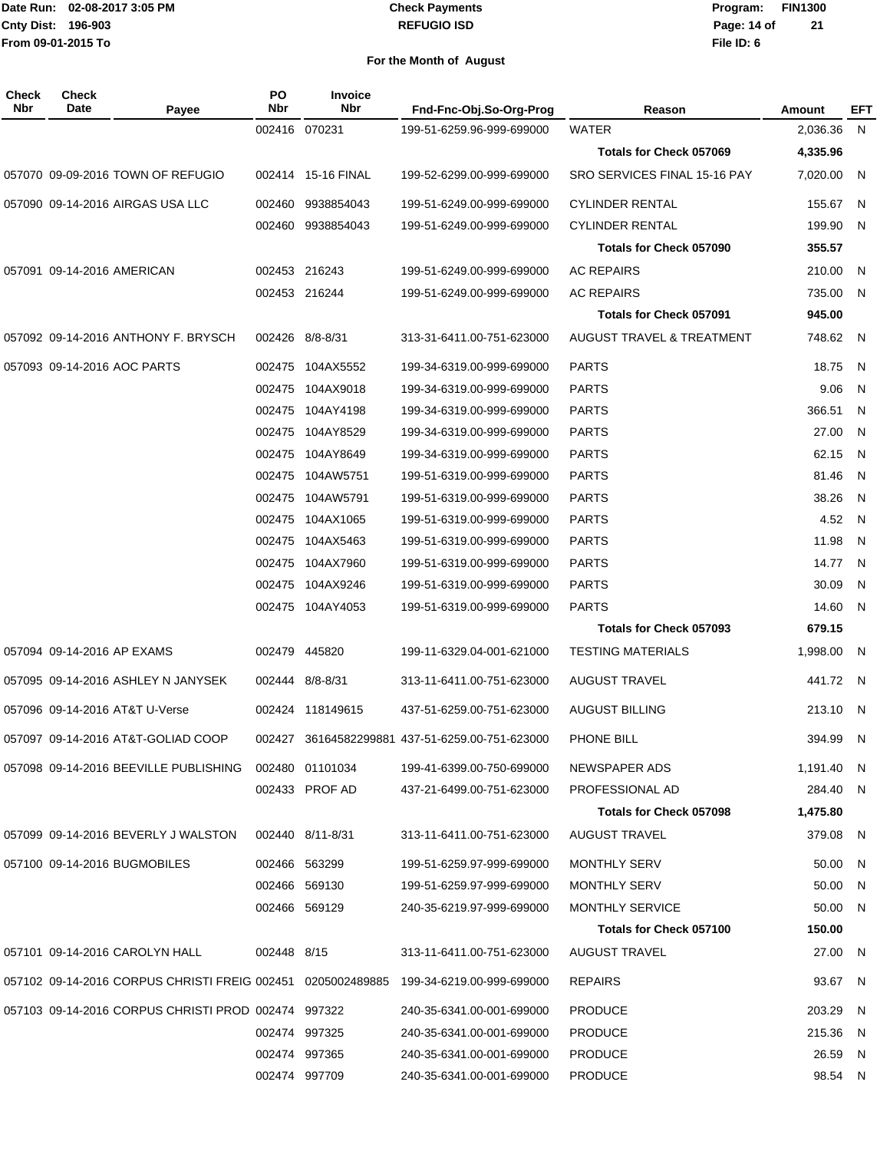#### **REFUGIO ISD Check Payments**

**02-08-2017 3:05 PM Program: FIN1300 File ID: 6 Page: 14 of 21**

| <b>Check</b><br><b>Nbr</b> | <b>Check</b><br>Date       | Payee                                                       | <b>PO</b><br><b>Nbr</b> | <b>Invoice</b><br><b>Nbr</b> | Fnd-Fnc-Obj.So-Org-Prog                         | Reason                         | Amount     | EFT |
|----------------------------|----------------------------|-------------------------------------------------------------|-------------------------|------------------------------|-------------------------------------------------|--------------------------------|------------|-----|
|                            |                            |                                                             |                         | 002416 070231                | 199-51-6259.96-999-699000                       | <b>WATER</b>                   | 2,036.36   | N,  |
|                            |                            |                                                             |                         |                              |                                                 | Totals for Check 057069        | 4,335.96   |     |
|                            |                            | 057070 09-09-2016 TOWN OF REFUGIO                           | 002414                  | 15-16 FINAL                  | 199-52-6299.00-999-699000                       | SRO SERVICES FINAL 15-16 PAY   | 7.020.00   | N.  |
|                            |                            | 057090 09-14-2016 AIRGAS USA LLC                            | 002460                  | 9938854043                   | 199-51-6249.00-999-699000                       | <b>CYLINDER RENTAL</b>         | 155.67     | -N  |
|                            |                            |                                                             | 002460                  | 9938854043                   | 199-51-6249.00-999-699000                       | <b>CYLINDER RENTAL</b>         | 199.90     | - N |
|                            |                            |                                                             |                         |                              |                                                 | Totals for Check 057090        | 355.57     |     |
|                            | 057091 09-14-2016 AMERICAN |                                                             |                         | 002453 216243                | 199-51-6249.00-999-699000                       | <b>AC REPAIRS</b>              | 210.00     | - N |
|                            |                            |                                                             |                         | 002453 216244                | 199-51-6249.00-999-699000                       | <b>AC REPAIRS</b>              | 735.00     | - N |
|                            |                            |                                                             |                         |                              |                                                 | Totals for Check 057091        | 945.00     |     |
|                            |                            | 057092 09-14-2016 ANTHONY F. BRYSCH                         |                         | 002426 8/8-8/31              | 313-31-6411.00-751-623000                       | AUGUST TRAVEL & TREATMENT      | 748.62     | - N |
|                            |                            | 057093 09-14-2016 AOC PARTS                                 | 002475                  | 104AX5552                    | 199-34-6319.00-999-699000                       | <b>PARTS</b>                   | 18.75      | N   |
|                            |                            |                                                             | 002475                  | 104AX9018                    | 199-34-6319.00-999-699000                       | <b>PARTS</b>                   | 9.06       | N   |
|                            |                            |                                                             | 002475                  | 104AY4198                    | 199-34-6319.00-999-699000                       | <b>PARTS</b>                   | 366.51     | N.  |
|                            |                            |                                                             |                         | 002475 104AY8529             | 199-34-6319.00-999-699000                       | <b>PARTS</b>                   | 27.00      | N   |
|                            |                            |                                                             | 002475                  | 104AY8649                    | 199-34-6319.00-999-699000                       | <b>PARTS</b>                   | 62.15      | N.  |
|                            |                            |                                                             | 002475                  | 104AW5751                    | 199-51-6319.00-999-699000                       | <b>PARTS</b>                   | 81.46      | N.  |
|                            |                            |                                                             | 002475                  | 104AW5791                    | 199-51-6319.00-999-699000                       | <b>PARTS</b>                   | 38.26      | N   |
|                            |                            |                                                             | 002475                  | 104AX1065                    | 199-51-6319.00-999-699000                       | <b>PARTS</b>                   | 4.52       | - N |
|                            |                            |                                                             | 002475                  | 104AX5463                    | 199-51-6319.00-999-699000                       | <b>PARTS</b>                   | 11.98      | N.  |
|                            |                            |                                                             |                         | 002475 104AX7960             | 199-51-6319.00-999-699000                       | <b>PARTS</b>                   | 14.77      | - N |
|                            |                            |                                                             | 002475                  | 104AX9246                    | 199-51-6319.00-999-699000                       | <b>PARTS</b>                   | 30.09      | N   |
|                            |                            |                                                             |                         | 002475 104AY4053             | 199-51-6319.00-999-699000                       | <b>PARTS</b>                   | 14.60      | - N |
|                            |                            |                                                             |                         |                              |                                                 | Totals for Check 057093        | 679.15     |     |
|                            | 057094 09-14-2016 AP EXAMS |                                                             |                         | 002479 445820                | 199-11-6329.04-001-621000                       | <b>TESTING MATERIALS</b>       | 1,998.00   | - N |
|                            |                            | 057095 09-14-2016 ASHLEY N JANYSEK                          |                         | 002444 8/8-8/31              | 313-11-6411.00-751-623000                       | <b>AUGUST TRAVEL</b>           | 441.72 N   |     |
|                            |                            | 057096 09-14-2016 AT&T U-Verse                              | 002424                  | 118149615                    | 437-51-6259.00-751-623000                       | <b>AUGUST BILLING</b>          | 213.10     | - N |
|                            |                            | 057097 09-14-2016 AT&T-GOLIAD COOP                          |                         |                              | 002427 36164582299881 437-51-6259.00-751-623000 | PHONE BILL                     | 394.99 N   |     |
|                            |                            | 057098 09-14-2016 BEEVILLE PUBLISHING                       |                         | 002480 01101034              | 199-41-6399.00-750-699000                       | NEWSPAPER ADS                  | 1,191.40 N |     |
|                            |                            |                                                             |                         | 002433 PROF AD               | 437-21-6499.00-751-623000                       | PROFESSIONAL AD                | 284.40 N   |     |
|                            |                            |                                                             |                         |                              |                                                 | <b>Totals for Check 057098</b> | 1,475.80   |     |
|                            |                            | 057099 09-14-2016 BEVERLY J WALSTON                         |                         | 002440 8/11-8/31             | 313-11-6411.00-751-623000                       | <b>AUGUST TRAVEL</b>           | 379.08 N   |     |
|                            |                            | 057100 09-14-2016 BUGMOBILES                                |                         | 002466 563299                | 199-51-6259.97-999-699000                       | <b>MONTHLY SERV</b>            | 50.00 N    |     |
|                            |                            |                                                             |                         | 002466 569130                | 199-51-6259.97-999-699000                       | <b>MONTHLY SERV</b>            | 50.00 N    |     |
|                            |                            |                                                             |                         | 002466 569129                | 240-35-6219.97-999-699000                       | <b>MONTHLY SERVICE</b>         | 50.00 N    |     |
|                            |                            |                                                             |                         |                              |                                                 | Totals for Check 057100        | 150.00     |     |
|                            |                            | 057101 09-14-2016 CAROLYN HALL                              | 002448 8/15             |                              | 313-11-6411.00-751-623000                       | AUGUST TRAVEL                  | 27.00 N    |     |
|                            |                            | 057102 09-14-2016 CORPUS CHRISTI FREIG 002451 0205002489885 |                         |                              | 199-34-6219.00-999-699000                       | <b>REPAIRS</b>                 | 93.67 N    |     |
|                            |                            | 057103 09-14-2016 CORPUS CHRISTI PROD 002474 997322         |                         |                              | 240-35-6341.00-001-699000                       | <b>PRODUCE</b>                 | 203.29     | - N |
|                            |                            |                                                             |                         | 002474 997325                | 240-35-6341.00-001-699000                       | <b>PRODUCE</b>                 | 215.36     | - N |
|                            |                            |                                                             |                         | 002474 997365                | 240-35-6341.00-001-699000                       | <b>PRODUCE</b>                 | 26.59 N    |     |
|                            |                            |                                                             |                         | 002474 997709                | 240-35-6341.00-001-699000                       | <b>PRODUCE</b>                 | 98.54 N    |     |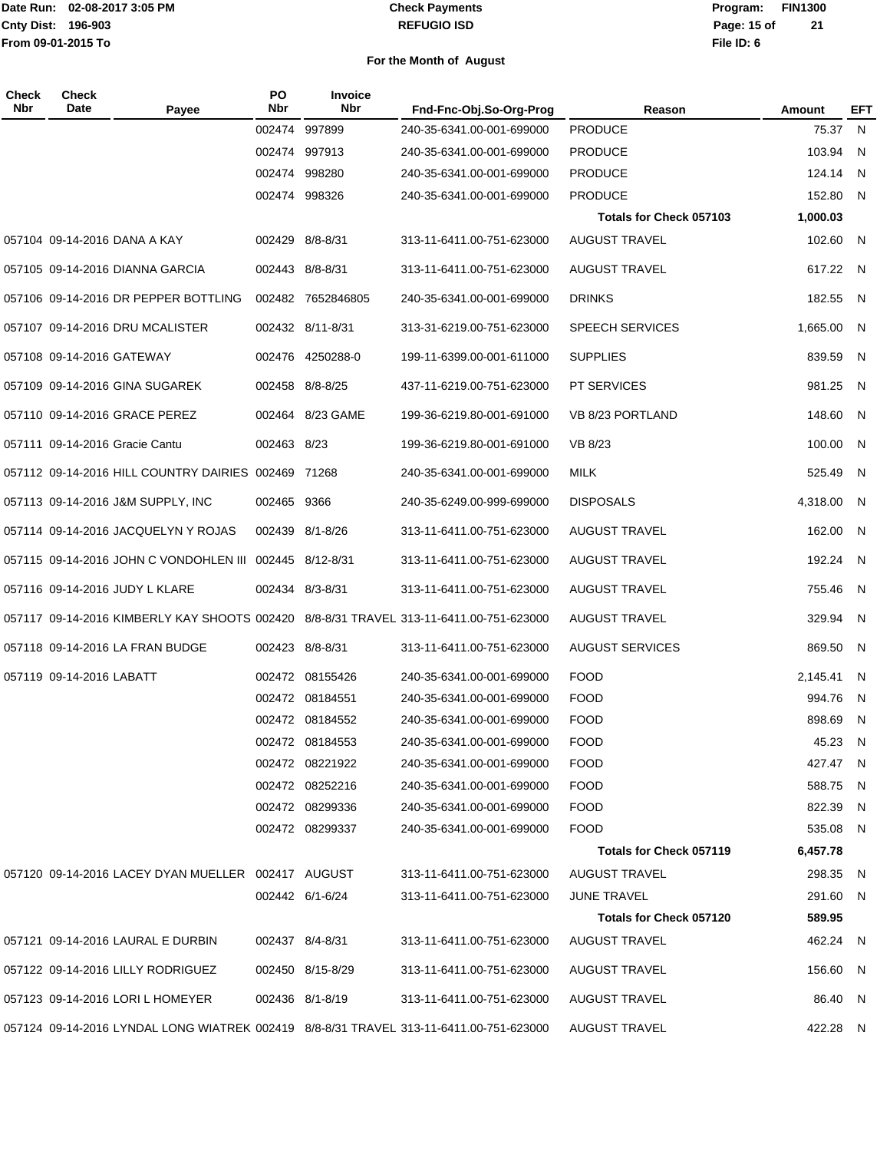#### **REFUGIO ISD Check Payments**

### **02-08-2017 3:05 PM Program: FIN1300 File ID: 6 Page: 15 of 21**

| Check<br>Nbr | <b>Check</b><br>Date      | Payee                                                   | <b>PO</b><br>Nbr | Invoice<br>Nbr    | Fnd-Fnc-Obj.So-Org-Prog                                                                | Reason                         | Amount   | EFT |
|--------------|---------------------------|---------------------------------------------------------|------------------|-------------------|----------------------------------------------------------------------------------------|--------------------------------|----------|-----|
|              |                           |                                                         |                  | 002474 997899     | 240-35-6341.00-001-699000                                                              | <b>PRODUCE</b>                 | 75.37    | N   |
|              |                           |                                                         |                  | 002474 997913     | 240-35-6341.00-001-699000                                                              | <b>PRODUCE</b>                 | 103.94   | N   |
|              |                           |                                                         |                  | 002474 998280     | 240-35-6341.00-001-699000                                                              | <b>PRODUCE</b>                 | 124.14   | N   |
|              |                           |                                                         |                  | 002474 998326     | 240-35-6341.00-001-699000                                                              | <b>PRODUCE</b>                 | 152.80   | N   |
|              |                           |                                                         |                  |                   |                                                                                        | Totals for Check 057103        | 1,000.03 |     |
|              |                           | 057104 09-14-2016 DANA A KAY                            |                  | 002429 8/8-8/31   | 313-11-6411.00-751-623000                                                              | <b>AUGUST TRAVEL</b>           | 102.60   | N,  |
|              |                           | 057105 09-14-2016 DIANNA GARCIA                         |                  | 002443 8/8-8/31   | 313-11-6411.00-751-623000                                                              | <b>AUGUST TRAVEL</b>           | 617.22 N |     |
|              |                           | 057106 09-14-2016 DR PEPPER BOTTLING                    |                  | 002482 7652846805 | 240-35-6341.00-001-699000                                                              | <b>DRINKS</b>                  | 182.55 N |     |
|              |                           | 057107 09-14-2016 DRU MCALISTER                         |                  | 002432 8/11-8/31  | 313-31-6219.00-751-623000                                                              | SPEECH SERVICES                | 1,665.00 | N.  |
|              | 057108 09-14-2016 GATEWAY |                                                         |                  | 002476 4250288-0  | 199-11-6399.00-001-611000                                                              | <b>SUPPLIES</b>                | 839.59   | N   |
|              |                           | 057109 09-14-2016 GINA SUGAREK                          |                  | 002458 8/8-8/25   | 437-11-6219.00-751-623000                                                              | <b>PT SERVICES</b>             | 981.25   | - N |
|              |                           | 057110 09-14-2016 GRACE PEREZ                           |                  | 002464 8/23 GAME  | 199-36-6219.80-001-691000                                                              | VB 8/23 PORTLAND               | 148.60   | N.  |
|              |                           | 057111 09-14-2016 Gracie Cantu                          | 002463 8/23      |                   | 199-36-6219.80-001-691000                                                              | VB 8/23                        | 100.00   | N   |
|              |                           | 057112 09-14-2016 HILL COUNTRY DAIRIES 002469 71268     |                  |                   | 240-35-6341.00-001-699000                                                              | MILK                           | 525.49   | - N |
|              |                           | 057113 09-14-2016 J&M SUPPLY, INC                       | 002465 9366      |                   | 240-35-6249.00-999-699000                                                              | <b>DISPOSALS</b>               | 4,318.00 | N.  |
|              |                           | 057114 09-14-2016 JACQUELYN Y ROJAS                     |                  | 002439 8/1-8/26   | 313-11-6411.00-751-623000                                                              | <b>AUGUST TRAVEL</b>           | 162.00   | - N |
|              |                           | 057115 09-14-2016 JOHN C VONDOHLEN III 002445 8/12-8/31 |                  |                   | 313-11-6411.00-751-623000                                                              | <b>AUGUST TRAVEL</b>           | 192.24 N |     |
|              |                           | 057116 09-14-2016 JUDY L KLARE                          |                  | 002434 8/3-8/31   | 313-11-6411.00-751-623000                                                              | <b>AUGUST TRAVEL</b>           | 755.46   | N.  |
|              |                           |                                                         |                  |                   | 057117 09-14-2016 KIMBERLY KAY SHOOTS 002420 8/8-8/31 TRAVEL 313-11-6411.00-751-623000 | <b>AUGUST TRAVEL</b>           | 329.94   | N.  |
|              |                           | 057118 09-14-2016 LA FRAN BUDGE                         |                  | 002423 8/8-8/31   | 313-11-6411.00-751-623000                                                              | <b>AUGUST SERVICES</b>         | 869.50 N |     |
|              | 057119 09-14-2016 LABATT  |                                                         |                  | 002472 08155426   | 240-35-6341.00-001-699000                                                              | <b>FOOD</b>                    | 2,145.41 | N   |
|              |                           |                                                         |                  | 002472 08184551   | 240-35-6341.00-001-699000                                                              | <b>FOOD</b>                    | 994.76   | N.  |
|              |                           |                                                         |                  | 002472 08184552   | 240-35-6341.00-001-699000                                                              | <b>FOOD</b>                    | 898.69 N |     |
|              |                           |                                                         |                  | 002472 08184553   | 240-35-6341.00-001-699000                                                              | <b>FOOD</b>                    | 45.23 N  |     |
|              |                           |                                                         |                  | 002472 08221922   | 240-35-6341.00-001-699000                                                              | <b>FOOD</b>                    | 427.47 N |     |
|              |                           |                                                         |                  | 002472 08252216   | 240-35-6341.00-001-699000                                                              | <b>FOOD</b>                    | 588.75 N |     |
|              |                           |                                                         |                  | 002472 08299336   | 240-35-6341.00-001-699000                                                              | <b>FOOD</b>                    | 822.39 N |     |
|              |                           |                                                         |                  | 002472 08299337   | 240-35-6341.00-001-699000                                                              | <b>FOOD</b>                    | 535.08 N |     |
|              |                           |                                                         |                  |                   |                                                                                        | Totals for Check 057119        | 6,457.78 |     |
|              |                           | 057120 09-14-2016 LACEY DYAN MUELLER 002417 AUGUST      |                  |                   | 313-11-6411.00-751-623000                                                              | <b>AUGUST TRAVEL</b>           | 298.35 N |     |
|              |                           |                                                         |                  | 002442 6/1-6/24   | 313-11-6411.00-751-623000                                                              | <b>JUNE TRAVEL</b>             | 291.60 N |     |
|              |                           |                                                         |                  |                   |                                                                                        | <b>Totals for Check 057120</b> | 589.95   |     |
|              |                           | 057121 09-14-2016 LAURAL E DURBIN                       |                  | 002437 8/4-8/31   | 313-11-6411.00-751-623000                                                              | <b>AUGUST TRAVEL</b>           | 462.24 N |     |
|              |                           | 057122 09-14-2016 LILLY RODRIGUEZ                       |                  | 002450 8/15-8/29  | 313-11-6411.00-751-623000                                                              | <b>AUGUST TRAVEL</b>           | 156.60 N |     |
|              |                           | 057123 09-14-2016 LORI L HOMEYER                        |                  | 002436 8/1-8/19   | 313-11-6411.00-751-623000                                                              | <b>AUGUST TRAVEL</b>           | 86.40 N  |     |
|              |                           |                                                         |                  |                   | 057124 09-14-2016 LYNDAL LONG WIATREK 002419 8/8-8/31 TRAVEL 313-11-6411.00-751-623000 | <b>AUGUST TRAVEL</b>           | 422.28 N |     |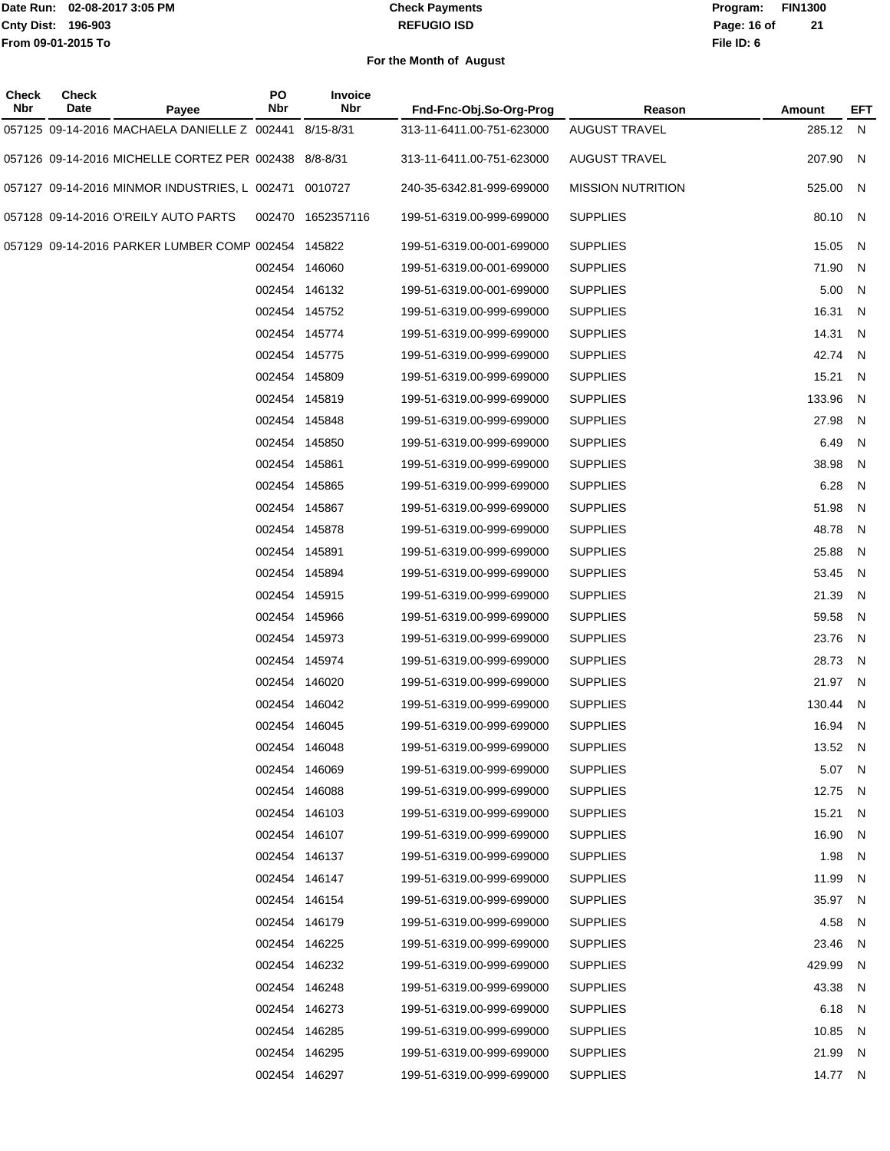#### **REFUGIO ISD Check Payments**

**02-08-2017 3:05 PM Program: FIN1300 File ID: 6 Page: 16 of 21**

| <b>Check</b><br>Nbr | <b>Check</b><br>Date | Payee                                                 | PO<br>Nbr     | Invoice<br><b>Nbr</b> | Fnd-Fnc-Obj.So-Org-Prog   | Reason                   | Amount   | EFT                     |
|---------------------|----------------------|-------------------------------------------------------|---------------|-----------------------|---------------------------|--------------------------|----------|-------------------------|
|                     |                      | 057125 09-14-2016 MACHAELA DANIELLE Z 002441          |               | 8/15-8/31             | 313-11-6411.00-751-623000 | <b>AUGUST TRAVEL</b>     | 285.12 N |                         |
|                     |                      | 057126 09-14-2016 MICHELLE CORTEZ PER 002438 8/8-8/31 |               |                       | 313-11-6411.00-751-623000 | <b>AUGUST TRAVEL</b>     | 207.90 N |                         |
|                     |                      | 057127 09-14-2016 MINMOR INDUSTRIES, L 002471 0010727 |               |                       | 240-35-6342.81-999-699000 | <b>MISSION NUTRITION</b> | 525.00   | N                       |
|                     |                      | 057128 09-14-2016 O'REILY AUTO PARTS                  |               | 002470 1652357116     | 199-51-6319.00-999-699000 | <b>SUPPLIES</b>          | 80.10 N  |                         |
|                     |                      | 057129 09-14-2016 PARKER LUMBER COMP 002454 145822    |               |                       | 199-51-6319.00-001-699000 | <b>SUPPLIES</b>          | 15.05    | - N                     |
|                     |                      |                                                       |               | 002454 146060         | 199-51-6319.00-001-699000 | <b>SUPPLIES</b>          | 71.90    | - N                     |
|                     |                      |                                                       |               | 002454 146132         | 199-51-6319.00-001-699000 | <b>SUPPLIES</b>          | 5.00     | N                       |
|                     |                      |                                                       |               | 002454 145752         | 199-51-6319.00-999-699000 | <b>SUPPLIES</b>          | 16.31    | N                       |
|                     |                      |                                                       |               | 002454 145774         | 199-51-6319.00-999-699000 | <b>SUPPLIES</b>          | 14.31    | N                       |
|                     |                      |                                                       |               | 002454 145775         | 199-51-6319.00-999-699000 | <b>SUPPLIES</b>          | 42.74    | $\overline{N}$          |
|                     |                      |                                                       |               | 002454 145809         | 199-51-6319.00-999-699000 | <b>SUPPLIES</b>          | 15.21    | N                       |
|                     |                      |                                                       |               | 002454 145819         | 199-51-6319.00-999-699000 | <b>SUPPLIES</b>          | 133.96   | N                       |
|                     |                      |                                                       |               | 002454 145848         | 199-51-6319.00-999-699000 | <b>SUPPLIES</b>          | 27.98    | $\overline{\mathsf{N}}$ |
|                     |                      |                                                       |               | 002454 145850         | 199-51-6319.00-999-699000 | <b>SUPPLIES</b>          | 6.49     | $\overline{\mathsf{N}}$ |
|                     |                      |                                                       | 002454 145861 |                       | 199-51-6319.00-999-699000 | <b>SUPPLIES</b>          | 38.98    | N                       |
|                     |                      |                                                       |               | 002454 145865         | 199-51-6319.00-999-699000 | <b>SUPPLIES</b>          | 6.28     | $\overline{\mathsf{N}}$ |
|                     |                      |                                                       |               | 002454 145867         | 199-51-6319.00-999-699000 | <b>SUPPLIES</b>          | 51.98    | N                       |
|                     |                      |                                                       |               | 002454 145878         | 199-51-6319.00-999-699000 | <b>SUPPLIES</b>          | 48.78    | N                       |
|                     |                      |                                                       | 002454 145891 |                       | 199-51-6319.00-999-699000 | <b>SUPPLIES</b>          | 25.88    | N                       |
|                     |                      |                                                       |               | 002454 145894         | 199-51-6319.00-999-699000 | <b>SUPPLIES</b>          | 53.45    | N                       |
|                     |                      |                                                       |               | 002454 145915         | 199-51-6319.00-999-699000 | <b>SUPPLIES</b>          | 21.39    | $\overline{\mathsf{N}}$ |
|                     |                      |                                                       |               | 002454 145966         | 199-51-6319.00-999-699000 | <b>SUPPLIES</b>          | 59.58    | N                       |
|                     |                      |                                                       |               | 002454 145973         | 199-51-6319.00-999-699000 | <b>SUPPLIES</b>          | 23.76    | N                       |
|                     |                      |                                                       |               | 002454 145974         | 199-51-6319.00-999-699000 | <b>SUPPLIES</b>          | 28.73    | N                       |
|                     |                      |                                                       |               | 002454 146020         | 199-51-6319.00-999-699000 | <b>SUPPLIES</b>          | 21.97 N  |                         |
|                     |                      |                                                       |               | 002454 146042         | 199-51-6319.00-999-699000 | <b>SUPPLIES</b>          | 130.44   | $\overline{N}$          |
|                     |                      |                                                       |               | 002454 146045         | 199-51-6319.00-999-699000 | <b>SUPPLIES</b>          | 16.94 N  |                         |
|                     |                      |                                                       |               | 002454 146048         | 199-51-6319.00-999-699000 | <b>SUPPLIES</b>          | 13.52 N  |                         |
|                     |                      |                                                       |               | 002454 146069         | 199-51-6319.00-999-699000 | <b>SUPPLIES</b>          | 5.07 N   |                         |
|                     |                      |                                                       |               | 002454 146088         | 199-51-6319.00-999-699000 | <b>SUPPLIES</b>          | 12.75 N  |                         |
|                     |                      |                                                       |               | 002454 146103         | 199-51-6319.00-999-699000 | <b>SUPPLIES</b>          | 15.21    | $\overline{N}$          |
|                     |                      |                                                       |               | 002454 146107         | 199-51-6319.00-999-699000 | <b>SUPPLIES</b>          | 16.90 N  |                         |
|                     |                      |                                                       |               | 002454 146137         | 199-51-6319.00-999-699000 | <b>SUPPLIES</b>          | 1.98     | N                       |
|                     |                      |                                                       |               | 002454 146147         | 199-51-6319.00-999-699000 | <b>SUPPLIES</b>          | 11.99    | $\overline{N}$          |
|                     |                      |                                                       |               | 002454 146154         | 199-51-6319.00-999-699000 | <b>SUPPLIES</b>          | 35.97 N  |                         |
|                     |                      |                                                       |               | 002454 146179         | 199-51-6319.00-999-699000 | <b>SUPPLIES</b>          | 4.58 N   |                         |
|                     |                      |                                                       |               | 002454 146225         | 199-51-6319.00-999-699000 | <b>SUPPLIES</b>          | 23.46    | N                       |
|                     |                      |                                                       |               | 002454 146232         | 199-51-6319.00-999-699000 | <b>SUPPLIES</b>          | 429.99   | - N                     |
|                     |                      |                                                       |               | 002454 146248         | 199-51-6319.00-999-699000 | <b>SUPPLIES</b>          | 43.38    | N                       |
|                     |                      |                                                       |               | 002454 146273         | 199-51-6319.00-999-699000 | <b>SUPPLIES</b>          | 6.18 N   |                         |
|                     |                      |                                                       |               | 002454 146285         | 199-51-6319.00-999-699000 | <b>SUPPLIES</b>          | 10.85    | N                       |
|                     |                      |                                                       |               | 002454 146295         | 199-51-6319.00-999-699000 | <b>SUPPLIES</b>          | 21.99 N  |                         |
|                     |                      |                                                       |               | 002454 146297         | 199-51-6319.00-999-699000 | <b>SUPPLIES</b>          | 14.77 N  |                         |
|                     |                      |                                                       |               |                       |                           |                          |          |                         |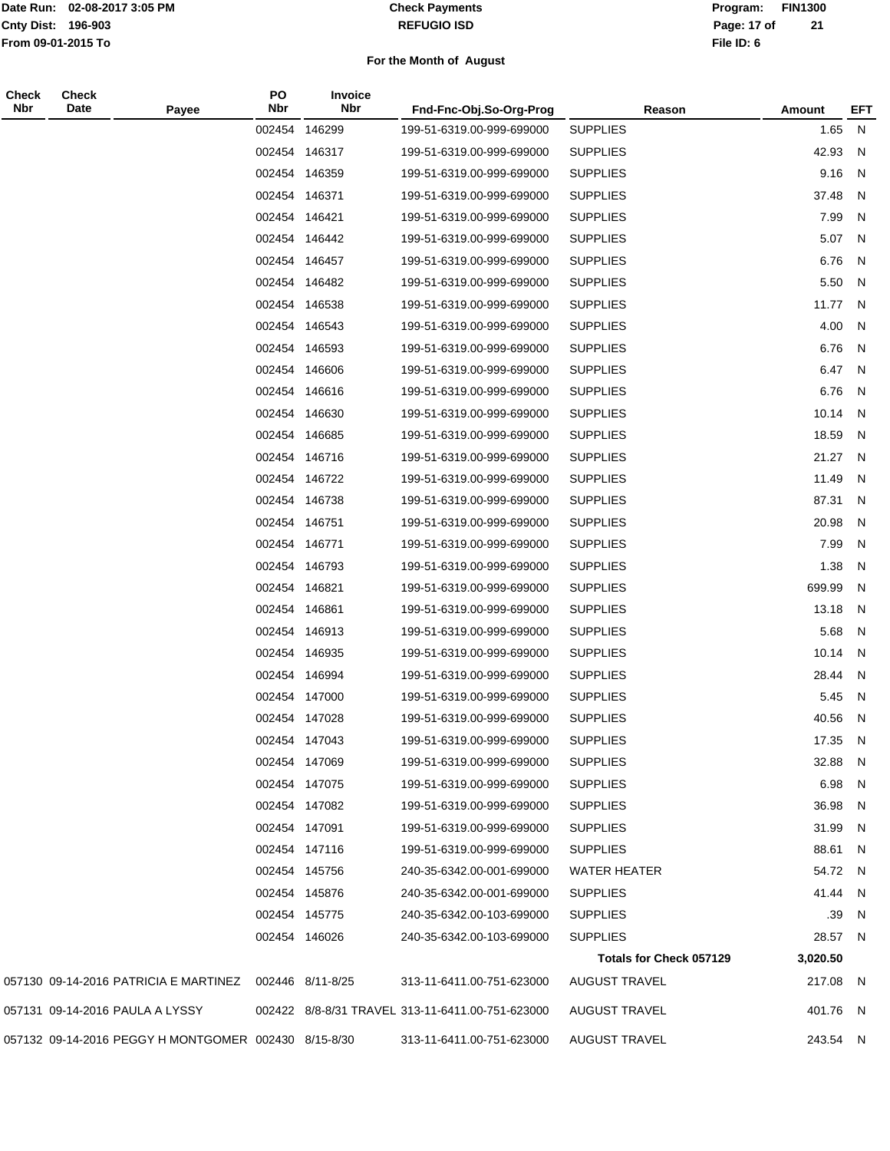#### **REFUGIO ISD Check Payments**

### **02-08-2017 3:05 PM Program: FIN1300 File ID: 6 Page: 17 of 21**

| <b>Check</b><br>Nbr | Check<br>Date                   | Payee                                                  | PO<br>Nbr     | Invoice<br><b>Nbr</b> | Fnd-Fnc-Obj.So-Org-Prog                          | Reason                  | Amount    | EFT            |
|---------------------|---------------------------------|--------------------------------------------------------|---------------|-----------------------|--------------------------------------------------|-------------------------|-----------|----------------|
|                     |                                 |                                                        | 002454        | 146299                | 199-51-6319.00-999-699000                        | <b>SUPPLIES</b>         | 1.65      | N              |
|                     |                                 |                                                        |               | 002454 146317         | 199-51-6319.00-999-699000                        | <b>SUPPLIES</b>         | 42.93     | - N            |
|                     |                                 |                                                        |               | 002454 146359         | 199-51-6319.00-999-699000                        | <b>SUPPLIES</b>         | 9.16      | $\overline{N}$ |
|                     |                                 |                                                        |               | 002454 146371         | 199-51-6319.00-999-699000                        | <b>SUPPLIES</b>         | 37.48     | - N            |
|                     |                                 |                                                        |               | 002454 146421         | 199-51-6319.00-999-699000                        | <b>SUPPLIES</b>         | 7.99      | N              |
|                     |                                 |                                                        |               | 002454 146442         | 199-51-6319.00-999-699000                        | <b>SUPPLIES</b>         | 5.07      | $\overline{N}$ |
|                     |                                 |                                                        |               | 002454 146457         | 199-51-6319.00-999-699000                        | <b>SUPPLIES</b>         | 6.76      | $\overline{N}$ |
|                     |                                 |                                                        |               | 002454 146482         | 199-51-6319.00-999-699000                        | <b>SUPPLIES</b>         | 5.50      | - N            |
|                     |                                 |                                                        |               | 002454 146538         | 199-51-6319.00-999-699000                        | <b>SUPPLIES</b>         | 11.77 N   |                |
|                     |                                 |                                                        |               | 002454 146543         | 199-51-6319.00-999-699000                        | <b>SUPPLIES</b>         | 4.00      | N              |
|                     |                                 |                                                        |               | 002454 146593         | 199-51-6319.00-999-699000                        | <b>SUPPLIES</b>         | 6.76      | N              |
|                     |                                 |                                                        |               | 002454 146606         | 199-51-6319.00-999-699000                        | <b>SUPPLIES</b>         | 6.47      | $\overline{N}$ |
|                     |                                 |                                                        |               | 002454 146616         | 199-51-6319.00-999-699000                        | <b>SUPPLIES</b>         | 6.76      | $\overline{N}$ |
|                     |                                 |                                                        |               | 002454 146630         | 199-51-6319.00-999-699000                        | <b>SUPPLIES</b>         | 10.14     | $\overline{N}$ |
|                     |                                 |                                                        |               | 002454 146685         | 199-51-6319.00-999-699000                        | <b>SUPPLIES</b>         | 18.59     | N              |
|                     |                                 |                                                        |               | 002454 146716         | 199-51-6319.00-999-699000                        | <b>SUPPLIES</b>         | 21.27     | $\overline{N}$ |
|                     |                                 |                                                        |               | 002454 146722         | 199-51-6319.00-999-699000                        | <b>SUPPLIES</b>         | 11.49     | N              |
|                     |                                 |                                                        |               | 002454 146738         | 199-51-6319.00-999-699000                        | <b>SUPPLIES</b>         | 87.31     | N              |
|                     |                                 |                                                        | 002454 146751 |                       | 199-51-6319.00-999-699000                        | <b>SUPPLIES</b>         | 20.98     | N              |
|                     |                                 |                                                        |               | 002454 146771         | 199-51-6319.00-999-699000                        | <b>SUPPLIES</b>         | 7.99      | - N            |
|                     |                                 |                                                        |               | 002454 146793         | 199-51-6319.00-999-699000                        | <b>SUPPLIES</b>         | 1.38      | - N            |
|                     |                                 |                                                        | 002454 146821 |                       | 199-51-6319.00-999-699000                        | <b>SUPPLIES</b>         | 699.99    | N              |
|                     |                                 |                                                        |               | 002454 146861         | 199-51-6319.00-999-699000                        | <b>SUPPLIES</b>         | 13.18     | $\overline{N}$ |
|                     |                                 |                                                        |               | 002454 146913         | 199-51-6319.00-999-699000                        | <b>SUPPLIES</b>         | 5.68      | - N            |
|                     |                                 |                                                        |               | 002454 146935         | 199-51-6319.00-999-699000                        | <b>SUPPLIES</b>         | $10.14$ N |                |
|                     |                                 |                                                        |               | 002454 146994         | 199-51-6319.00-999-699000                        | <b>SUPPLIES</b>         | 28.44     | - N            |
|                     |                                 |                                                        |               | 002454 147000         | 199-51-6319.00-999-699000                        | <b>SUPPLIES</b>         | 5.45      | - N            |
|                     |                                 |                                                        |               | 002454 147028         | 199-51-6319.00-999-699000                        | <b>SUPPLIES</b>         | 40.56     | $\overline{N}$ |
|                     |                                 |                                                        |               | 002454 147043         | 199-51-6319.00-999-699000                        | <b>SUPPLIES</b>         | 17.35 N   |                |
|                     |                                 |                                                        |               | 002454 147069         | 199-51-6319.00-999-699000                        | <b>SUPPLIES</b>         | 32.88 N   |                |
|                     |                                 |                                                        |               | 002454 147075         | 199-51-6319.00-999-699000                        | <b>SUPPLIES</b>         | 6.98 N    |                |
|                     |                                 |                                                        |               | 002454 147082         | 199-51-6319.00-999-699000                        | <b>SUPPLIES</b>         | 36.98 N   |                |
|                     |                                 |                                                        |               | 002454 147091         | 199-51-6319.00-999-699000                        | <b>SUPPLIES</b>         | 31.99 N   |                |
|                     |                                 |                                                        |               | 002454 147116         | 199-51-6319.00-999-699000                        | <b>SUPPLIES</b>         | 88.61 N   |                |
|                     |                                 |                                                        |               | 002454 145756         | 240-35-6342.00-001-699000                        | <b>WATER HEATER</b>     | 54.72 N   |                |
|                     |                                 |                                                        |               | 002454 145876         | 240-35-6342.00-001-699000                        | <b>SUPPLIES</b>         | 41.44 N   |                |
|                     |                                 |                                                        |               | 002454 145775         | 240-35-6342.00-103-699000                        | <b>SUPPLIES</b>         | .39       | - N            |
|                     |                                 |                                                        |               | 002454 146026         | 240-35-6342.00-103-699000                        | <b>SUPPLIES</b>         | 28.57 N   |                |
|                     |                                 |                                                        |               |                       |                                                  | Totals for Check 057129 | 3,020.50  |                |
|                     |                                 | 057130 09-14-2016 PATRICIA E MARTINEZ 002446 8/11-8/25 |               |                       | 313-11-6411.00-751-623000                        | <b>AUGUST TRAVEL</b>    | 217.08 N  |                |
|                     | 057131 09-14-2016 PAULA A LYSSY |                                                        |               |                       | 002422 8/8-8/31 TRAVEL 313-11-6411.00-751-623000 | <b>AUGUST TRAVEL</b>    | 401.76 N  |                |
|                     |                                 | 057132 09-14-2016 PEGGY H MONTGOMER 002430 8/15-8/30   |               |                       | 313-11-6411.00-751-623000                        | <b>AUGUST TRAVEL</b>    | 243.54 N  |                |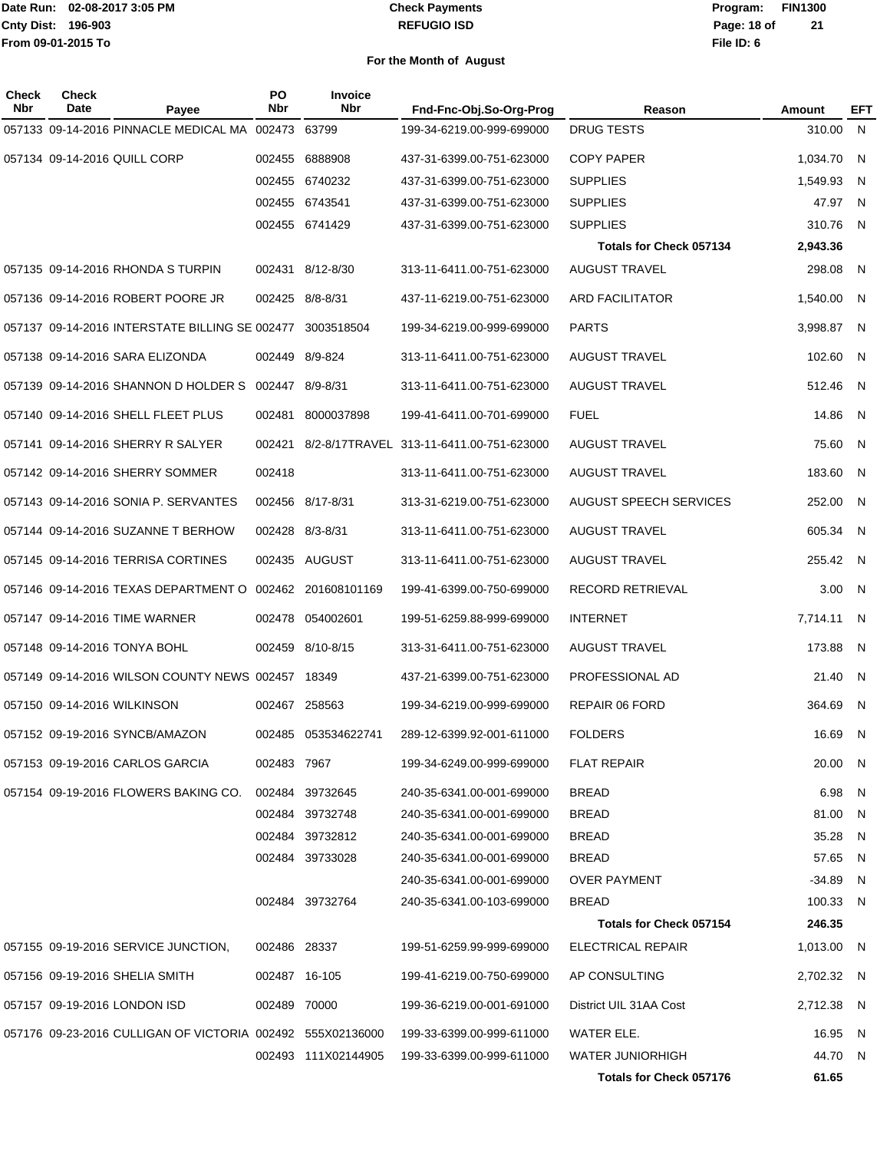#### **REFUGIO ISD Check Payments**

**02-08-2017 3:05 PM Program: FIN1300 File ID: 6 Page: 18 of 21**

| Check<br><b>Nbr</b> | <b>Check</b><br>Date        | Payee                                                      | <b>PO</b><br>Nbr | <b>Invoice</b><br><b>Nbr</b> | Fnd-Fnc-Obj.So-Org-Prog                         | Reason                         | <b>Amount</b> | EFT            |
|---------------------|-----------------------------|------------------------------------------------------------|------------------|------------------------------|-------------------------------------------------|--------------------------------|---------------|----------------|
|                     |                             | 057133 09-14-2016 PINNACLE MEDICAL MA 002473 63799         |                  |                              | 199-34-6219.00-999-699000                       | <b>DRUG TESTS</b>              | 310.00 N      |                |
|                     |                             | 057134 09-14-2016 QUILL CORP                               | 002455           | 6888908                      | 437-31-6399.00-751-623000                       | <b>COPY PAPER</b>              | 1,034.70      | - N            |
|                     |                             |                                                            |                  | 002455 6740232               | 437-31-6399.00-751-623000                       | <b>SUPPLIES</b>                | 1,549.93      | - N            |
|                     |                             |                                                            |                  | 002455 6743541               | 437-31-6399.00-751-623000                       | <b>SUPPLIES</b>                | 47.97         | - N            |
|                     |                             |                                                            |                  | 002455 6741429               | 437-31-6399.00-751-623000                       | <b>SUPPLIES</b>                | 310.76        | $\overline{N}$ |
|                     |                             |                                                            |                  |                              |                                                 | Totals for Check 057134        | 2,943.36      |                |
|                     |                             | 057135 09-14-2016 RHONDA S TURPIN                          |                  | 002431 8/12-8/30             | 313-11-6411.00-751-623000                       | <b>AUGUST TRAVEL</b>           | 298.08 N      |                |
|                     |                             | 057136 09-14-2016 ROBERT POORE JR                          |                  | 002425 8/8-8/31              | 437-11-6219.00-751-623000                       | <b>ARD FACILITATOR</b>         | 1,540.00 N    |                |
|                     |                             | 057137 09-14-2016 INTERSTATE BILLING SE 002477 3003518504  |                  |                              | 199-34-6219.00-999-699000                       | <b>PARTS</b>                   | 3,998.87 N    |                |
|                     |                             | 057138 09-14-2016 SARA ELIZONDA                            |                  | 002449 8/9-824               | 313-11-6411.00-751-623000                       | <b>AUGUST TRAVEL</b>           | 102.60 N      |                |
|                     |                             | 057139 09-14-2016 SHANNON D HOLDER S 002447 8/9-8/31       |                  |                              | 313-11-6411.00-751-623000                       | <b>AUGUST TRAVEL</b>           | 512.46        | - N            |
|                     |                             | 057140 09-14-2016 SHELL FLEET PLUS                         | 002481           | 8000037898                   | 199-41-6411.00-701-699000                       | <b>FUEL</b>                    | 14.86 N       |                |
|                     |                             | 057141 09-14-2016 SHERRY R SALYER                          |                  |                              | 002421 8/2-8/17TRAVEL 313-11-6411.00-751-623000 | <b>AUGUST TRAVEL</b>           | 75.60 N       |                |
|                     |                             | 057142 09-14-2016 SHERRY SOMMER                            | 002418           |                              | 313-11-6411.00-751-623000                       | <b>AUGUST TRAVEL</b>           | 183.60 N      |                |
|                     |                             | 057143 09-14-2016 SONIA P. SERVANTES                       |                  | 002456 8/17-8/31             | 313-31-6219.00-751-623000                       | AUGUST SPEECH SERVICES         | 252.00 N      |                |
|                     |                             | 057144 09-14-2016 SUZANNE T BERHOW                         |                  | 002428 8/3-8/31              | 313-11-6411.00-751-623000                       | <b>AUGUST TRAVEL</b>           | 605.34        | - N            |
|                     |                             | 057145 09-14-2016 TERRISA CORTINES                         |                  | 002435 AUGUST                | 313-11-6411.00-751-623000                       | <b>AUGUST TRAVEL</b>           | 255.42 N      |                |
|                     |                             | 057146 09-14-2016 TEXAS DEPARTMENT O 002462 201608101169   |                  |                              | 199-41-6399.00-750-699000                       | <b>RECORD RETRIEVAL</b>        | 3.00 N        |                |
|                     |                             | 057147 09-14-2016 TIME WARNER                              |                  | 002478 054002601             | 199-51-6259.88-999-699000                       | <b>INTERNET</b>                | 7,714.11      | - N            |
|                     |                             | 057148 09-14-2016 TONYA BOHL                               |                  | 002459 8/10-8/15             | 313-31-6411.00-751-623000                       | <b>AUGUST TRAVEL</b>           | 173.88        | - N            |
|                     |                             | 057149 09-14-2016 WILSON COUNTY NEWS 002457 18349          |                  |                              | 437-21-6399.00-751-623000                       | PROFESSIONAL AD                | 21.40 N       |                |
|                     | 057150 09-14-2016 WILKINSON |                                                            |                  | 002467 258563                | 199-34-6219.00-999-699000                       | <b>REPAIR 06 FORD</b>          | 364.69 N      |                |
|                     |                             | 057152 09-19-2016 SYNCB/AMAZON                             |                  | 002485 053534622741          | 289-12-6399.92-001-611000                       | <b>FOLDERS</b>                 | 16.69 N       |                |
|                     |                             | 057153 09-19-2016 CARLOS GARCIA                            | 002483 7967      |                              | 199-34-6249.00-999-699000                       | <b>FLAT REPAIR</b>             | 20.00 N       |                |
|                     |                             | 057154 09-19-2016 FLOWERS BAKING CO.                       |                  | 002484 39732645              | 240-35-6341.00-001-699000                       | <b>BREAD</b>                   | 6.98          | - N            |
|                     |                             |                                                            |                  | 002484 39732748              | 240-35-6341.00-001-699000                       | <b>BREAD</b>                   | 81.00         | - N            |
|                     |                             |                                                            |                  | 002484 39732812              | 240-35-6341.00-001-699000                       | <b>BREAD</b>                   | 35.28         | -N             |
|                     |                             |                                                            |                  | 002484 39733028              | 240-35-6341.00-001-699000                       | <b>BREAD</b>                   | 57.65         | - N            |
|                     |                             |                                                            |                  |                              | 240-35-6341.00-001-699000                       | <b>OVER PAYMENT</b>            | $-34.89$ N    |                |
|                     |                             |                                                            |                  | 002484 39732764              | 240-35-6341.00-103-699000                       | <b>BREAD</b>                   | 100.33 N      |                |
|                     |                             |                                                            |                  |                              |                                                 | Totals for Check 057154        | 246.35        |                |
|                     |                             | 057155 09-19-2016 SERVICE JUNCTION,                        | 002486 28337     |                              | 199-51-6259.99-999-699000                       | ELECTRICAL REPAIR              | 1,013.00 N    |                |
|                     |                             | 057156 09-19-2016 SHELIA SMITH                             |                  | 002487 16-105                | 199-41-6219.00-750-699000                       | AP CONSULTING                  | 2,702.32 N    |                |
|                     |                             | 057157 09-19-2016 LONDON ISD                               | 002489 70000     |                              | 199-36-6219.00-001-691000                       | District UIL 31AA Cost         | 2,712.38 N    |                |
|                     |                             | 057176 09-23-2016 CULLIGAN OF VICTORIA 002492 555X02136000 |                  |                              | 199-33-6399.00-999-611000                       | WATER ELE.                     | 16.95 N       |                |
|                     |                             |                                                            |                  | 002493 111X02144905          | 199-33-6399.00-999-611000                       | <b>WATER JUNIORHIGH</b>        | 44.70 N       |                |
|                     |                             |                                                            |                  |                              |                                                 | <b>Totals for Check 057176</b> | 61.65         |                |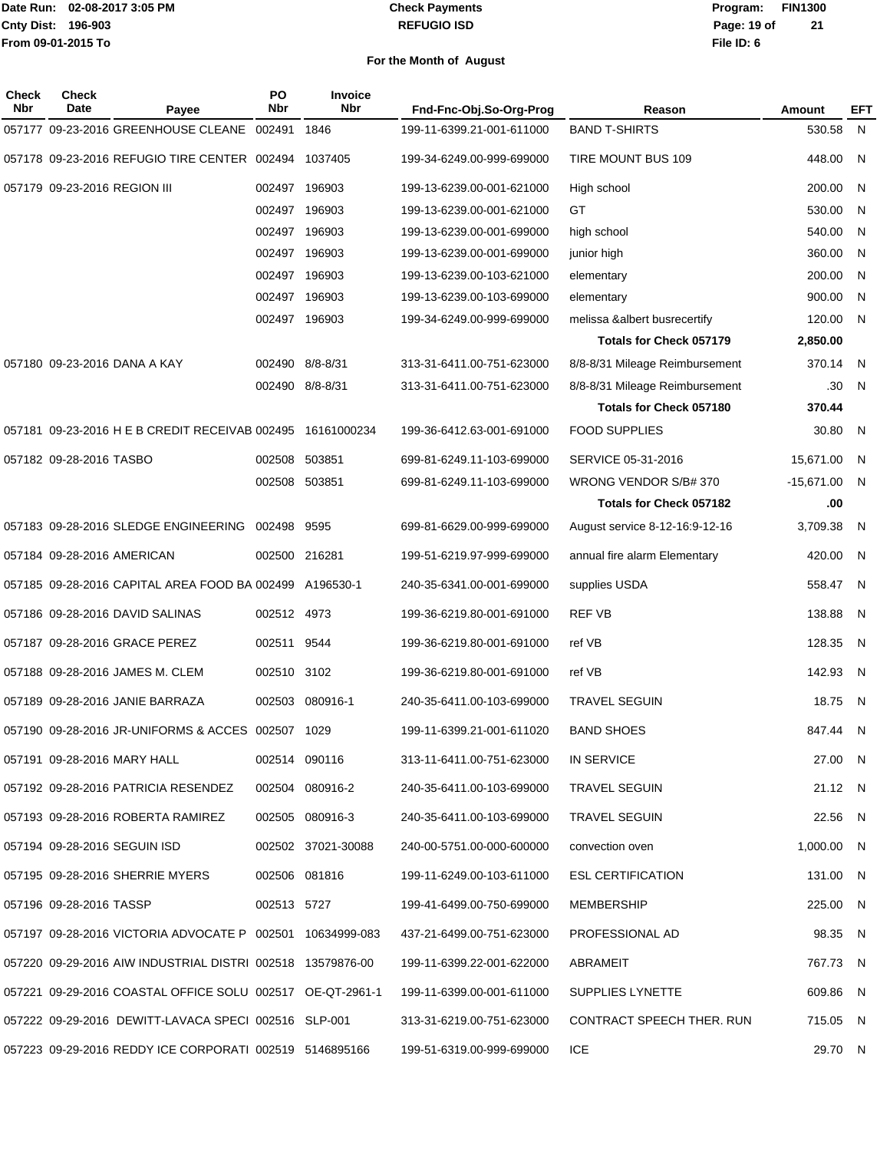#### **REFUGIO ISD Check Payments**

### **02-08-2017 3:05 PM Program: FIN1300 File ID: 6 Page: 19 of 21**

| Check<br>Nbr | <b>Check</b><br>Date         | Payee                                                      | PO<br><b>Nbr</b> | Invoice<br><b>Nbr</b> | Fnd-Fnc-Obj.So-Org-Prog   | Reason                         | <b>Amount</b> | EFT |
|--------------|------------------------------|------------------------------------------------------------|------------------|-----------------------|---------------------------|--------------------------------|---------------|-----|
|              |                              | 057177 09-23-2016 GREENHOUSE CLEANE 002491                 |                  | 1846                  | 199-11-6399.21-001-611000 | <b>BAND T-SHIRTS</b>           | 530.58        | N   |
|              |                              | 057178 09-23-2016 REFUGIO TIRE CENTER 002494 1037405       |                  |                       | 199-34-6249.00-999-699000 | TIRE MOUNT BUS 109             | 448.00        | N   |
|              | 057179 09-23-2016 REGION III |                                                            |                  | 002497 196903         | 199-13-6239.00-001-621000 | High school                    | 200.00        | N   |
|              |                              |                                                            |                  | 002497 196903         | 199-13-6239.00-001-621000 | GT                             | 530.00        | N   |
|              |                              |                                                            |                  | 002497 196903         | 199-13-6239.00-001-699000 | high school                    | 540.00        | N   |
|              |                              |                                                            |                  | 002497 196903         | 199-13-6239.00-001-699000 | junior high                    | 360.00        | N   |
|              |                              |                                                            |                  | 002497 196903         | 199-13-6239.00-103-621000 | elementary                     | 200.00        | N   |
|              |                              |                                                            |                  | 002497 196903         | 199-13-6239.00-103-699000 | elementary                     | 900.00        | N   |
|              |                              |                                                            |                  | 002497 196903         | 199-34-6249.00-999-699000 | melissa &albert busrecertify   | 120.00        | N   |
|              |                              |                                                            |                  |                       |                           | Totals for Check 057179        | 2,850.00      |     |
|              |                              | 057180 09-23-2016 DANA A KAY                               |                  | 002490 8/8-8/31       | 313-31-6411.00-751-623000 | 8/8-8/31 Mileage Reimbursement | 370.14        | N   |
|              |                              |                                                            |                  | 002490 8/8-8/31       | 313-31-6411.00-751-623000 | 8/8-8/31 Mileage Reimbursement | .30           | N   |
|              |                              |                                                            |                  |                       |                           | <b>Totals for Check 057180</b> | 370.44        |     |
|              |                              | 057181 09-23-2016 H E B CREDIT RECEIVAB 002495 16161000234 |                  |                       | 199-36-6412.63-001-691000 | <b>FOOD SUPPLIES</b>           | 30.80         | N   |
|              | 057182 09-28-2016 TASBO      |                                                            |                  | 002508 503851         | 699-81-6249.11-103-699000 | SERVICE 05-31-2016             | 15,671.00     | N   |
|              |                              |                                                            |                  | 002508 503851         | 699-81-6249.11-103-699000 | WRONG VENDOR S/B# 370          | $-15,671.00$  | N   |
|              |                              |                                                            |                  |                       |                           | Totals for Check 057182        | .00           |     |
|              |                              | 057183 09-28-2016 SLEDGE ENGINEERING 002498 9595           |                  |                       | 699-81-6629.00-999-699000 | August service 8-12-16:9-12-16 | 3,709.38      | N   |
|              | 057184 09-28-2016 AMERICAN   |                                                            |                  | 002500 216281         | 199-51-6219.97-999-699000 | annual fire alarm Elementary   | 420.00        | N   |
|              |                              | 057185 09-28-2016 CAPITAL AREA FOOD BA 002499 A196530-1    |                  |                       | 240-35-6341.00-001-699000 | supplies USDA                  | 558.47        | N   |
|              |                              | 057186 09-28-2016 DAVID SALINAS                            | 002512 4973      |                       | 199-36-6219.80-001-691000 | <b>REF VB</b>                  | 138.88        | N   |
|              |                              | 057187 09-28-2016 GRACE PEREZ                              | 002511           | 9544                  | 199-36-6219.80-001-691000 | ref VB                         | 128.35        | N   |
|              |                              | 057188 09-28-2016 JAMES M. CLEM                            | 002510           | 3102                  | 199-36-6219.80-001-691000 | ref VB                         | 142.93        | N   |
|              |                              | 057189 09-28-2016 JANIE BARRAZA                            | 002503           | 080916-1              | 240-35-6411.00-103-699000 | <b>TRAVEL SEGUIN</b>           | 18.75         | N   |
|              |                              | 057190 09-28-2016 JR-UNIFORMS & ACCES 002507 1029          |                  |                       | 199-11-6399.21-001-611020 | BAND SHOES                     | 847.44        | N.  |
|              |                              | 057191 09-28-2016 MARY HALL                                |                  | 002514 090116         | 313-11-6411.00-751-623000 | IN SERVICE                     | 27.00 N       |     |
|              |                              | 057192 09-28-2016 PATRICIA RESENDEZ                        |                  | 002504 080916-2       | 240-35-6411.00-103-699000 | TRAVEL SEGUIN                  | 21.12 N       |     |
|              |                              | 057193 09-28-2016 ROBERTA RAMIREZ                          |                  | 002505 080916-3       | 240-35-6411.00-103-699000 | TRAVEL SEGUIN                  | 22.56 N       |     |
|              |                              | 057194 09-28-2016 SEGUIN ISD                               |                  | 002502 37021-30088    | 240-00-5751.00-000-600000 | convection oven                | 1,000.00 N    |     |
|              |                              | 057195 09-28-2016 SHERRIE MYERS                            |                  | 002506 081816         | 199-11-6249.00-103-611000 | <b>ESL CERTIFICATION</b>       | 131.00 N      |     |
|              | 057196 09-28-2016 TASSP      |                                                            | 002513 5727      |                       | 199-41-6499.00-750-699000 | MEMBERSHIP                     | 225.00 N      |     |
|              |                              | 057197 09-28-2016 VICTORIA ADVOCATE P 002501 10634999-083  |                  |                       | 437-21-6499.00-751-623000 | PROFESSIONAL AD                | 98.35 N       |     |
|              |                              | 057220 09-29-2016 AIW INDUSTRIAL DISTRI 002518 13579876-00 |                  |                       | 199-11-6399.22-001-622000 | ABRAMEIT                       | 767.73 N      |     |
|              |                              | 057221 09-29-2016 COASTAL OFFICE SOLU 002517 OE-QT-2961-1  |                  |                       | 199-11-6399.00-001-611000 | SUPPLIES LYNETTE               | 609.86 N      |     |
|              |                              | 057222 09-29-2016 DEWITT-LAVACA SPECI 002516 SLP-001       |                  |                       | 313-31-6219.00-751-623000 | CONTRACT SPEECH THER. RUN      | 715.05 N      |     |
|              |                              | 057223 09-29-2016 REDDY ICE CORPORATI 002519 5146895166    |                  |                       | 199-51-6319.00-999-699000 | <b>ICE</b>                     | 29.70 N       |     |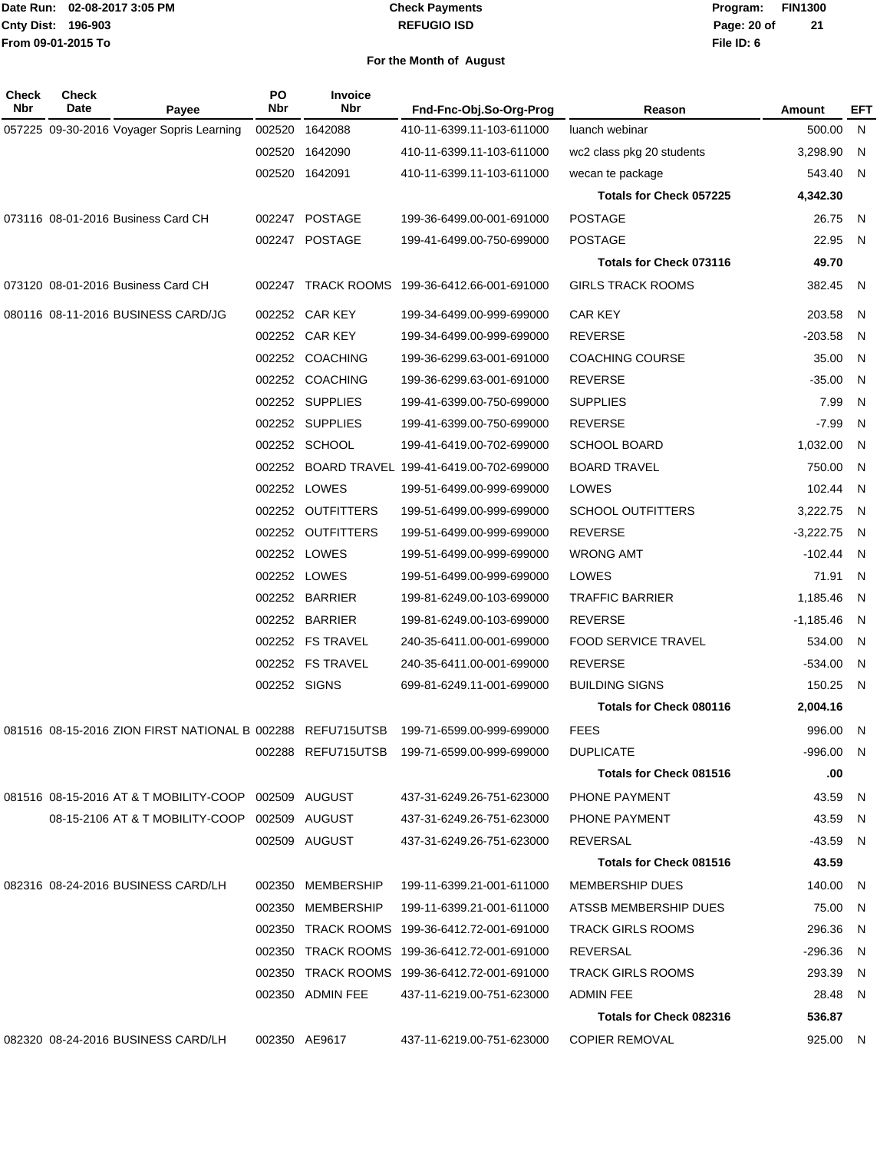#### **REFUGIO ISD Check Payments**

**02-08-2017 3:05 PM Program: FIN1300 File ID: 6 Page: 20 of 21**

| N<br>057225 09-30-2016 Voyager Sopris Learning<br>002520<br>1642088<br>410-11-6399.11-103-611000<br>500.00<br>luanch webinar<br>3,298.90<br>N,<br>002520<br>1642090<br>410-11-6399.11-103-611000<br>wc2 class pkg 20 students<br>002520 1642091<br>543.40<br>N<br>410-11-6399.11-103-611000<br>wecan te package<br>4,342.30<br>Totals for Check 057225<br>073116 08-01-2016 Business Card CH<br>002247 POSTAGE<br><b>POSTAGE</b><br>199-36-6499.00-001-691000<br>26.75<br>- N<br>002247 POSTAGE<br><b>POSTAGE</b><br>22.95<br>199-41-6499.00-750-699000<br>- N<br>49.70<br>Totals for Check 073116<br>073120 08-01-2016 Business Card CH<br>TRACK ROOMS 199-36-6412.66-001-691000<br><b>GIRLS TRACK ROOMS</b><br>382.45<br>002247<br>- N<br>080116 08-11-2016 BUSINESS CARD/JG<br>002252 CAR KEY<br><b>CAR KEY</b><br>203.58<br>199-34-6499.00-999-699000<br>N.<br>002252 CAR KEY<br><b>REVERSE</b><br>$-203.58$<br>199-34-6499.00-999-699000<br>N<br>002252 COACHING<br><b>COACHING COURSE</b><br>199-36-6299.63-001-691000<br>35.00<br>- N<br>002252 COACHING<br><b>REVERSE</b><br>$-35.00$<br>199-36-6299.63-001-691000<br>- N<br>002252 SUPPLIES<br><b>SUPPLIES</b><br>7.99<br>N<br>199-41-6399.00-750-699000<br>002252 SUPPLIES<br><b>REVERSE</b><br>$-7.99$<br>199-41-6399.00-750-699000<br>N.<br>002252 SCHOOL<br><b>SCHOOL BOARD</b><br>1,032.00<br>- N<br>199-41-6419.00-702-699000<br>BOARD TRAVEL 199-41-6419.00-702-699000<br><b>BOARD TRAVEL</b><br>750.00<br>002252<br>- N<br>002252 LOWES<br>LOWES<br>102.44 N<br>199-51-6499.00-999-699000<br>OUTFITTERS<br><b>SCHOOL OUTFITTERS</b><br>3,222.75<br>002252<br>199-51-6499.00-999-699000<br>- N<br>002252 OUTFITTERS<br><b>REVERSE</b><br>$-3,222.75$<br>199-51-6499.00-999-699000<br>- N<br>002252 LOWES<br><b>WRONG AMT</b><br>$-102.44$ N<br>199-51-6499.00-999-699000<br>002252 LOWES<br>LOWES<br>71.91<br>199-51-6499.00-999-699000<br>- N<br>002252 BARRIER<br><b>TRAFFIC BARRIER</b><br>1,185.46<br>199-81-6249.00-103-699000<br>- N<br>002252 BARRIER<br><b>REVERSE</b><br>199-81-6249.00-103-699000<br>-1,185.46<br>- N<br>002252 FS TRAVEL<br><b>FOOD SERVICE TRAVEL</b><br>534.00<br>240-35-6411.00-001-699000<br>- N<br>002252 FS TRAVEL<br><b>REVERSE</b><br>$-534.00$<br>240-35-6411.00-001-699000<br>- N<br>002252 SIGNS<br>699-81-6249.11-001-699000<br><b>BUILDING SIGNS</b><br>150.25<br>N<br>Totals for Check 080116<br>2,004.16<br>081516 08-15-2016 ZION FIRST NATIONAL B 002288 REFU715UTSB<br><b>FEES</b><br>996.00 N<br>199-71-6599.00-999-699000<br>002288 REFU715UTSB 199-71-6599.00-999-699000<br><b>DUPLICATE</b><br>-996.00 N<br>.00<br>Totals for Check 081516<br>081516 08-15-2016 AT & T MOBILITY-COOP 002509 AUGUST<br>437-31-6249.26-751-623000<br>PHONE PAYMENT<br>43.59 N<br>43.59 N<br>08-15-2106 AT & T MOBILITY-COOP 002509 AUGUST<br>437-31-6249.26-751-623000<br>PHONE PAYMENT<br>002509 AUGUST<br>REVERSAL<br>$-43.59$ N<br>437-31-6249.26-751-623000<br><b>Totals for Check 081516</b><br>43.59<br>082316 08-24-2016 BUSINESS CARD/LH<br>002350 MEMBERSHIP<br>199-11-6399.21-001-611000<br><b>MEMBERSHIP DUES</b><br>140.00 N<br>002350 MEMBERSHIP<br>199-11-6399.21-001-611000<br>ATSSB MEMBERSHIP DUES<br>75.00 N<br>002350 TRACK ROOMS 199-36-6412.72-001-691000<br><b>TRACK GIRLS ROOMS</b><br>296.36 N<br>002350 TRACK ROOMS 199-36-6412.72-001-691000<br>REVERSAL<br>$-296.36$ N<br>002350 TRACK ROOMS 199-36-6412.72-001-691000<br><b>TRACK GIRLS ROOMS</b><br>293.39 N<br>002350 ADMIN FEE<br>ADMIN FEE<br>28.48 N<br>437-11-6219.00-751-623000<br>Totals for Check 082316<br>536.87<br>082320 08-24-2016 BUSINESS CARD/LH<br>002350 AE9617<br>437-11-6219.00-751-623000<br><b>COPIER REMOVAL</b><br>925.00 N | <b>Check</b><br>Nbr | Check<br>Date | Payee | PO<br>Nbr | <b>Invoice</b><br><b>Nbr</b> | Fnd-Fnc-Obj.So-Org-Prog | Reason | <b>Amount</b> | EFT |
|---------------------------------------------------------------------------------------------------------------------------------------------------------------------------------------------------------------------------------------------------------------------------------------------------------------------------------------------------------------------------------------------------------------------------------------------------------------------------------------------------------------------------------------------------------------------------------------------------------------------------------------------------------------------------------------------------------------------------------------------------------------------------------------------------------------------------------------------------------------------------------------------------------------------------------------------------------------------------------------------------------------------------------------------------------------------------------------------------------------------------------------------------------------------------------------------------------------------------------------------------------------------------------------------------------------------------------------------------------------------------------------------------------------------------------------------------------------------------------------------------------------------------------------------------------------------------------------------------------------------------------------------------------------------------------------------------------------------------------------------------------------------------------------------------------------------------------------------------------------------------------------------------------------------------------------------------------------------------------------------------------------------------------------------------------------------------------------------------------------------------------------------------------------------------------------------------------------------------------------------------------------------------------------------------------------------------------------------------------------------------------------------------------------------------------------------------------------------------------------------------------------------------------------------------------------------------------------------------------------------------------------------------------------------------------------------------------------------------------------------------------------------------------------------------------------------------------------------------------------------------------------------------------------------------------------------------------------------------------------------------------------------------------------------------------------------------------------------------------------------------------------------------------------------------------------------------------------------------------------------------------------------------------------------------------------------------------------------------------------------------------------------------------------------------------------------------------------------------------------------------------------------------------------------------------------------------------------------------------------------------------------------------------------------------------------------------------------------------------|---------------------|---------------|-------|-----------|------------------------------|-------------------------|--------|---------------|-----|
|                                                                                                                                                                                                                                                                                                                                                                                                                                                                                                                                                                                                                                                                                                                                                                                                                                                                                                                                                                                                                                                                                                                                                                                                                                                                                                                                                                                                                                                                                                                                                                                                                                                                                                                                                                                                                                                                                                                                                                                                                                                                                                                                                                                                                                                                                                                                                                                                                                                                                                                                                                                                                                                                                                                                                                                                                                                                                                                                                                                                                                                                                                                                                                                                                                                                                                                                                                                                                                                                                                                                                                                                                                                                                                                                 |                     |               |       |           |                              |                         |        |               |     |
|                                                                                                                                                                                                                                                                                                                                                                                                                                                                                                                                                                                                                                                                                                                                                                                                                                                                                                                                                                                                                                                                                                                                                                                                                                                                                                                                                                                                                                                                                                                                                                                                                                                                                                                                                                                                                                                                                                                                                                                                                                                                                                                                                                                                                                                                                                                                                                                                                                                                                                                                                                                                                                                                                                                                                                                                                                                                                                                                                                                                                                                                                                                                                                                                                                                                                                                                                                                                                                                                                                                                                                                                                                                                                                                                 |                     |               |       |           |                              |                         |        |               |     |
|                                                                                                                                                                                                                                                                                                                                                                                                                                                                                                                                                                                                                                                                                                                                                                                                                                                                                                                                                                                                                                                                                                                                                                                                                                                                                                                                                                                                                                                                                                                                                                                                                                                                                                                                                                                                                                                                                                                                                                                                                                                                                                                                                                                                                                                                                                                                                                                                                                                                                                                                                                                                                                                                                                                                                                                                                                                                                                                                                                                                                                                                                                                                                                                                                                                                                                                                                                                                                                                                                                                                                                                                                                                                                                                                 |                     |               |       |           |                              |                         |        |               |     |
|                                                                                                                                                                                                                                                                                                                                                                                                                                                                                                                                                                                                                                                                                                                                                                                                                                                                                                                                                                                                                                                                                                                                                                                                                                                                                                                                                                                                                                                                                                                                                                                                                                                                                                                                                                                                                                                                                                                                                                                                                                                                                                                                                                                                                                                                                                                                                                                                                                                                                                                                                                                                                                                                                                                                                                                                                                                                                                                                                                                                                                                                                                                                                                                                                                                                                                                                                                                                                                                                                                                                                                                                                                                                                                                                 |                     |               |       |           |                              |                         |        |               |     |
|                                                                                                                                                                                                                                                                                                                                                                                                                                                                                                                                                                                                                                                                                                                                                                                                                                                                                                                                                                                                                                                                                                                                                                                                                                                                                                                                                                                                                                                                                                                                                                                                                                                                                                                                                                                                                                                                                                                                                                                                                                                                                                                                                                                                                                                                                                                                                                                                                                                                                                                                                                                                                                                                                                                                                                                                                                                                                                                                                                                                                                                                                                                                                                                                                                                                                                                                                                                                                                                                                                                                                                                                                                                                                                                                 |                     |               |       |           |                              |                         |        |               |     |
|                                                                                                                                                                                                                                                                                                                                                                                                                                                                                                                                                                                                                                                                                                                                                                                                                                                                                                                                                                                                                                                                                                                                                                                                                                                                                                                                                                                                                                                                                                                                                                                                                                                                                                                                                                                                                                                                                                                                                                                                                                                                                                                                                                                                                                                                                                                                                                                                                                                                                                                                                                                                                                                                                                                                                                                                                                                                                                                                                                                                                                                                                                                                                                                                                                                                                                                                                                                                                                                                                                                                                                                                                                                                                                                                 |                     |               |       |           |                              |                         |        |               |     |
|                                                                                                                                                                                                                                                                                                                                                                                                                                                                                                                                                                                                                                                                                                                                                                                                                                                                                                                                                                                                                                                                                                                                                                                                                                                                                                                                                                                                                                                                                                                                                                                                                                                                                                                                                                                                                                                                                                                                                                                                                                                                                                                                                                                                                                                                                                                                                                                                                                                                                                                                                                                                                                                                                                                                                                                                                                                                                                                                                                                                                                                                                                                                                                                                                                                                                                                                                                                                                                                                                                                                                                                                                                                                                                                                 |                     |               |       |           |                              |                         |        |               |     |
|                                                                                                                                                                                                                                                                                                                                                                                                                                                                                                                                                                                                                                                                                                                                                                                                                                                                                                                                                                                                                                                                                                                                                                                                                                                                                                                                                                                                                                                                                                                                                                                                                                                                                                                                                                                                                                                                                                                                                                                                                                                                                                                                                                                                                                                                                                                                                                                                                                                                                                                                                                                                                                                                                                                                                                                                                                                                                                                                                                                                                                                                                                                                                                                                                                                                                                                                                                                                                                                                                                                                                                                                                                                                                                                                 |                     |               |       |           |                              |                         |        |               |     |
|                                                                                                                                                                                                                                                                                                                                                                                                                                                                                                                                                                                                                                                                                                                                                                                                                                                                                                                                                                                                                                                                                                                                                                                                                                                                                                                                                                                                                                                                                                                                                                                                                                                                                                                                                                                                                                                                                                                                                                                                                                                                                                                                                                                                                                                                                                                                                                                                                                                                                                                                                                                                                                                                                                                                                                                                                                                                                                                                                                                                                                                                                                                                                                                                                                                                                                                                                                                                                                                                                                                                                                                                                                                                                                                                 |                     |               |       |           |                              |                         |        |               |     |
|                                                                                                                                                                                                                                                                                                                                                                                                                                                                                                                                                                                                                                                                                                                                                                                                                                                                                                                                                                                                                                                                                                                                                                                                                                                                                                                                                                                                                                                                                                                                                                                                                                                                                                                                                                                                                                                                                                                                                                                                                                                                                                                                                                                                                                                                                                                                                                                                                                                                                                                                                                                                                                                                                                                                                                                                                                                                                                                                                                                                                                                                                                                                                                                                                                                                                                                                                                                                                                                                                                                                                                                                                                                                                                                                 |                     |               |       |           |                              |                         |        |               |     |
|                                                                                                                                                                                                                                                                                                                                                                                                                                                                                                                                                                                                                                                                                                                                                                                                                                                                                                                                                                                                                                                                                                                                                                                                                                                                                                                                                                                                                                                                                                                                                                                                                                                                                                                                                                                                                                                                                                                                                                                                                                                                                                                                                                                                                                                                                                                                                                                                                                                                                                                                                                                                                                                                                                                                                                                                                                                                                                                                                                                                                                                                                                                                                                                                                                                                                                                                                                                                                                                                                                                                                                                                                                                                                                                                 |                     |               |       |           |                              |                         |        |               |     |
|                                                                                                                                                                                                                                                                                                                                                                                                                                                                                                                                                                                                                                                                                                                                                                                                                                                                                                                                                                                                                                                                                                                                                                                                                                                                                                                                                                                                                                                                                                                                                                                                                                                                                                                                                                                                                                                                                                                                                                                                                                                                                                                                                                                                                                                                                                                                                                                                                                                                                                                                                                                                                                                                                                                                                                                                                                                                                                                                                                                                                                                                                                                                                                                                                                                                                                                                                                                                                                                                                                                                                                                                                                                                                                                                 |                     |               |       |           |                              |                         |        |               |     |
|                                                                                                                                                                                                                                                                                                                                                                                                                                                                                                                                                                                                                                                                                                                                                                                                                                                                                                                                                                                                                                                                                                                                                                                                                                                                                                                                                                                                                                                                                                                                                                                                                                                                                                                                                                                                                                                                                                                                                                                                                                                                                                                                                                                                                                                                                                                                                                                                                                                                                                                                                                                                                                                                                                                                                                                                                                                                                                                                                                                                                                                                                                                                                                                                                                                                                                                                                                                                                                                                                                                                                                                                                                                                                                                                 |                     |               |       |           |                              |                         |        |               |     |
|                                                                                                                                                                                                                                                                                                                                                                                                                                                                                                                                                                                                                                                                                                                                                                                                                                                                                                                                                                                                                                                                                                                                                                                                                                                                                                                                                                                                                                                                                                                                                                                                                                                                                                                                                                                                                                                                                                                                                                                                                                                                                                                                                                                                                                                                                                                                                                                                                                                                                                                                                                                                                                                                                                                                                                                                                                                                                                                                                                                                                                                                                                                                                                                                                                                                                                                                                                                                                                                                                                                                                                                                                                                                                                                                 |                     |               |       |           |                              |                         |        |               |     |
|                                                                                                                                                                                                                                                                                                                                                                                                                                                                                                                                                                                                                                                                                                                                                                                                                                                                                                                                                                                                                                                                                                                                                                                                                                                                                                                                                                                                                                                                                                                                                                                                                                                                                                                                                                                                                                                                                                                                                                                                                                                                                                                                                                                                                                                                                                                                                                                                                                                                                                                                                                                                                                                                                                                                                                                                                                                                                                                                                                                                                                                                                                                                                                                                                                                                                                                                                                                                                                                                                                                                                                                                                                                                                                                                 |                     |               |       |           |                              |                         |        |               |     |
|                                                                                                                                                                                                                                                                                                                                                                                                                                                                                                                                                                                                                                                                                                                                                                                                                                                                                                                                                                                                                                                                                                                                                                                                                                                                                                                                                                                                                                                                                                                                                                                                                                                                                                                                                                                                                                                                                                                                                                                                                                                                                                                                                                                                                                                                                                                                                                                                                                                                                                                                                                                                                                                                                                                                                                                                                                                                                                                                                                                                                                                                                                                                                                                                                                                                                                                                                                                                                                                                                                                                                                                                                                                                                                                                 |                     |               |       |           |                              |                         |        |               |     |
|                                                                                                                                                                                                                                                                                                                                                                                                                                                                                                                                                                                                                                                                                                                                                                                                                                                                                                                                                                                                                                                                                                                                                                                                                                                                                                                                                                                                                                                                                                                                                                                                                                                                                                                                                                                                                                                                                                                                                                                                                                                                                                                                                                                                                                                                                                                                                                                                                                                                                                                                                                                                                                                                                                                                                                                                                                                                                                                                                                                                                                                                                                                                                                                                                                                                                                                                                                                                                                                                                                                                                                                                                                                                                                                                 |                     |               |       |           |                              |                         |        |               |     |
|                                                                                                                                                                                                                                                                                                                                                                                                                                                                                                                                                                                                                                                                                                                                                                                                                                                                                                                                                                                                                                                                                                                                                                                                                                                                                                                                                                                                                                                                                                                                                                                                                                                                                                                                                                                                                                                                                                                                                                                                                                                                                                                                                                                                                                                                                                                                                                                                                                                                                                                                                                                                                                                                                                                                                                                                                                                                                                                                                                                                                                                                                                                                                                                                                                                                                                                                                                                                                                                                                                                                                                                                                                                                                                                                 |                     |               |       |           |                              |                         |        |               |     |
|                                                                                                                                                                                                                                                                                                                                                                                                                                                                                                                                                                                                                                                                                                                                                                                                                                                                                                                                                                                                                                                                                                                                                                                                                                                                                                                                                                                                                                                                                                                                                                                                                                                                                                                                                                                                                                                                                                                                                                                                                                                                                                                                                                                                                                                                                                                                                                                                                                                                                                                                                                                                                                                                                                                                                                                                                                                                                                                                                                                                                                                                                                                                                                                                                                                                                                                                                                                                                                                                                                                                                                                                                                                                                                                                 |                     |               |       |           |                              |                         |        |               |     |
|                                                                                                                                                                                                                                                                                                                                                                                                                                                                                                                                                                                                                                                                                                                                                                                                                                                                                                                                                                                                                                                                                                                                                                                                                                                                                                                                                                                                                                                                                                                                                                                                                                                                                                                                                                                                                                                                                                                                                                                                                                                                                                                                                                                                                                                                                                                                                                                                                                                                                                                                                                                                                                                                                                                                                                                                                                                                                                                                                                                                                                                                                                                                                                                                                                                                                                                                                                                                                                                                                                                                                                                                                                                                                                                                 |                     |               |       |           |                              |                         |        |               |     |
|                                                                                                                                                                                                                                                                                                                                                                                                                                                                                                                                                                                                                                                                                                                                                                                                                                                                                                                                                                                                                                                                                                                                                                                                                                                                                                                                                                                                                                                                                                                                                                                                                                                                                                                                                                                                                                                                                                                                                                                                                                                                                                                                                                                                                                                                                                                                                                                                                                                                                                                                                                                                                                                                                                                                                                                                                                                                                                                                                                                                                                                                                                                                                                                                                                                                                                                                                                                                                                                                                                                                                                                                                                                                                                                                 |                     |               |       |           |                              |                         |        |               |     |
|                                                                                                                                                                                                                                                                                                                                                                                                                                                                                                                                                                                                                                                                                                                                                                                                                                                                                                                                                                                                                                                                                                                                                                                                                                                                                                                                                                                                                                                                                                                                                                                                                                                                                                                                                                                                                                                                                                                                                                                                                                                                                                                                                                                                                                                                                                                                                                                                                                                                                                                                                                                                                                                                                                                                                                                                                                                                                                                                                                                                                                                                                                                                                                                                                                                                                                                                                                                                                                                                                                                                                                                                                                                                                                                                 |                     |               |       |           |                              |                         |        |               |     |
|                                                                                                                                                                                                                                                                                                                                                                                                                                                                                                                                                                                                                                                                                                                                                                                                                                                                                                                                                                                                                                                                                                                                                                                                                                                                                                                                                                                                                                                                                                                                                                                                                                                                                                                                                                                                                                                                                                                                                                                                                                                                                                                                                                                                                                                                                                                                                                                                                                                                                                                                                                                                                                                                                                                                                                                                                                                                                                                                                                                                                                                                                                                                                                                                                                                                                                                                                                                                                                                                                                                                                                                                                                                                                                                                 |                     |               |       |           |                              |                         |        |               |     |
|                                                                                                                                                                                                                                                                                                                                                                                                                                                                                                                                                                                                                                                                                                                                                                                                                                                                                                                                                                                                                                                                                                                                                                                                                                                                                                                                                                                                                                                                                                                                                                                                                                                                                                                                                                                                                                                                                                                                                                                                                                                                                                                                                                                                                                                                                                                                                                                                                                                                                                                                                                                                                                                                                                                                                                                                                                                                                                                                                                                                                                                                                                                                                                                                                                                                                                                                                                                                                                                                                                                                                                                                                                                                                                                                 |                     |               |       |           |                              |                         |        |               |     |
|                                                                                                                                                                                                                                                                                                                                                                                                                                                                                                                                                                                                                                                                                                                                                                                                                                                                                                                                                                                                                                                                                                                                                                                                                                                                                                                                                                                                                                                                                                                                                                                                                                                                                                                                                                                                                                                                                                                                                                                                                                                                                                                                                                                                                                                                                                                                                                                                                                                                                                                                                                                                                                                                                                                                                                                                                                                                                                                                                                                                                                                                                                                                                                                                                                                                                                                                                                                                                                                                                                                                                                                                                                                                                                                                 |                     |               |       |           |                              |                         |        |               |     |
|                                                                                                                                                                                                                                                                                                                                                                                                                                                                                                                                                                                                                                                                                                                                                                                                                                                                                                                                                                                                                                                                                                                                                                                                                                                                                                                                                                                                                                                                                                                                                                                                                                                                                                                                                                                                                                                                                                                                                                                                                                                                                                                                                                                                                                                                                                                                                                                                                                                                                                                                                                                                                                                                                                                                                                                                                                                                                                                                                                                                                                                                                                                                                                                                                                                                                                                                                                                                                                                                                                                                                                                                                                                                                                                                 |                     |               |       |           |                              |                         |        |               |     |
|                                                                                                                                                                                                                                                                                                                                                                                                                                                                                                                                                                                                                                                                                                                                                                                                                                                                                                                                                                                                                                                                                                                                                                                                                                                                                                                                                                                                                                                                                                                                                                                                                                                                                                                                                                                                                                                                                                                                                                                                                                                                                                                                                                                                                                                                                                                                                                                                                                                                                                                                                                                                                                                                                                                                                                                                                                                                                                                                                                                                                                                                                                                                                                                                                                                                                                                                                                                                                                                                                                                                                                                                                                                                                                                                 |                     |               |       |           |                              |                         |        |               |     |
|                                                                                                                                                                                                                                                                                                                                                                                                                                                                                                                                                                                                                                                                                                                                                                                                                                                                                                                                                                                                                                                                                                                                                                                                                                                                                                                                                                                                                                                                                                                                                                                                                                                                                                                                                                                                                                                                                                                                                                                                                                                                                                                                                                                                                                                                                                                                                                                                                                                                                                                                                                                                                                                                                                                                                                                                                                                                                                                                                                                                                                                                                                                                                                                                                                                                                                                                                                                                                                                                                                                                                                                                                                                                                                                                 |                     |               |       |           |                              |                         |        |               |     |
|                                                                                                                                                                                                                                                                                                                                                                                                                                                                                                                                                                                                                                                                                                                                                                                                                                                                                                                                                                                                                                                                                                                                                                                                                                                                                                                                                                                                                                                                                                                                                                                                                                                                                                                                                                                                                                                                                                                                                                                                                                                                                                                                                                                                                                                                                                                                                                                                                                                                                                                                                                                                                                                                                                                                                                                                                                                                                                                                                                                                                                                                                                                                                                                                                                                                                                                                                                                                                                                                                                                                                                                                                                                                                                                                 |                     |               |       |           |                              |                         |        |               |     |
|                                                                                                                                                                                                                                                                                                                                                                                                                                                                                                                                                                                                                                                                                                                                                                                                                                                                                                                                                                                                                                                                                                                                                                                                                                                                                                                                                                                                                                                                                                                                                                                                                                                                                                                                                                                                                                                                                                                                                                                                                                                                                                                                                                                                                                                                                                                                                                                                                                                                                                                                                                                                                                                                                                                                                                                                                                                                                                                                                                                                                                                                                                                                                                                                                                                                                                                                                                                                                                                                                                                                                                                                                                                                                                                                 |                     |               |       |           |                              |                         |        |               |     |
|                                                                                                                                                                                                                                                                                                                                                                                                                                                                                                                                                                                                                                                                                                                                                                                                                                                                                                                                                                                                                                                                                                                                                                                                                                                                                                                                                                                                                                                                                                                                                                                                                                                                                                                                                                                                                                                                                                                                                                                                                                                                                                                                                                                                                                                                                                                                                                                                                                                                                                                                                                                                                                                                                                                                                                                                                                                                                                                                                                                                                                                                                                                                                                                                                                                                                                                                                                                                                                                                                                                                                                                                                                                                                                                                 |                     |               |       |           |                              |                         |        |               |     |
|                                                                                                                                                                                                                                                                                                                                                                                                                                                                                                                                                                                                                                                                                                                                                                                                                                                                                                                                                                                                                                                                                                                                                                                                                                                                                                                                                                                                                                                                                                                                                                                                                                                                                                                                                                                                                                                                                                                                                                                                                                                                                                                                                                                                                                                                                                                                                                                                                                                                                                                                                                                                                                                                                                                                                                                                                                                                                                                                                                                                                                                                                                                                                                                                                                                                                                                                                                                                                                                                                                                                                                                                                                                                                                                                 |                     |               |       |           |                              |                         |        |               |     |
|                                                                                                                                                                                                                                                                                                                                                                                                                                                                                                                                                                                                                                                                                                                                                                                                                                                                                                                                                                                                                                                                                                                                                                                                                                                                                                                                                                                                                                                                                                                                                                                                                                                                                                                                                                                                                                                                                                                                                                                                                                                                                                                                                                                                                                                                                                                                                                                                                                                                                                                                                                                                                                                                                                                                                                                                                                                                                                                                                                                                                                                                                                                                                                                                                                                                                                                                                                                                                                                                                                                                                                                                                                                                                                                                 |                     |               |       |           |                              |                         |        |               |     |
|                                                                                                                                                                                                                                                                                                                                                                                                                                                                                                                                                                                                                                                                                                                                                                                                                                                                                                                                                                                                                                                                                                                                                                                                                                                                                                                                                                                                                                                                                                                                                                                                                                                                                                                                                                                                                                                                                                                                                                                                                                                                                                                                                                                                                                                                                                                                                                                                                                                                                                                                                                                                                                                                                                                                                                                                                                                                                                                                                                                                                                                                                                                                                                                                                                                                                                                                                                                                                                                                                                                                                                                                                                                                                                                                 |                     |               |       |           |                              |                         |        |               |     |
|                                                                                                                                                                                                                                                                                                                                                                                                                                                                                                                                                                                                                                                                                                                                                                                                                                                                                                                                                                                                                                                                                                                                                                                                                                                                                                                                                                                                                                                                                                                                                                                                                                                                                                                                                                                                                                                                                                                                                                                                                                                                                                                                                                                                                                                                                                                                                                                                                                                                                                                                                                                                                                                                                                                                                                                                                                                                                                                                                                                                                                                                                                                                                                                                                                                                                                                                                                                                                                                                                                                                                                                                                                                                                                                                 |                     |               |       |           |                              |                         |        |               |     |
|                                                                                                                                                                                                                                                                                                                                                                                                                                                                                                                                                                                                                                                                                                                                                                                                                                                                                                                                                                                                                                                                                                                                                                                                                                                                                                                                                                                                                                                                                                                                                                                                                                                                                                                                                                                                                                                                                                                                                                                                                                                                                                                                                                                                                                                                                                                                                                                                                                                                                                                                                                                                                                                                                                                                                                                                                                                                                                                                                                                                                                                                                                                                                                                                                                                                                                                                                                                                                                                                                                                                                                                                                                                                                                                                 |                     |               |       |           |                              |                         |        |               |     |
|                                                                                                                                                                                                                                                                                                                                                                                                                                                                                                                                                                                                                                                                                                                                                                                                                                                                                                                                                                                                                                                                                                                                                                                                                                                                                                                                                                                                                                                                                                                                                                                                                                                                                                                                                                                                                                                                                                                                                                                                                                                                                                                                                                                                                                                                                                                                                                                                                                                                                                                                                                                                                                                                                                                                                                                                                                                                                                                                                                                                                                                                                                                                                                                                                                                                                                                                                                                                                                                                                                                                                                                                                                                                                                                                 |                     |               |       |           |                              |                         |        |               |     |
|                                                                                                                                                                                                                                                                                                                                                                                                                                                                                                                                                                                                                                                                                                                                                                                                                                                                                                                                                                                                                                                                                                                                                                                                                                                                                                                                                                                                                                                                                                                                                                                                                                                                                                                                                                                                                                                                                                                                                                                                                                                                                                                                                                                                                                                                                                                                                                                                                                                                                                                                                                                                                                                                                                                                                                                                                                                                                                                                                                                                                                                                                                                                                                                                                                                                                                                                                                                                                                                                                                                                                                                                                                                                                                                                 |                     |               |       |           |                              |                         |        |               |     |
|                                                                                                                                                                                                                                                                                                                                                                                                                                                                                                                                                                                                                                                                                                                                                                                                                                                                                                                                                                                                                                                                                                                                                                                                                                                                                                                                                                                                                                                                                                                                                                                                                                                                                                                                                                                                                                                                                                                                                                                                                                                                                                                                                                                                                                                                                                                                                                                                                                                                                                                                                                                                                                                                                                                                                                                                                                                                                                                                                                                                                                                                                                                                                                                                                                                                                                                                                                                                                                                                                                                                                                                                                                                                                                                                 |                     |               |       |           |                              |                         |        |               |     |
|                                                                                                                                                                                                                                                                                                                                                                                                                                                                                                                                                                                                                                                                                                                                                                                                                                                                                                                                                                                                                                                                                                                                                                                                                                                                                                                                                                                                                                                                                                                                                                                                                                                                                                                                                                                                                                                                                                                                                                                                                                                                                                                                                                                                                                                                                                                                                                                                                                                                                                                                                                                                                                                                                                                                                                                                                                                                                                                                                                                                                                                                                                                                                                                                                                                                                                                                                                                                                                                                                                                                                                                                                                                                                                                                 |                     |               |       |           |                              |                         |        |               |     |
|                                                                                                                                                                                                                                                                                                                                                                                                                                                                                                                                                                                                                                                                                                                                                                                                                                                                                                                                                                                                                                                                                                                                                                                                                                                                                                                                                                                                                                                                                                                                                                                                                                                                                                                                                                                                                                                                                                                                                                                                                                                                                                                                                                                                                                                                                                                                                                                                                                                                                                                                                                                                                                                                                                                                                                                                                                                                                                                                                                                                                                                                                                                                                                                                                                                                                                                                                                                                                                                                                                                                                                                                                                                                                                                                 |                     |               |       |           |                              |                         |        |               |     |
|                                                                                                                                                                                                                                                                                                                                                                                                                                                                                                                                                                                                                                                                                                                                                                                                                                                                                                                                                                                                                                                                                                                                                                                                                                                                                                                                                                                                                                                                                                                                                                                                                                                                                                                                                                                                                                                                                                                                                                                                                                                                                                                                                                                                                                                                                                                                                                                                                                                                                                                                                                                                                                                                                                                                                                                                                                                                                                                                                                                                                                                                                                                                                                                                                                                                                                                                                                                                                                                                                                                                                                                                                                                                                                                                 |                     |               |       |           |                              |                         |        |               |     |